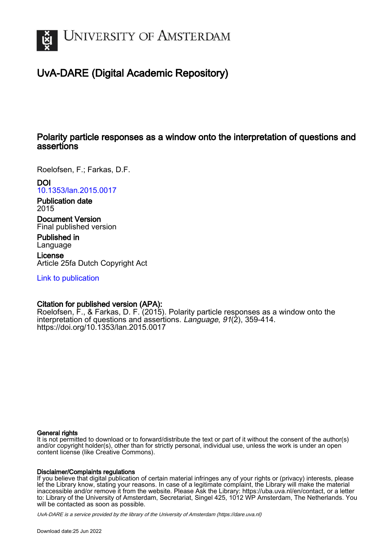

# UvA-DARE (Digital Academic Repository)

## Polarity particle responses as a window onto the interpretation of questions and assertions

Roelofsen, F.; Farkas, D.F.

DOI [10.1353/lan.2015.0017](https://doi.org/10.1353/lan.2015.0017)

Publication date 2015

Document Version Final published version

Published in Language

License Article 25fa Dutch Copyright Act

[Link to publication](https://dare.uva.nl/personal/pure/en/publications/polarity-particle-responses-as-a-window-onto-the-interpretation-of-questions-and-assertions(ec2a9d2d-2dca-41e0-bdd8-99d74ff73d72).html)

## Citation for published version (APA):

Roelofsen, F., & Farkas, D. F. (2015). Polarity particle responses as a window onto the interpretation of questions and assertions. Language, 91(2), 359-414. <https://doi.org/10.1353/lan.2015.0017>

#### General rights

It is not permitted to download or to forward/distribute the text or part of it without the consent of the author(s) and/or copyright holder(s), other than for strictly personal, individual use, unless the work is under an open content license (like Creative Commons).

### Disclaimer/Complaints regulations

If you believe that digital publication of certain material infringes any of your rights or (privacy) interests, please let the Library know, stating your reasons. In case of a legitimate complaint, the Library will make the material inaccessible and/or remove it from the website. Please Ask the Library: https://uba.uva.nl/en/contact, or a letter to: Library of the University of Amsterdam, Secretariat, Singel 425, 1012 WP Amsterdam, The Netherlands. You will be contacted as soon as possible.

UvA-DARE is a service provided by the library of the University of Amsterdam (http*s*://dare.uva.nl)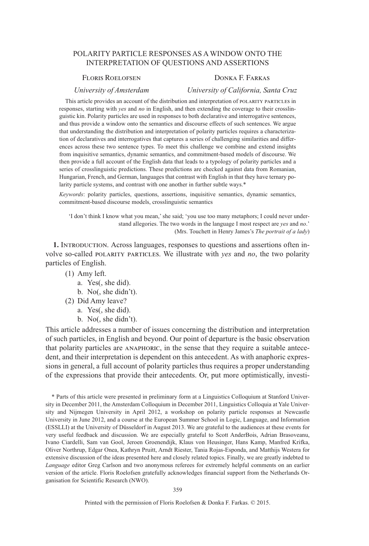#### POLARITY PARTICLE RESPONSES AS A WINDOW ONTO THE INTERPRETATION OF QUESTIONS AND ASSERTIONS

#### Floris Roelofsen Donka F. Farkas

#### *University of Amsterdam University of California, Santa Cruz*

This article provides an account of the distribution and interpretation of polarity particles in responses, starting with *yes* and *no* in English, and then extending the coverage to their crosslinguistic kin. Polarity particles are used in responses to both declarative and interrogative sentences, and thus provide a window onto the semantics and discourse effects of such sentences. We argue that understanding the distribution and interpretation of polarity particles requires a characterization of declaratives and interrogatives that captures a series of challenging similarities and differences across these two sentence types. To meet this challenge we combine and extend insights from inquisitive semantics, dynamic semantics, and commitment-based models of discourse. We then provide a full account of the English data that leads to a typology of polarity particles and a series of crosslinguistic predictions. These predictions are checked against data from Romanian, Hungarian, French, and German, languages that contrast with English in that they have ternary polarity particle systems, and contrast with one another in further subtle ways.\*

*Keywords*: polarity particles, questions, assertions, inquisitive semantics, dynamic semantics, commitment-based discourse models, crosslinguistic semantics

'I don't think I know what you mean,' she said; 'you use too many metaphors; I could never understand allegories. The two words in the language I most respect are *yes* and *no*.' (Mrs. Touchett in Henry James's *The portrait of a lady*)

**1.** Introduction. Across languages, responses to questions and assertions often involve so-called polarity particles. We illustrate with *yes* and *no*, the two polarity particles of English.

- (1) Amy left.
	- a. Yes(, she did).
	- b. No(, she didn't).
- (2) Did Amy leave?
	- a. Yes(, she did).
	- b. No(, she didn't).

This article addresses a number of issues concerning the distribution and interpretation of such particles, in English and beyond. Our point of departure is the basic observation that polarity particles are anaphoric, in the sense that they require a suitable antecedent, and their interpretation is dependent on this antecedent. As with anaphoric expressions in general, a full account of polarity particles thus requires a proper understanding of the expressions that provide their antecedents. Or, put more optimistically, investi-

Printed with the permission of Floris Roelofsen & Donka F. Farkas. © 2015.

<sup>\*</sup> Parts of this article were presented in preliminary form at a Linguistics Colloquium at Stanford University in December 2011, the Amsterdam Colloquium in December 2011, Linguistics Colloquia at Yale University and Nijmegen University in April 2012, a workshop on polarity particle responses at Newcastle University in June 2012, and a course at the European Summer School in Logic, Language, and Information (ESSLLI) at the University of Düsseldorf in August 2013. We are grateful to the audiences at these events for very useful feedback and discussion. We are especially grateful to Scott AnderBois, Adrian Brasoveanu, Ivano Ciardelli, Sam van Gool, Jeroen Groenendijk, Klaus von Heusinger, Hans Kamp, Manfred Krifka, Oliver Northrup, Edgar Onea, Kathryn Pruitt, Arndt Riester, Tania Rojas-Esponda, and Matthijs Westera for extensive discussion of the ideas presented here and closely related topics. Finally, we are greatly indebted to *Language* editor Greg Carlson and two anonymous referees for extremely helpful comments on an earlier version of the article. Floris Roelofsen gratefully acknowledges financial support from the Netherlands Organisation for Scientific Research (NWO).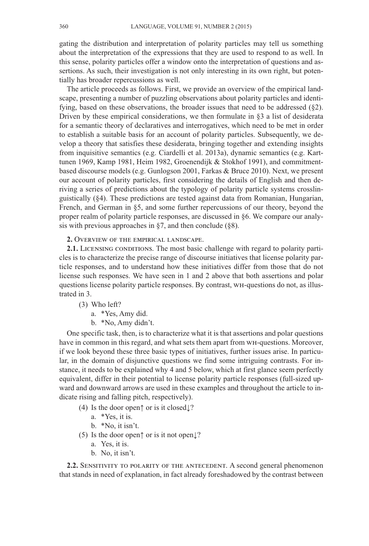gating the distribution and interpretation of polarity particles may tell us something about the interpretation of the expressions that they are used to respond to as well. In this sense, polarity particles offer a window onto the interpretation of questions and assertions. As such, their investigation is not only interesting in its own right, but potentially has broader repercussions as well.

The article proceeds as follows. First, we provide an overview of the empirical landscape, presenting a number of puzzling observations about polarity particles and identifying, based on these observations, the broader issues that need to be addressed (§2). Driven by these empirical considerations, we then formulate in §3 a list of desiderata for a semantic theory of declaratives and interrogatives, which need to be met in order to establish a suitable basis for an account of polarity particles. Subsequently, we develop a theory that satisfies these desiderata, bringing together and extending insights from inquisitive semantics (e.g. Ciardelli et al. 2013a), dynamic semantics (e.g. Karttunen 1969, Kamp 1981, Heim 1982, Groenendijk & Stokhof 1991), and commitmentbased discourse models (e.g. Gunlogson 2001, Farkas & Bruce 2010). Next, we present our account of polarity particles, first considering the details of English and then deriving a series of predictions about the typology of polarity particle systems crosslinguistically (§4). These predictions are tested against data from Romanian, Hungarian, French, and German in §5, and some further repercussions of our theory, beyond the proper realm of polarity particle responses, are discussed in §6. We compare our analysis with previous approaches in  $\S7$ , and then conclude ( $\S8$ ).

**2.** Overview of the empirical landscape.

**2.1.** LICENSING CONDITIONS. The most basic challenge with regard to polarity particles is to characterize the precise range of discourse initiatives that license polarity particle responses, and to understand how these initiatives differ from those that do not license such responses. We have seen in 1 and 2 above that both assertions and polar questions license polarity particle responses. By contrast, wh-questions do not, as illustrated in 3.

- (3) Who left?
	- a. \*Yes, Amy did.
	- b. \*No, Amy didn't.

One specific task, then, is to characterize what it is that assertions and polar questions have in common in this regard, and what sets them apart from WH-questions. Moreover, if we look beyond these three basic types of initiatives, further issues arise. In particular, in the domain of disjunctive questions we find some intriguing contrasts. For instance, it needs to be explained why 4 and 5 below, which at first glance seem perfectly equivalent, differ in their potential to license polarity particle responses (full-sized upward and downward arrows are used in these examples and throughout the article to indicate rising and falling pitch, respectively).

- (4) Is the door open $\uparrow$  or is it closed $\downarrow$ ?
	- a. \*Yes, it is.
	- b. \*No, it isn't.
- (5) Is the door open $\uparrow$  or is it not open $\downarrow$ ?
	- a. Yes, it is.
	- b. No, it isn't.

**2.2.** SENSITIVITY TO POLARITY OF THE ANTECEDENT. A second general phenomenon that stands in need of explanation, in fact already foreshadowed by the contrast between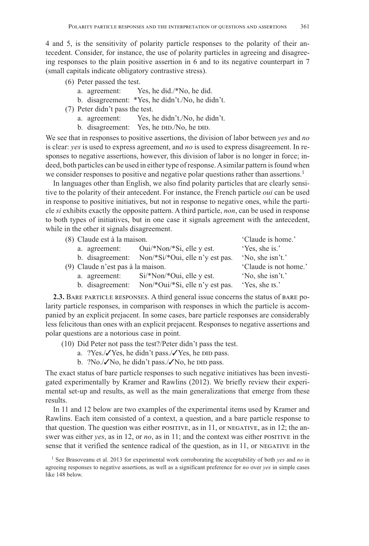4 and 5, is the sensitivity of polarity particle responses to the polarity of their antecedent. Consider, for instance, the use of polarity particles in agreeing and disagreeing responses to the plain positive assertion in 6 and to its negative counterpart in 7 (small capitals indicate obligatory contrastive stress).

- (6) Peter passed the test.
	- a. agreement: Yes, he did./\*No, he did.
	- b. disagreement: \*Yes, he didn't./No, he didn't.
- (7) Peter didn't pass the test.
	- a. agreement: Yes, he didn't./No, he didn't.
	- b. disagreement: Yes, he DID./No, he DID.

We see that in responses to positive assertions, the division of labor between *yes* and *no* is clear: *yes* is used to express agreement, and *no* is used to express disagreement. In responses to negative assertions, however, this division of labor is no longer in force; indeed, both particles can be used in either type of response. A similar pattern is found when we consider responses to positive and negative polar questions rather than assertions.<sup>1</sup>

In languages other than English, we also find polarity particles that are clearly sensitive to the polarity of their antecedent. For instance, the French particle *oui* can be used in response to positive initiatives, but not in response to negative ones, while the particle *si* exhibits exactly the opposite pattern. A third particle, *non*, can be used in response to both types of initiatives, but in one case it signals agreement with the antecedent, while in the other it signals disagreement.

| (8) Claude est à la maison. |  |                                                                        | 'Claude is home.'                 |
|-----------------------------|--|------------------------------------------------------------------------|-----------------------------------|
|                             |  | Oui/*Non/*Si, elle y est.                                              | 'Yes, she is.'                    |
|                             |  | Non/*Si/*Oui, elle n'y est pas.                                        | 'No, she isn't.'                  |
|                             |  |                                                                        | 'Claude is not home.'             |
|                             |  | $Si/*Non/*Out$ , elle y est.                                           | 'No, she isn't.'                  |
|                             |  | Non/*Oui/*Si, elle n'y est pas.                                        | 'Yes, she is.'                    |
|                             |  | a. agreement:<br>b. disagreement:<br>a. agreement:<br>b. disagreement: | (9) Claude n'est pas à la maison. |

**2.3.** Bare particle responses. A third general issue concerns the status of bare polarity particle responses, in comparison with responses in which the particle is accompanied by an explicit prejacent. In some cases, bare particle responses are considerably less felicitous than ones with an explicit prejacent. Responses to negative assertions and polar questions are a notorious case in point.

- (10) Did Peter not pass the test?/Peter didn't pass the test.
	- a. ?Yes./√Yes, he didn't pass./√Yes, he DID pass.
	- b. ?No.**√**No, he didn't pass. ∕∧No, he DID pass.

The exact status of bare particle responses to such negative initiatives has been investigated experimentally by Kramer and Rawlins (2012). We briefly review their experimental set-up and results, as well as the main generalizations that emerge from these results.

In 11 and 12 below are two examples of the experimental items used by Kramer and Rawlins. Each item consisted of a context, a question, and a bare particle response to that question. The question was either positive, as in 11, or  ${\rm NeGATIVE}$ , as in 12; the answer was either *yes*, as in 12, or *no*, as in 11; and the context was either positive in the sense that it verified the sentence radical of the question, as in 11, or NEGATIVE in the

<sup>1</sup> See Brasoveanu et al. 2013 for experimental work corroborating the acceptability of both *yes* and *no* in agreeing responses to negative assertions, as well as a significant preference for *no* over *yes* in simple cases like 148 below.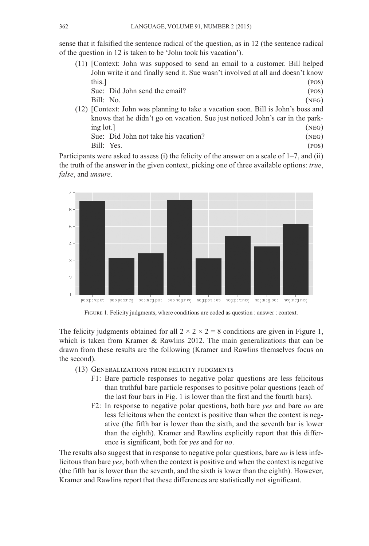sense that it falsified the sentence radical of the question, as in 12 (the sentence radical of the question in 12 is taken to be 'John took his vacation').

- (11) [Context: John was supposed to send an email to a customer. Bill helped John write it and finally send it. Sue wasn't involved at all and doesn't know this.] (pos)
	- Sue: Did John send the email? (pos)
- Bill: No. (NEG) (12) [Context: John was planning to take a vacation soon. Bill is John's boss and knows that he didn't go on vacation. Sue just noticed John's car in the parking lot.] (neg) Sue: Did John not take his vacation? (NEG) Bill: Yes. (pos)

Participants were asked to assess (i) the felicity of the answer on a scale of 1–7, and (ii) the truth of the answer in the given context, picking one of three available options: *true*, *false*, and *unsure*.



FIGURE 1. Felicity judgments, where conditions are coded as question : answer : context.

The felicity judgments obtained for all  $2 \times 2 \times 2 = 8$  conditions are given in Figure 1, which is taken from Kramer & Rawlins 2012. The main generalizations that can be drawn from these results are the following (Kramer and Rawlins themselves focus on the second).

- (13) Generalizations from felicity judgments
	- F1: Bare particle responses to negative polar questions are less felicitous than truthful bare particle responses to positive polar questions (each of the last four bars in Fig. 1 is lower than the first and the fourth bars).
	- F2: In response to negative polar questions, both bare *yes* and bare *no* are less felicitous when the context is positive than when the context is negative (the fifth bar is lower than the sixth, and the seventh bar is lower than the eighth). Kramer and Rawlins explicitly report that this difference is significant, both for *yes* and for *no*.

The results also suggest that in response to negative polar questions, bare *no* is less infelicitous than bare *yes*, both when the context is positive and when the context is negative (the fifth bar is lower than the seventh, and the sixth is lower than the eighth). However, Kramer and Rawlins report that these differences are statistically not significant.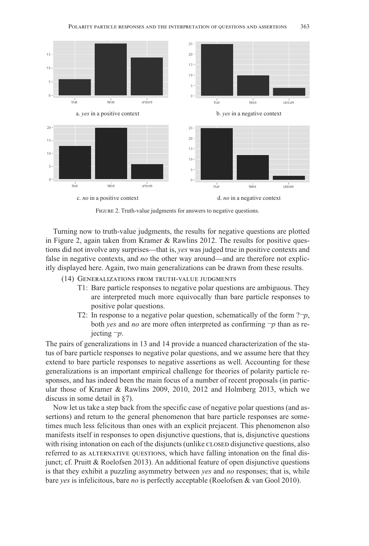

FIGURE 2. Truth-value judgments for answers to negative questions.

Turning now to truth-value judgments, the results for negative questions are plotted in Figure 2, again taken from Kramer & Rawlins 2012. The results for positive questions did not involve any surprises—that is, *yes* was judged true in positive contexts and false in negative contexts, and *no* the other way around—and are therefore not explicitly displayed here. Again, two main generalizations can be drawn from these results.

- (14) Generalizations from truth-value judgments
	- T1: Bare particle responses to negative polar questions are ambiguous. They are interpreted much more equivocally than bare particle responses to positive polar questions.
	- T2: In response to a negative polar question, schematically of the form  $? \neg p$ , both *yes* and *no* are more often interpreted as confirming  $\neg p$  than as rejecting ¬*p*.

The pairs of generalizations in 13 and 14 provide a nuanced characterization of the status of bare particle responses to negative polar questions, and we assume here that they extend to bare particle responses to negative assertions as well. Accounting for these generalizations is an important empirical challenge for theories of polarity particle responses, and has indeed been the main focus of a number of recent proposals (in particular those of Kramer & Rawlins 2009, 2010, 2012 and Holmberg 2013, which we discuss in some detail in §7).

Now let us take a step back from the specific case of negative polar questions (and assertions) and return to the general phenomenon that bare particle responses are sometimes much less felicitous than ones with an explicit prejacent. This phenomenon also manifests itself in responses to open disjunctive questions, that is, disjunctive questions with rising intonation on each of the disjuncts (unlike closed disjunctive questions, also referred to as ALTERNATIVE QUESTIONS, which have falling intonation on the final disjunct; cf. Pruitt & Roelofsen 2013). An additional feature of open disjunctive questions is that they exhibit a puzzling asymmetry between *yes* and *no* responses; that is, while bare *yes* is infelicitous, bare *no* is perfectly acceptable (Roelofsen & van Gool 2010).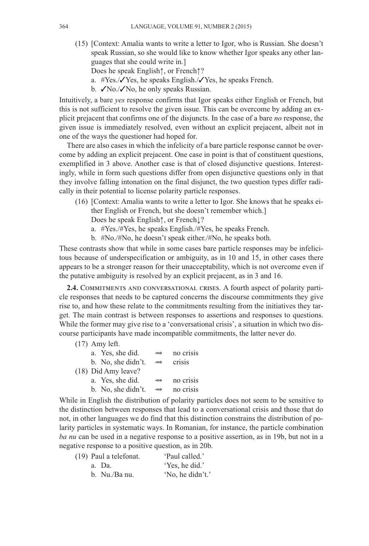(15) [Context: Amalia wants to write a letter to Igor, who is Russian. She doesn't speak Russian, so she would like to know whether Igor speaks any other languages that she could write in.]

Does he speak English↑, or French↑?

- a. #Yes./**✓**Yes, he speaks English./**✓**Yes, he speaks French.
- b. **✓**No./**✓**No, he only speaks Russian.

Intuitively, a bare *yes* response confirms that Igor speaks either English or French, but this is not sufficient to resolve the given issue. This can be overcome by adding an explicit prejacent that confirms one of the disjuncts. In the case of a bare *no* response, the given issue is immediately resolved, even without an explicit prejacent, albeit not in one of the ways the questioner had hoped for.

There are also cases in which the infelicity of a bare particle response cannot be overcome by adding an explicit prejacent. One case in point is that of constituent questions, exemplified in 3 above. Another case is that of closed disjunctive questions. Interestingly, while in form such questions differ from open disjunctive questions only in that they involve falling intonation on the final disjunct, the two question types differ radically in their potential to license polarity particle responses.

(16) [Context: Amalia wants to write a letter to Igor. She knows that he speaks either English or French, but she doesn't remember which.]

Does he speak English↑, or French↓?

- a. #Yes./#Yes, he speaks English./#Yes, he speaks French.
- b. #No./#No, he doesn't speak either./#No, he speaks both.

These contrasts show that while in some cases bare particle responses may be infelicitous because of underspecification or ambiguity, as in 10 and 15, in other cases there appears to be a stronger reason for their unacceptability, which is not overcome even if the putative ambiguity is resolved by an explicit prejacent, as in 3 and 16.

**2.4.** Commitments and conversational crises. A fourth aspect of polarity particle responses that needs to be captured concerns the discourse commitments they give rise to, and how these relate to the commitments resulting from the initiatives they target. The main contrast is between responses to assertions and responses to questions. While the former may give rise to a 'conversational crisis', a situation in which two discourse participants have made incompatible commitments, the latter never do.

- (17) Amy left.
	- a. Yes, she did.  $\Rightarrow$  no crisis<br>b. No. she didn't.  $\Rightarrow$  crisis
	- b. No, she didn't.
- (18) Did Amy leave?
	- a. Yes, she did.  $\Rightarrow$  no crisis<br>b. No. she didn't.  $\Rightarrow$  no crisis
	- b. No, she didn't.

While in English the distribution of polarity particles does not seem to be sensitive to the distinction between responses that lead to a conversational crisis and those that do not, in other languages we do find that this distinction constrains the distribution of polarity particles in systematic ways. In Romanian, for instance, the particle combination *ba nu* can be used in a negative response to a positive assertion, as in 19b, but not in a negative response to a positive question, as in 20b.

(19) Paul a telefonat. 'Paul called.' a. Da. 'Yes, he did.' b. Nu./Ba nu. 'No, he didn't.'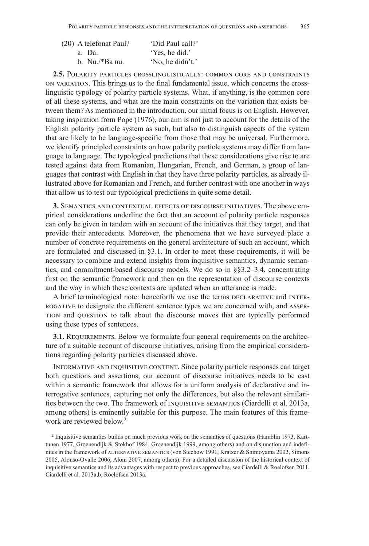| (20) A telefonat Paul? | 'Did Paul call?' |
|------------------------|------------------|
| a. Da.                 | 'Yes, he did.'   |
| b. Nu./*Ba nu.         | 'No, he didn't.' |

**2.5.** Polarity particles crosslinguistically: common core and constraints on variation. This brings us to the final fundamental issue, which concerns the crosslinguistic typology of polarity particle systems. What, if anything, is the common core of all these systems, and what are the main constraints on the variation that exists between them? As mentioned in the introduction, our initial focus is on English. However, taking inspiration from Pope (1976), our aim is not just to account for the details of the English polarity particle system as such, but also to distinguish aspects of the system that are likely to be language-specific from those that may be universal. Furthermore, we identify principled constraints on how polarity particle systems may differ from language to language. The typological predictions that these considerations give rise to are tested against data from Romanian, Hungarian, French, and German, a group of languages that contrast with English in that they have three polarity particles, as already illustrated above for Romanian and French, and further contrast with one another in ways that allow us to test our typological predictions in quite some detail.

**3.** Semantics and contextual effects of discourse initiatives. The above empirical considerations underline the fact that an account of polarity particle responses can only be given in tandem with an account of the initiatives that they target, and that provide their antecedents. Moreover, the phenomena that we have surveyed place a number of concrete requirements on the general architecture of such an account, which are formulated and discussed in §3.1. In order to meet these requirements, it will be necessary to combine and extend insights from inquisitive semantics, dynamic semantics, and commitment-based discourse models. We do so in §§3.2–3.4, concentrating first on the semantic framework and then on the representation of discourse contexts and the way in which these contexts are updated when an utterance is made.

A brief terminological note: henceforth we use the terms declarative and interrogative to designate the different sentence types we are concerned with, and assertion and question to talk about the discourse moves that are typically performed using these types of sentences.

**3.1.** REQUIREMENTS. Below we formulate four general requirements on the architecture of a suitable account of discourse initiatives, arising from the empirical considerations regarding polarity particles discussed above.

Informative and inquisitive content. Since polarity particle responses can target both questions and assertions, our account of discourse initiatives needs to be cast within a semantic framework that allows for a uniform analysis of declarative and interrogative sentences, capturing not only the differences, but also the relevant similarities between the two. The framework of inquisitive semantics (Ciardelli et al. 2013a, among others) is eminently suitable for this purpose. The main features of this framework are reviewed below.<sup>2</sup>

<sup>2</sup> Inquisitive semantics builds on much previous work on the semantics of questions (Hamblin 1973, Karttunen 1977, Groenendijk & Stokhof 1984, Groenendijk 1999, among others) and on disjunction and indefinites in the framework of alternative semantics (von Stechow 1991, Kratzer & Shimoyama 2002, Simons 2005, Alonso-Ovalle 2006, Aloni 2007, among others). For a detailed discussion of the historical context of inquisitive semantics and its advantages with respect to previous approaches, see Ciardelli & Roelofsen 2011, Ciardelli et al. 2013a,b, Roelofsen 2013a.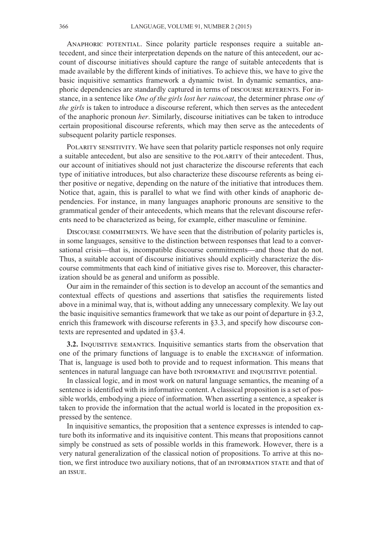Anaphoric potential. Since polarity particle responses require a suitable antecedent, and since their interpretation depends on the nature of this antecedent, our account of discourse initiatives should capture the range of suitable antecedents that is made available by the different kinds of initiatives. To achieve this, we have to give the basic inquisitive semantics framework a dynamic twist. In dynamic semantics, anaphoric dependencies are standardly captured in terms of DISCOURSE REFERENTS. For instance, in a sentence like *One of the girls lost her raincoat*, the determiner phrase *one of the girls* is taken to introduce a discourse referent, which then serves as the antecedent of the anaphoric pronoun *her*. Similarly, discourse initiatives can be taken to introduce certain propositional discourse referents, which may then serve as the antecedents of subsequent polarity particle responses.

POLARITY SENSITIVITY. We have seen that polarity particle responses not only require a suitable antecedent, but also are sensitive to the polarity of their antecedent. Thus, our account of initiatives should not just characterize the discourse referents that each type of initiative introduces, but also characterize these discourse referents as being either positive or negative, depending on the nature of the initiative that introduces them. Notice that, again, this is parallel to what we find with other kinds of anaphoric dependencies. For instance, in many languages anaphoric pronouns are sensitive to the grammatical gender of their antecedents, which means that the relevant discourse referents need to be characterized as being, for example, either masculine or feminine.

Discourse commitments. We have seen that the distribution of polarity particles is, in some languages, sensitive to the distinction between responses that lead to a conversational crisis—that is, incompatible discourse commitments—and those that do not. Thus, a suitable account of discourse initiatives should explicitly characterize the discourse commitments that each kind of initiative gives rise to. Moreover, this characterization should be as general and uniform as possible.

Our aim in the remainder of this section is to develop an account of the semantics and contextual effects of questions and assertions that satisfies the requirements listed above in a minimal way, that is, without adding any unnecessary complexity. We lay out the basic inquisitive semantics framework that we take as our point of departure in §3.2, enrich this framework with discourse referents in §3.3, and specify how discourse contexts are represented and updated in §3.4.

**3.2.** Inquisitive semantics. Inquisitive semantics starts from the observation that one of the primary functions of language is to enable the exchange of information. That is, language is used both to provide and to request information. This means that sentences in natural language can have both informative and inquisitive potential.

In classical logic, and in most work on natural language semantics, the meaning of a sentence is identified with its informative content. A classical proposition is a set of possible worlds, embodying a piece of information. When asserting a sentence, a speaker is taken to provide the information that the actual world is located in the proposition expressed by the sentence.

In inquisitive semantics, the proposition that a sentence expresses is intended to capture both its informative and its inquisitive content. This means that propositions cannot simply be construed as sets of possible worlds in this framework. However, there is a very natural generalization of the classical notion of propositions. To arrive at this notion, we first introduce two auxiliary notions, that of an information state and that of an issue.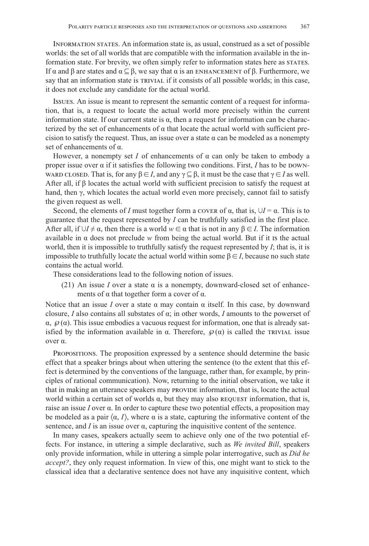Information states. An information state is, as usual, construed as a set of possible worlds: the set of all worlds that are compatible with the information available in the information state. For brevity, we often simply refer to information states here as states. If  $\alpha$  and  $\beta$  are states and  $\alpha \subseteq \beta$ , we say that  $\alpha$  is an ENHANCEMENT of  $\beta$ . Furthermore, we say that an information state is TRIVIAL if it consists of all possible worlds; in this case, it does not exclude any candidate for the actual world.

Issues. An issue is meant to represent the semantic content of a request for information, that is, a request to locate the actual world more precisely within the current information state. If our current state is  $\alpha$ , then a request for information can be characterized by the set of enhancements of  $\alpha$  that locate the actual world with sufficient precision to satisfy the request. Thus, an issue over a state  $\alpha$  can be modeled as a nonempty set of enhancements of α.

However, a nonempty set *I* of enhancements of α can only be taken to embody a proper issue over  $\alpha$  if it satisfies the following two conditions. First, *I* has to be DOWNward closed. That is, for any β ∈ *I*, and any γ ⊆ β, it must be the case that γ ∈ *I* as well. After all, if β locates the actual world with sufficient precision to satisfy the request at hand, then  $\gamma$ , which locates the actual world even more precisely, cannot fail to satisfy the given request as well.

Second, the elements of *I* must together form a cover of  $\alpha$ , that is,  $\bigcup I = \alpha$ . This is to guarantee that the request represented by *I* can be truthfully satisfied in the first place. After all, if  $\bigcup f \neq \alpha$ , then there is a world  $w \in \alpha$  that is not in any  $\beta \in I$ . The information available in  $\alpha$  does not preclude *w* from being the actual world. But if it is the actual world, then it is impossible to truthfully satisfy the request represented by *I*; that is, it is impossible to truthfully locate the actual world within some  $\beta \in I$ , because no such state contains the actual world.

These considerations lead to the following notion of issues.

(21) An issue *I* over a state  $\alpha$  is a nonempty, downward-closed set of enhancements of  $\alpha$  that together form a cover of  $\alpha$ .

Notice that an issue *I* over a state  $α$  may contain  $α$  itself. In this case, by downward closure, *I* also contains all substates of α; in other words, *I* amounts to the powerset of  $\alpha$ ,  $\beta$  ( $\alpha$ ). This issue embodies a vacuous request for information, one that is already satisfied by the information available in α. Therefore,  $\varphi(\alpha)$  is called the TRIVIAL issue over α.

Propositions. The proposition expressed by a sentence should determine the basic effect that a speaker brings about when uttering the sentence (to the extent that this effect is determined by the conventions of the language, rather than, for example, by principles of rational communication). Now, returning to the initial observation, we take it that in making an utterance speakers may provide information, that is, locate the actual world within a certain set of worlds  $\alpha$ , but they may also request information, that is, raise an issue  $I$  over  $\alpha$ . In order to capture these two potential effects, a proposition may be modeled as a pair  $\langle \alpha, I \rangle$ , where  $\alpha$  is a state, capturing the informative content of the sentence, and *I* is an issue over  $\alpha$ , capturing the inquisitive content of the sentence.

In many cases, speakers actually seem to achieve only one of the two potential effects. For instance, in uttering a simple declarative, such as *We invited Bill*, speakers only provide information, while in uttering a simple polar interrogative, such as *Did he accept?*, they only request information. In view of this, one might want to stick to the classical idea that a declarative sentence does not have any inquisitive content, which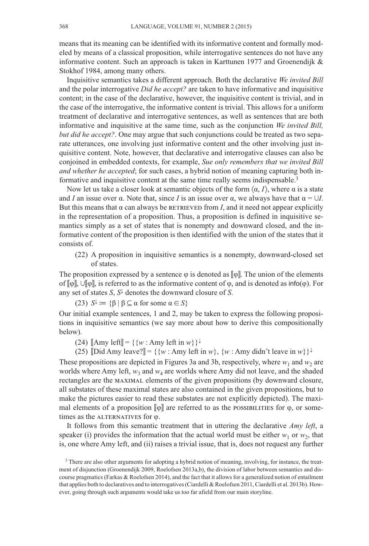means that its meaning can be identified with its informative content and formally modeled by means of a classical proposition, while interrogative sentences do not have any informative content. Such an approach is taken in Karttunen 1977 and Groenendijk & Stokhof 1984, among many others.

Inquisitive semantics takes a different approach. Both the declarative *We invited Bill* and the polar interrogative *Did he accept?* are taken to have informative and inquisitive content; in the case of the declarative, however, the inquisitive content is trivial, and in the case of the interrogative, the informative content is trivial. This allows for a uniform treatment of declarative and interrogative sentences, as well as sentences that are both informative and inquisitive at the same time, such as the conjunction *We invited Bill, but did he accept?*. One may argue that such conjunctions could be treated as two separate utterances, one involving just informative content and the other involving just inquisitive content. Note, however, that declarative and interrogative clauses can also be conjoined in embedded contexts, for example, *Sue only remembers that we invited Bill and whether he accepted*; for such cases, a hybrid notion of meaning capturing both informative and inquisitive content at the same time really seems indispensable.<sup>3</sup>

Now let us take a closer look at semantic objects of the form  $\langle \alpha, I \rangle$ , where α is a state and *I* an issue over  $\alpha$ . Note that, since *I* is an issue over  $\alpha$ , we always have that  $\alpha = \bigcup I$ . But this means that  $\alpha$  can always be retrieved from *I*, and it need not appear explicitly in the representation of a proposition. Thus, a proposition is defined in inquisitive semantics simply as a set of states that is nonempty and downward closed, and the informative content of the proposition is then identified with the union of the states that it consists of.

(22) A proposition in inquisitive semantics is a nonempty, downward-closed set of states.

The proposition expressed by a sentence  $\varphi$  is denoted as  $[\varphi]$ . The union of the elements of  $[\![\varphi]\!]$ ,  $\cup [\![\varphi]\!]$ , is referred to as the informative content of  $\varphi$ , and is denoted as info( $\varphi$ ). For any set of states *S*, *S*<sup>↓</sup> denotes the downward closure of *S*.

(23)  $S^{\downarrow} := {\{\beta \mid \beta \subseteq \alpha \text{ for some } \alpha \in S\}}$ 

Our initial example sentences, 1 and 2, may be taken to express the following propositions in inquisitive semantics (we say more about how to derive this compositionally below).

(24)  $[$ Amy left $] = \{ \{w : \text{Amy left in } w \} \}$ 

(25)  $\llbracket \text{Did Amy leave?} \rrbracket = \{ \{w : \text{ Amy left in } w \}, \{w : \text{ Amy didn't leave in } w \} \}$ 

These propositions are depicted in Figures 3a and 3b, respectively, where  $w_1$  and  $w_2$  are worlds where Amy left,  $w_3$  and  $w_4$  are worlds where Amy did not leave, and the shaded rectangles are the maximal elements of the given propositions (by downward closure, all substates of these maximal states are also contained in the given propositions, but to make the pictures easier to read these substates are not explicitly depicted). The maximal elements of a proposition  $[\![\varphi]\!]$  are referred to as the possibilities for  $\varphi$ , or sometimes as the  $ALTERNATIVES$  for  $\varphi$ .

It follows from this semantic treatment that in uttering the declarative *Amy left*, a speaker (i) provides the information that the actual world must be either  $w_1$  or  $w_2$ , that is, one where Amy left, and (ii) raises a trivial issue, that is, does not request any further

<sup>3</sup> There are also other arguments for adopting a hybrid notion of meaning, involving, for instance, the treatment of disjunction (Groenendijk 2009, Roelofsen 2013a,b), the division of labor between semantics and discourse pragmatics (Farkas & Roelofsen 2014), and the fact that it allows for a generalized notion of entailment that applies both to declaratives and to interrogatives (Ciardelli & Roelofsen 2011, Ciardelli et al. 2013b). However, going through such arguments would take us too far afield from our main storyline.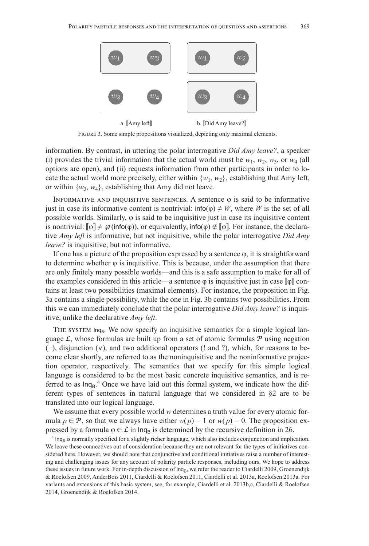

FIGURE 3. Some simple propositions visualized, depicting only maximal elements.

information. By contrast, in uttering the polar interrogative *Did Amy leave?*, a speaker (i) provides the trivial information that the actual world must be  $w_1$ ,  $w_2$ ,  $w_3$ , or  $w_4$  (all options are open), and (ii) requests information from other participants in order to locate the actual world more precisely, either within  $\{w_1, w_2\}$ , establishing that Amy left, or within  $\{w_3, w_4\}$ , establishing that Amy did not leave.

INFORMATIVE AND INQUISITIVE SENTENCES. A sentence  $\varphi$  is said to be informative just in case its informative content is nontrivial: info( $\varphi$ )  $\neq$  *W*, where *W* is the set of all possible worlds. Similarly,  $\varphi$  is said to be inquisitive just in case its inquisitive content is nontrivial:  $[\![\varphi]\!] \neq \varphi$  (info( $\varphi$ )), or equivalently, info( $\varphi$ )  $\notin [\![\varphi]\!]$ . For instance, the declarative *Amy left* is informative, but not inquisitive, while the polar interrogative *Did Amy leave?* is inquisitive, but not informative.

If one has a picture of the proposition expressed by a sentence  $\varphi$ , it is straightforward to determine whether  $\varphi$  is inquisitive. This is because, under the assumption that there are only finitely many possible worlds—and this is a safe assumption to make for all of the examples considered in this article—a sentence  $\varphi$  is inquisitive just in case  $[\![\varphi]\!]$  contains at least two possibilities (maximal elements). For instance, the proposition in Fig. 3a contains a single possibility, while the one in Fig. 3b contains two possibilities. From this we can immediately conclude that the polar interrogative *Did Amy leave?* is inquisitive, unlike the declarative *Amy left*.

THE SYSTEM  $Inq_B$ . We now specify an inquisitive semantics for a simple logical language  $\mathcal{L}$ , whose formulas are built up from a set of atomic formulas  $\mathcal{P}$  using negation (¬), disjunction (∨), and two additional operators (! and ?), which, for reasons to become clear shortly, are referred to as the noninquisitive and the noninformative projection operator, respectively. The semantics that we specify for this simple logical language is considered to be the most basic concrete inquisitive semantics, and is referred to as  $\text{Inq}_B$ .<sup>4</sup> Once we have laid out this formal system, we indicate how the different types of sentences in natural language that we considered in §2 are to be translated into our logical language.

We assume that every possible world *w* determines a truth value for every atomic formula  $p \in \mathcal{P}$ , so that we always have either  $w(p) = 1$  or  $w(p) = 0$ . The proposition expressed by a formula  $\varphi \in \mathcal{L}$  in  $\text{Inq}_B$  is determined by the recursive definition in 26.

 $4 \text{ln}$  is normally specified for a slightly richer language, which also includes conjunction and implication. We leave these connectives out of consideration because they are not relevant for the types of initiatives considered here. However, we should note that conjunctive and conditional initiatives raise a number of interesting and challenging issues for any account of polarity particle responses, including ours. We hope to address these issues in future work. For in-depth discussion of lnq<sub>B</sub>, we refer the reader to Ciardelli 2009, Groenendijk & Roelofsen 2009, AnderBois 2011, Ciardelli & Roelofsen 2011, Ciardelli et al. 2013a, Roelofsen 2013a. For variants and extensions of this basic system, see, for example, Ciardelli et al. 2013b,c, Ciardelli & Roelofsen 2014, Groenendijk & Roelofsen 2014.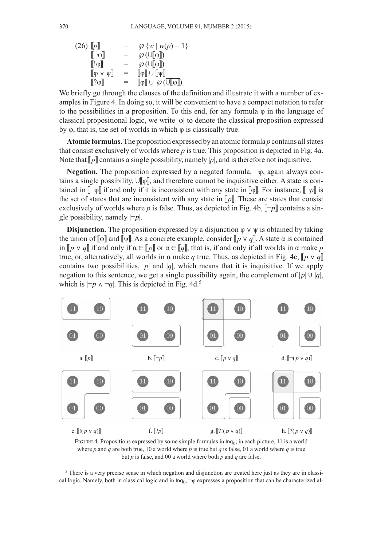(26) 
$$
\begin{array}{rcl}\n [p] & = & \mathcal{P} \{ w \mid w(p) = 1 \} \\
 [ \neg \varphi] & = & \mathcal{P} \{ \overline{\cup} [\varphi] \} \\
 [ \varphi] & = & \mathcal{P} \{ \overline{\cup} [\varphi] \} \\
 [ \varphi \vee \psi] & = & [ \varphi] \cup [ \psi] \\
 [ \neg \varphi] & = & [ \varphi] \cup \mathcal{P} \{ \overline{\cup} [\varphi] \} \n\end{array}
$$

We briefly go through the clauses of the definition and illustrate it with a number of examples in Figure 4. In doing so, it will be convenient to have a compact notation to refer to the possibilities in a proposition. To this end, for any formula  $\varphi$  in the language of classical propositional logic, we write  $|\varphi|$  to denote the classical proposition expressed by  $φ$ , that is, the set of worlds in which  $φ$  is classically true.

**Atomic formulas.**The proposition expressed by an atomic formula *p* contains all states that consist exclusively of worlds where *p* is true. This proposition is depicted in Fig. 4a. Note that  $[\![p]\!]$  contains a single possibility, namely  $[p]$ , and is therefore not inquisitive.

**Negation.** The proposition expressed by a negated formula,  $\neg$ <sub>φ</sub>, again always contains a single possibility, ∪[[o]], and therefore cannot be inquisitive either. A state is contained in  $\llbracket \neg \phi \rrbracket$  if and only if it is inconsistent with any state in  $\llbracket \phi \rrbracket$ . For instance,  $\llbracket \neg p \rrbracket$  is the set of states that are inconsistent with any state in  $[\![p]\!]$ . These are states that consist exclusively of worlds where p is false. Thus, as depicted in Fig. 4b,  $[\neg p]$  contains a single possibility, namely  $|\neg p|$ .

**Disjunction.** The proposition expressed by a disjunction  $\varphi \vee \psi$  is obtained by taking the union of  $[\![\varphi]\!]$  and  $[\![\psi]\!]$ . As a concrete example, consider  $[\![p \vee q]\!]$ . A state  $\alpha$  is contained in  $\llbracket p \lor q \rrbracket$  if and only if  $\alpha \in \llbracket p \rrbracket$  or  $\alpha \in \llbracket q \rrbracket$ , that is, if and only if all worlds in  $\alpha$  make  $p$ true, or, alternatively, all worlds in α make *q* true. Thus, as depicted in Fig. 4c,  $[$ *p*  $\vee$  *q* $]$ contains two possibilities,  $|p|$  and  $|q|$ , which means that it is inquisitive. If we apply negation to this sentence, we get a single possibility again, the complement of  $|p| \cup |q|$ , which is  $\Box p \land \Box q$ . This is depicted in Fig. 4d.<sup>5</sup>



FIGURE 4. Propositions expressed by some simple formulas in  $Inq<sub>B</sub>$ ; in each picture, 11 is a world where *p* and *q* are both true, 10 a world where *p* is true but *q* is false, 01 a world where *q* is true but *p* is false, and 00 a world where both *p* and *q* are false.

<sup>5</sup> There is a very precise sense in which negation and disjunction are treated here just as they are in classical logic. Namely, both in classical logic and in  $Inq_B$ ,  $\neg$  expresses a proposition that can be characterized al-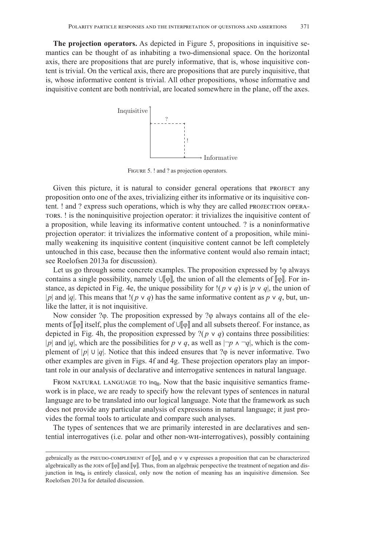**The projection operators.** As depicted in Figure 5, propositions in inquisitive semantics can be thought of as inhabiting a two-dimensional space. On the horizontal axis, there are propositions that are purely informative, that is, whose inquisitive content is trivial. On the vertical axis, there are propositions that are purely inquisitive, that is, whose informative content is trivial. All other propositions, whose informative and inquisitive content are both nontrivial, are located somewhere in the plane, off the axes.



FIGURE 5. ! and ? as projection operators.

Given this picture, it is natural to consider general operations that PROJECT any proposition onto one of the axes, trivializing either its informative or its inquisitive content. ! and ? express such operations, which is why they are called PROJECTION OPERAtors. ! is the noninquisitive projection operator: it trivializes the inquisitive content of a proposition, while leaving its informative content untouched. ? is a noninformative projection operator: it trivializes the informative content of a proposition, while minimally weakening its inquisitive content (inquisitive content cannot be left completely untouched in this case, because then the informative content would also remain intact; see Roelofsen 2013a for discussion).

Let us go through some concrete examples. The proposition expressed by !φ always contains a single possibility, namely  $\cup [\![\varphi]\!]$ , the union of all the elements of  $[\![\varphi]\!]$ . For instance, as depicted in Fig. 4e, the unique possibility for  $\left(p \vee q\right)$  is  $|p \vee q|$ , the union of |*p*| and |*q*|. This means that !( $p \vee q$ ) has the same informative content as  $p \vee q$ , but, unlike the latter, it is not inquisitive.

Now consider ?φ. The proposition expressed by ?φ always contains all of the elements of  $\llbracket \phi \rrbracket$  itself, plus the complement of  $\cup \llbracket \phi \rrbracket$  and all subsets thereof. For instance, as depicted in Fig. 4h, the proposition expressed by  $?(p \vee q)$  contains three possibilities: |*p*| and |*q*|, which are the possibilities for *p*  $\vee$  *q*, as well as  $|\neg p \wedge \neg q|$ , which is the complement of  $|p| \cup |q|$ . Notice that this indeed ensures that ? $\varphi$  is never informative. Two other examples are given in Figs. 4f and 4g. These projection operators play an important role in our analysis of declarative and interrogative sentences in natural language.

FROM NATURAL LANGUAGE TO  $Inq_B$ . Now that the basic inquisitive semantics framework is in place, we are ready to specify how the relevant types of sentences in natural language are to be translated into our logical language. Note that the framework as such does not provide any particular analysis of expressions in natural language; it just provides the formal tools to articulate and compare such analyses.

The types of sentences that we are primarily interested in are declaratives and sentential interrogatives (i.e. polar and other non-wh-interrogatives), possibly containing

gebraically as the PSEUDO-COMPLEMENT of  $[\![\varphi]\!]$ , and  $\varphi \vee \psi$  expresses a proposition that can be characterized algebraically as the join of  $[\![\phi]\!]$  and  $[\![\psi]\!]$ . Thus, from an algebraic perspective the treatment of negation and disjunction in  $In_{\mathsf{B}}$  is entirely classical, only now the notion of meaning has an inquisitive dimension. See Roelofsen 2013a for detailed discussion.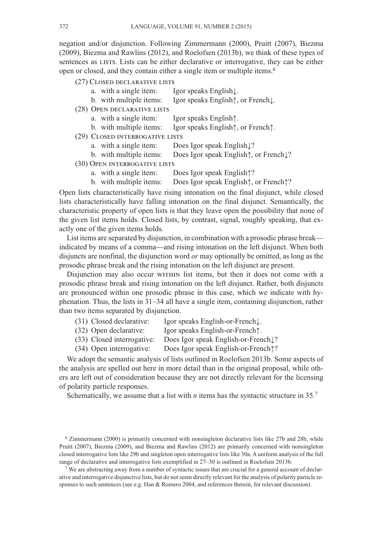negation and/or disjunction. Following Zimmermann (2000), Pruitt (2007), Biezma (2009), Biezma and Rawlins (2012), and Roelofsen (2013b), we think of these types of sentences as lists. Lists can be either declarative or interrogative, they can be either open or closed, and they contain either a single item or multiple items.<sup>6</sup>

(27) Closed declarative lists

- a. with a single item: Igor speaks English↓.
- b. with multiple items: Igor speaks English↑, or French↓.
- (28) Open declarative lists
	- a. with a single item: Igor speaks English↑.
	- b. with multiple items: Igor speaks English↑, or French↑.
- (29) Closed interrogative lists
	- a. with a single item: Does Igor speak English↓?
	- b. with multiple items: Does Igor speak English↑, or French↓?
- (30) Open interrogative lists
	- a. with a single item: Does Igor speak English↑?
	- b. with multiple items: Does Igor speak English↑, or French↑?

Open lists characteristically have rising intonation on the final disjunct, while closed lists characteristically have falling intonation on the final disjunct. Semantically, the characteristic property of open lists is that they leave open the possibility that none of the given list items holds. Closed lists, by contrast, signal, roughly speaking, that exactly one of the given items holds.

List items are separated by disjunction, in combination with a prosodic phrase break indicated by means of a comma—and rising intonation on the left disjunct. When both disjuncts are nonfinal, the disjunction word *or* may optionally be omitted, as long as the prosodic phrase break and the rising intonation on the left disjunct are present.

Disjunction may also occur within list items, but then it does not come with a prosodic phrase break and rising intonation on the left disjunct. Rather, both disjuncts are pronounced within one prosodic phrase in this case, which we indicate with hyphenation. Thus, the lists in 31–34 all have a single item, containing disjunction, rather than two items separated by disjunction.

- (31) Closed declarative: Igor speaks English-or-French↓.
- (32) Open declarative: Igor speaks English-or-French↑.
- (33) Closed interrogative: Does Igor speak English-or-French↓?
- (34) Open interrogative: Does Igor speak English-or-French↑?

We adopt the semantic analysis of lists outlined in Roelofsen 2013b. Some aspects of the analysis are spelled out here in more detail than in the original proposal, while others are left out of consideration because they are not directly relevant for the licensing of polarity particle responses.

Schematically, we assume that a list with *n* items has the syntactic structure in 35.<sup>7</sup>

<sup>6</sup> Zimmermann (2000) is primarily concerned with nonsingleton declarative lists like 27b and 28b, while Pruitt (2007), Biezma (2009), and Biezma and Rawlins (2012) are primarily concerned with nonsingleton closed interrogative lists like 29b and singleton open interrogative lists like 30a. A uniform analysis of the full range of declarative and interrogative lists exemplified in 27–30 is outlined in Roelofsen 2013b.

 $7$  We are abstracting away from a number of syntactic issues that are crucial for a general account of declarative and interrogative disjunctive lists, but do not seem directly relevant for the analysis of polarity particle responses to such sentences (see e.g. Han & Romero 2004, and references therein, for relevant discussion).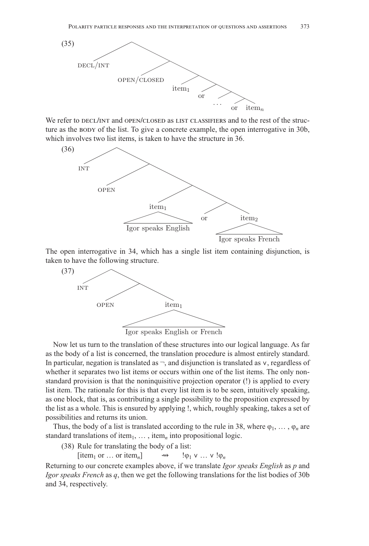

We refer to DECL/INT and OPEN/CLOSED as LIST CLASSIFIERS and to the rest of the structure as the body of the list. To give a concrete example, the open interrogative in 30b, which involves two list items, is taken to have the structure in 36.



The open interrogative in 34, which has a single list item containing disjunction, is taken to have the following structure.



Now let us turn to the translation of these structures into our logical language. As far as the body of a list is concerned, the translation procedure is almost entirely standard. In particular, negation is translated as ¬, and disjunction is translated as ∨, regardless of whether it separates two list items or occurs within one of the list items. The only nonstandard provision is that the noninquisitive projection operator (!) is applied to every list item. The rationale for this is that every list item is to be seen, intuitively speaking, as one block, that is, as contributing a single possibility to the proposition expressed by the list as a whole. This is ensured by applying !, which, roughly speaking, takes a set of possibilities and returns its union.

Thus, the body of a list is translated according to the rule in 38, where  $\varphi_1, \ldots, \varphi_n$  are standard translations of item<sub>1</sub>, ..., item<sub>n</sub> into propositional logic.

(38) Rule for translating the body of a list:

 $\begin{bmatrix} \text{item}_1 \text{ or } \dots \text{ or } \text{item}_n \end{bmatrix}$  **\*\***  $\begin{bmatrix} \varphi_1 \vee \dots \vee \varphi_n \end{bmatrix}$ 

Returning to our concrete examples above, if we translate *Igor speaks English* as *p* and *Igor speaks French* as *q*, then we get the following translations for the list bodies of 30b and 34, respectively.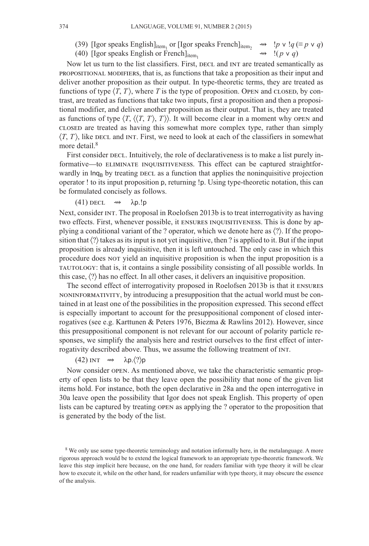(39) [Igor speaks English]item1 or [Igor speaks French]item2 !*p* ∨ !*q* (≡ *p* ∨ *q*)

(40) [Igor speaks English or French]item1 !( *p* ∨ *q*) Now let us turn to the list classifiers. First, DECL and INT are treated semantically as propositional modifiers, that is, as functions that take a proposition as their input and deliver another proposition as their output. In type-theoretic terms, they are treated as functions of type  $\langle T, T \rangle$ , where *T* is the type of proposition. OPEN and CLOSED, by contrast, are treated as functions that take two inputs, first a proposition and then a propositional modifier, and deliver another proposition as their output. That is, they are treated as functions of type  $\langle T, \langle T, T \rangle, T \rangle$ . It will become clear in a moment why open and closed are treated as having this somewhat more complex type, rather than simply  $\langle T, T \rangle$ , like DECL and INT. First, we need to look at each of the classifiers in somewhat more detail.<sup>8</sup>

First consider DECL. Intuitively, the role of declarativeness is to make a list purely informative—to eliminate inquisitiveness. This effect can be captured straightforwardly in  $Inq<sub>B</sub>$  by treating DECL as a function that applies the noninquisitive projection operator ! to its input proposition p, returning !p. Using type-theoretic notation, this can be formulated concisely as follows.

 $(41)$  DECL  $\rightarrow \rightarrow \lambda p$ .!p

Next, consider int. The proposal in Roelofsen 2013b is to treat interrogativity as having two effects. First, whenever possible, it ensures inquisitiveness. This is done by applying a conditional variant of the ? operator, which we denote here as  $\langle ? \rangle$ . If the proposition that  $\langle ? \rangle$  takes as its input is not yet inquisitive, then ? is applied to it. But if the input proposition is already inquisitive, then it is left untouched. The only case in which this procedure does not yield an inquisitive proposition is when the input proposition is a tautology: that is, it contains a single possibility consisting of all possible worlds. In this case,  $\langle ? \rangle$  has no effect. In all other cases, it delivers an inquisitive proposition.

The second effect of interrogativity proposed in Roelofsen 2013b is that it ensures noninformativity, by introducing a presupposition that the actual world must be contained in at least one of the possibilities in the proposition expressed. This second effect is especially important to account for the presuppositional component of closed interrogatives (see e.g. Karttunen & Peters 1976, Biezma & Rawlins 2012). However, since this presuppositional component is not relevant for our account of polarity particle responses, we simplify the analysis here and restrict ourselves to the first effect of interrogativity described above. Thus, we assume the following treatment of int.

 $(42)$  int  $\rightarrow \lambda p. \langle ? \rangle p$ 

Now consider open. As mentioned above, we take the characteristic semantic property of open lists to be that they leave open the possibility that none of the given list items hold. For instance, both the open declarative in 28a and the open interrogative in 30a leave open the possibility that Igor does not speak English. This property of open lists can be captured by treating open as applying the ? operator to the proposition that is generated by the body of the list.

<sup>&</sup>lt;sup>8</sup> We only use some type-theoretic terminology and notation informally here, in the metalanguage. A more rigorous approach would be to extend the logical framework to an appropriate type-theoretic framework. We leave this step implicit here because, on the one hand, for readers familiar with type theory it will be clear how to execute it, while on the other hand, for readers unfamiliar with type theory, it may obscure the essence of the analysis.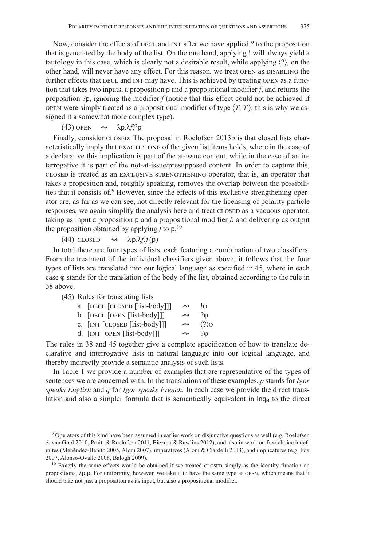Now, consider the effects of DECL and INT after we have applied ? to the proposition that is generated by the body of the list. On the one hand, applying ! will always yield a tautology in this case, which is clearly not a desirable result, while applying  $\langle ? \rangle$ , on the other hand, will never have any effect. For this reason, we treat open as disabling the further effects that DECL and INT may have. This is achieved by treating OPEN as a function that takes two inputs, a proposition p and a propositional modifier *f*, and returns the proposition ?p, ignoring the modifier *f* (notice that this effect could not be achieved if open were simply treated as a propositional modifier of type  $\langle T, T \rangle$ ; this is why we assigned it a somewhat more complex type).

(43) open λp.λ*f*.?p

Finally, consider closed. The proposal in Roelofsen 2013b is that closed lists characteristically imply that EXACTLY ONE of the given list items holds, where in the case of a declarative this implication is part of the at-issue content, while in the case of an interrogative it is part of the not-at-issue/presupposed content. In order to capture this, closed is treated as an exclusive strengthening operator, that is, an operator that takes a proposition and, roughly speaking, removes the overlap between the possibilities that it consists of.<sup>9</sup> However, since the effects of this exclusive strengthening operator are, as far as we can see, not directly relevant for the licensing of polarity particle responses, we again simplify the analysis here and treat closed as a vacuous operator, taking as input a proposition p and a propositional modifier *f*, and delivering as output the proposition obtained by applying  $f$  to p.<sup>10</sup>

(44) CLOSED  $\rightarrow \lambda p.\lambda f.f(p)$ 

In total there are four types of lists, each featuring a combination of two classifiers. From the treatment of the individual classifiers given above, it follows that the four types of lists are translated into our logical language as specified in 45, where in each case φ stands for the translation of the body of the list, obtained according to the rule in 38 above.

(45) Rules for translating lists

| ₩                                                                                                                                  | !Φ                       |
|------------------------------------------------------------------------------------------------------------------------------------|--------------------------|
| <b>ww</b>                                                                                                                          | $?$ $\Phi$               |
| <b>ww</b>                                                                                                                          | $\langle?\rangle_{\phi}$ |
| ₩                                                                                                                                  | $?$ $\Phi$               |
| a. [DECL [CLOSED [list-body]]]<br>$b.$ [DECL [OPEN [list-body]]]<br>c. [INT [CLOSED [list-body]]]<br>d. $[NT]$ [OPEN [list-body]]] |                          |

The rules in 38 and 45 together give a complete specification of how to translate declarative and interrogative lists in natural language into our logical language, and thereby indirectly provide a semantic analysis of such lists.

In Table 1 we provide a number of examples that are representative of the types of sentences we are concerned with. In the translations of these examples, *p* stands for *Igor speaks English* and *q* for *Igor speaks French*. In each case we provide the direct translation and also a simpler formula that is semantically equivalent in  $Inq<sub>B</sub>$  to the direct

<sup>9</sup> Operators of this kind have been assumed in earlier work on disjunctive questions as well (e.g. Roelofsen & van Gool 2010, Pruitt & Roelofsen 2011, Biezma & Rawlins 2012), and also in work on free-choice indefinites (Menéndez-Benito 2005, Aloni 2007), imperatives (Aloni & Ciardelli 2013), and implicatures (e.g. Fox 2007, Alonso-Ovalle 2008, Balogh 2009).

<sup>10</sup> Exactly the same effects would be obtained if we treated CLOSED simply as the identity function on propositions, λp.p. For uniformity, however, we take it to have the same type as open, which means that it should take not just a proposition as its input, but also a propositional modifier.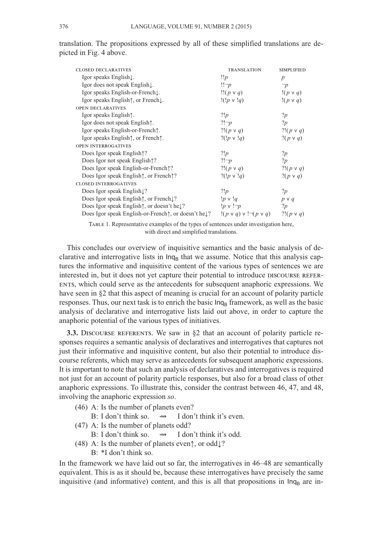| <b>CLOSED DECLARATIVES</b>                                                                        | <b>TRANSLATION</b>                  | <b>SIMPLIFIED</b> |
|---------------------------------------------------------------------------------------------------|-------------------------------------|-------------------|
| Igor speaks English <sub>J</sub> .                                                                | !!p                                 | $\boldsymbol{p}$  |
| Igor does not speak English <sub>1</sub> .                                                        | $! \neg p$                          | $\neg p$          |
| Igor speaks English-or-French <sub>1</sub> .                                                      | $\mathop{!}(p \vee q)$              | $!(p \vee q)$     |
| Igor speaks English <sup><math>\uparrow</math></sup> , or French <sub>1</sub> .                   |                                     | $!(p \vee q)$     |
| <b>OPEN DECLARATIVES</b>                                                                          |                                     |                   |
| Igor speaks English <sup>*</sup> .                                                                | ?!p                                 | ?p                |
| Igor does not speak English <sup><math>\uparrow</math></sup> .                                    | $?! \neg p$                         | ?p                |
| Igor speaks English-or-French <sup>†</sup> .                                                      | $?!(p \vee q)$                      | $?!(p \vee q)$    |
| Igor speaks English <sup><math>\uparrow</math></sup> , or French $\uparrow$ .                     | $?(!p \vee !q)$                     | $?(p \vee q)$     |
| <b>OPEN INTERROGATIVES</b>                                                                        |                                     |                   |
| Does Igor speak English <sup>1</sup> ?                                                            | ?!p                                 | ?p                |
| Does Igor not speak English <sup>1</sup> ?                                                        | $?! \neg p$                         | ?p                |
| Does Igor speak English-or-French <sup>†?</sup>                                                   | $?!(p \vee q)$                      | $?!(p \vee q)$    |
| Does Igor speak English <sup><math>\uparrow</math></sup> , or French $\uparrow$ ?                 | $?(!p \vee !q)$                     | $?(p \vee q)$     |
| <b>CLOSED INTERROGATIVES</b>                                                                      |                                     |                   |
| Does Igor speak English <sup>1</sup> ?                                                            | ?!p                                 | ?p                |
| Does Igor speak English <sup><math>\uparrow</math></sup> , or French <sup>1</sup> ?               | $!p \vee !q$                        | $p \vee q$        |
| Does Igor speak English <sup><math>\uparrow</math></sup> , or doesn't he <sup>1</sup> ?           | $!p \vee !\neg p$                   | ?p                |
| Does Igor speak English-or-French <sup><math>\uparrow</math></sup> , or doesn't he <sup>1</sup> ? | $!(p \vee q) \vee !\neg (p \vee q)$ | $?!(p \vee q)$    |

translation. The propositions expressed by all of these simplified translations are depicted in Fig. 4 above.

> Table 1. Representative examples of the types of sentences under investigation here, with direct and simplified translations.

This concludes our overview of inquisitive semantics and the basic analysis of declarative and interrogative lists in  $Inq<sub>B</sub>$  that we assume. Notice that this analysis captures the informative and inquisitive content of the various types of sentences we are interested in, but it does not yet capture their potential to introduce DISCOURSE REFER-ENTS, which could serve as the antecedents for subsequent anaphoric expressions. We have seen in §2 that this aspect of meaning is crucial for an account of polarity particle responses. Thus, our next task is to enrich the basic  $Inq<sub>B</sub>$  framework, as well as the basic analysis of declarative and interrogative lists laid out above, in order to capture the anaphoric potential of the various types of initiatives.

**3.3.** DISCOURSE REFERENTS. We saw in §2 that an account of polarity particle responses requires a semantic analysis of declaratives and interrogatives that captures not just their informative and inquisitive content, but also their potential to introduce discourse referents, which may serve as antecedents for subsequent anaphoric expressions. It is important to note that such an analysis of declaratives and interrogatives is required not just for an account of polarity particle responses, but also for a broad class of other anaphoric expressions. To illustrate this, consider the contrast between 46, 47, and 48, involving the anaphoric expression *so*.

- (46) A: Is the number of planets even?
	- B: I don't think so.  $\Rightarrow$  I don't think it's even.
- (47) A: Is the number of planets odd?
	- B: I don't think so.  $\Rightarrow$  I don't think it's odd.
- (48) A: Is the number of planets even $\uparrow$ , or odd $\downarrow$ ?
	- B: \*I don't think so.

In the framework we have laid out so far, the interrogatives in 46–48 are semantically equivalent. This is as it should be, because these interrogatives have precisely the same inquisitive (and informative) content, and this is all that propositions in  $\ln q_B$  are in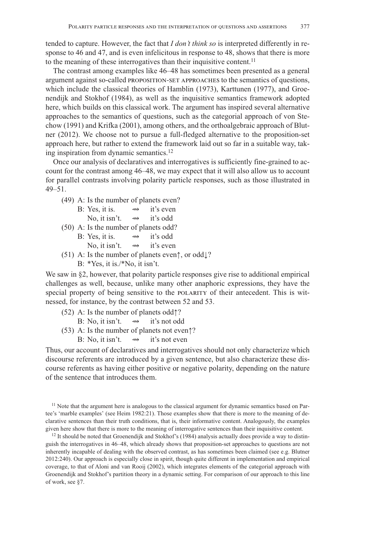tended to capture. However, the fact that *I don't think so* is interpreted differently in response to 46 and 47, and is even infelicitous in response to 48, shows that there is more to the meaning of these interrogatives than their inquisitive content.<sup>11</sup>

The contrast among examples like 46–48 has sometimes been presented as a general argument against so-called proposition-set approaches to the semantics of questions, which include the classical theories of Hamblin (1973), Karttunen (1977), and Groenendijk and Stokhof (1984), as well as the inquisitive semantics framework adopted here, which builds on this classical work. The argument has inspired several alternative approaches to the semantics of questions, such as the categorial approach of von Stechow (1991) and Krifka (2001), among others, and the orthoalgebraic approach of Blutner (2012). We choose not to pursue a full-fledged alternative to the proposition-set approach here, but rather to extend the framework laid out so far in a suitable way, taking inspiration from dynamic semantics.12

Once our analysis of declaratives and interrogatives is sufficiently fine-grained to account for the contrast among 46–48, we may expect that it will also allow us to account for parallel contrasts involving polarity particle responses, such as those illustrated in 49–51.

(49) A: Is the number of planets even?

|  | B: Yes, it is.                        | $\rightsquigarrow$ | it's even |
|--|---------------------------------------|--------------------|-----------|
|  | No, it isn't.                         | ₩                  | it's odd  |
|  | (50) A: Is the number of planets odd? |                    |           |
|  | B: Yes, it is.                        | ₩                  | it's odd  |
|  | No, it isn't.                         | $\rightsquigarrow$ | it's even |

(51) A: Is the number of planets even $\uparrow$ , or odd $\downarrow$ ? B: \*Yes, it is./\*No, it isn't.

We saw in §2, however, that polarity particle responses give rise to additional empirical challenges as well, because, unlike many other anaphoric expressions, they have the special property of being sensitive to the POLARITY of their antecedent. This is witnessed, for instance, by the contrast between 52 and 53.

- (52) A: Is the number of planets odd↑?
	- B: No, it isn't.  $\Rightarrow$  it's not odd
- (53) A: Is the number of planets not even↑? B: No, it isn't.  $\Rightarrow$  it's not even

Thus, our account of declaratives and interrogatives should not only characterize which discourse referents are introduced by a given sentence, but also characterize these discourse referents as having either positive or negative polarity, depending on the nature of the sentence that introduces them.

<sup>&</sup>lt;sup>11</sup> Note that the argument here is analogous to the classical argument for dynamic semantics based on Partee's 'marble examples' (see Heim 1982:21). Those examples show that there is more to the meaning of declarative sentences than their truth conditions, that is, their informative content. Analogously, the examples given here show that there is more to the meaning of interrogative sentences than their inquisitive content.

<sup>&</sup>lt;sup>12</sup> It should be noted that Groenendijk and Stokhof's (1984) analysis actually does provide a way to distinguish the interrogatives in 46–48, which already shows that proposition-set approaches to questions are not inherently incapable of dealing with the observed contrast, as has sometimes been claimed (see e.g. Blutner 2012:240). Our approach is especially close in spirit, though quite different in implementation and empirical coverage, to that of Aloni and van Rooij (2002), which integrates elements of the categorial approach with Groenendijk and Stokhof's partition theory in a dynamic setting. For comparison of our approach to this line of work, see §7.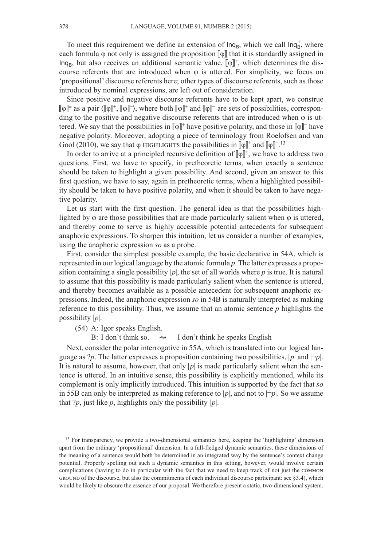To meet this requirement we define an extension of  $Inq_B$ , which we call  $Inq_B^{\pm}$ , where each formula  $\varphi$  not only is assigned the proposition  $\llbracket \varphi \rrbracket$  that it is standardly assigned in Inq<sub>B</sub>, but also receives an additional semantic value,  $[\![\varphi]\!]^{\pm}$ , which determines the discourse referents that are introduced when  $\varphi$  is uttered. For simplicity, we focus on 'propositional' discourse referents here; other types of discourse referents, such as those introduced by nominal expressions, are left out of consideration.

Since positive and negative discourse referents have to be kept apart, we construe  $[\![\varphi]\!]^{\pm}$  as a pair  $\langle [\![\varphi]\!]^{\pm}$ ,  $[\![\varphi]\!]^{\pm}$ , where both  $[\![\varphi]\!]^{\pm}$  and  $[\![\varphi]\!]^{\pm}$  are sets of possibilities, corresponding to the positive and negative discourse referents that are introduced when  $\varphi$  is uttered. We say that the possibilities in  $[\![\varphi]\!]^+$  have positive polarity, and those in  $[\![\varphi]\!]^-$  have negative polarity. Moreover, adopting a piece of terminology from Roelofsen and van Gool (2010), we say that  $\varphi$  HIGHLIGHTS the possibilities in  $\llbracket \varphi \rrbracket^+$  and  $\llbracket \varphi \rrbracket^{-1}$ .

In order to arrive at a principled recursive definition of  $[\![\varphi]\!]^{\pm}$ , we have to address two questions. First, we have to specify, in pretheoretic terms, when exactly a sentence should be taken to highlight a given possibility. And second, given an answer to this first question, we have to say, again in pretheoretic terms, when a highlighted possibility should be taken to have positive polarity, and when it should be taken to have negative polarity.

Let us start with the first question. The general idea is that the possibilities highlighted by  $\varphi$  are those possibilities that are made particularly salient when  $\varphi$  is uttered, and thereby come to serve as highly accessible potential antecedents for subsequent anaphoric expressions. To sharpen this intuition, let us consider a number of examples, using the anaphoric expression *so* as a probe.

First, consider the simplest possible example, the basic declarative in 54A, which is represented in our logical language by the atomic formula *p*. The latter expresses a proposition containing a single possibility  $|p|$ , the set of all worlds where p is true. It is natural to assume that this possibility is made particularly salient when the sentence is uttered, and thereby becomes available as a possible antecedent for subsequent anaphoric expressions. Indeed, the anaphoric expression *so* in 54B is naturally interpreted as making reference to this possibility. Thus, we assume that an atomic sentence *p* highlights the possibility |*p*|.

#### (54) A: Igor speaks English.

B: I don't think so.  $\rightarrow$  I don't think he speaks English

Next, consider the polar interrogative in 55A, which is translated into our logical language as ?*p*. The latter expresses a proposition containing two possibilities,  $|p|$  and  $|\neg p|$ . It is natural to assume, however, that only  $|p|$  is made particularly salient when the sentence is uttered. In an intuitive sense, this possibility is explicitly mentioned, while its complement is only implicitly introduced. This intuition is supported by the fact that *so* in 55B can only be interpreted as making reference to  $|p|$ , and not to  $|\neg p|$ . So we assume that  $?p$ , just like *p*, highlights only the possibility  $|p|$ .

<sup>&</sup>lt;sup>13</sup> For transparency, we provide a two-dimensional semantics here, keeping the 'highlighting' dimension apart from the ordinary 'propositional' dimension. In a full-fledged dynamic semantics, these dimensions of the meaning of a sentence would both be determined in an integrated way by the sentence's context change potential. Properly spelling out such a dynamic semantics in this setting, however, would involve certain complications (having to do in particular with the fact that we need to keep track of not just the common ground of the discourse, but also the commitments of each individual discourse participant: see §3.4), which would be likely to obscure the essence of our proposal. We therefore present a static, two-dimensional system.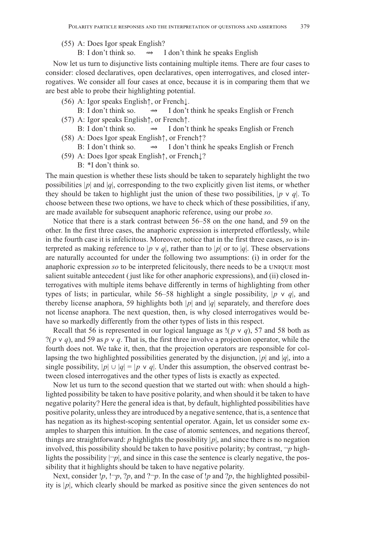(55) A: Does Igor speak English?

B: I don't think so.  $\Rightarrow$  I don't think he speaks English

Now let us turn to disjunctive lists containing multiple items. There are four cases to consider: closed declaratives, open declaratives, open interrogatives, and closed interrogatives. We consider all four cases at once, because it is in comparing them that we are best able to probe their highlighting potential.

- (56) A: Igor speaks English↑, or French↓.
- B: I don't think so.  $\rightarrow$  I don't think he speaks English or French (57) A: Igor speaks English↑, or French↑.
- B: I don't think so.  $\rightarrow$  I don't think he speaks English or French (58) A: Does Igor speak English↑, or French↑?
- B: I don't think so.  $\rightarrow$  I don't think he speaks English or French
- (59) A: Does Igor speak English↑, or French↓?
	- B: \*I don't think so.

The main question is whether these lists should be taken to separately highlight the two possibilities |*p*| and |*q*|, corresponding to the two explicitly given list items, or whether they should be taken to highlight just the union of these two possibilities, |*p* ∨ *q*|. To choose between these two options, we have to check which of these possibilities, if any, are made available for subsequent anaphoric reference, using our probe *so*.

Notice that there is a stark contrast between 56–58 on the one hand, and 59 on the other. In the first three cases, the anaphoric expression is interpreted effortlessly, while in the fourth case it is infelicitous. Moreover, notice that in the first three cases, *so* is interpreted as making reference to |*p* ∨ *q*|, rather than to |*p*| or to |*q*|. These observations are naturally accounted for under the following two assumptions: (i) in order for the anaphoric expression *so* to be interpreted felicitously, there needs to be a unique most salient suitable antecedent ( just like for other anaphoric expressions), and (ii) closed interrogatives with multiple items behave differently in terms of highlighting from other types of lists; in particular, while 56–58 highlight a single possibility,  $|p \vee q|$ , and thereby license anaphora, 59 highlights both |*p*| and |*q*| separately, and therefore does not license anaphora. The next question, then, is why closed interrogatives would behave so markedly differently from the other types of lists in this respect.

Recall that 56 is represented in our logical language as  $!(p \vee q)$ , 57 and 58 both as ?( *p* ∨ *q*), and 59 as *p* ∨ *q*. That is, the first three involve a projection operator, while the fourth does not. We take it, then, that the projection operators are responsible for collapsing the two highlighted possibilities generated by the disjunction, |*p*| and |*q*|, into a single possibility,  $|p| \cup |q| = |p \vee q|$ . Under this assumption, the observed contrast between closed interrogatives and the other types of lists is exactly as expected.

Now let us turn to the second question that we started out with: when should a highlighted possibility be taken to have positive polarity, and when should it be taken to have negative polarity? Here the general idea is that, by default, highlighted possibilities have positive polarity, unless they are introduced by a negative sentence, that is, a sentence that has negation as its highest-scoping sentential operator. Again, let us consider some examples to sharpen this intuition. In the case of atomic sentences, and negations thereof, things are straightforward:  $p$  highlights the possibility  $|p|$ , and since there is no negation involved, this possibility should be taken to have positive polarity; by contrast, ¬*p* highlights the possibility  $|\neg p|$ , and since in this case the sentence is clearly negative, the possibility that it highlights should be taken to have negative polarity.

Next, consider  $\langle p, \cdot \rangle$  *p*,  $\langle p, \cdot \rangle$  and  $\langle \cdot \rangle$  *p*. In the case of  $\langle p, \cdot \rangle$  and  $\langle p, \cdot \rangle$  the highlighted possibility is |*p*|, which clearly should be marked as positive since the given sentences do not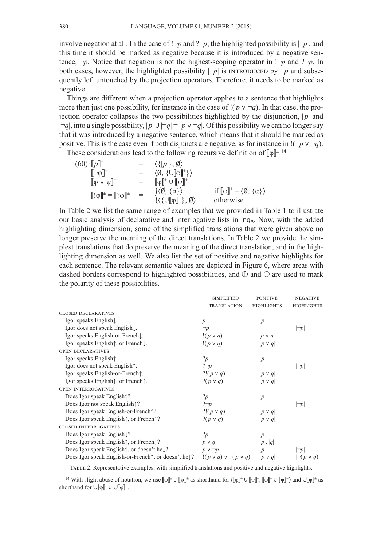involve negation at all. In the case of ! $\neg p$  and ? $\neg p$ , the highlighted possibility is  $|\neg p|$ , and this time it should be marked as negative because it is introduced by a negative sentence,  $\neg p$ . Notice that negation is not the highest-scoping operator in  $\neg p$  and  $\neg p$ . In both cases, however, the highlighted possibility  $|\neg p|$  is INTRODUCED by  $\neg p$  and subsequently left untouched by the projection operators. Therefore, it needs to be marked as negative.

Things are different when a projection operator applies to a sentence that highlights more than just one possibility, for instance in the case of  $!(p \vee \neg q)$ . In that case, the projection operator collapses the two possibilities highlighted by the disjunction, | *p*| and  $|\neg q|$ , into a single possibility,  $|p| \cup |\neg q| = |p \vee \neg q|$ . Of this possibility we can no longer say that it was introduced by a negative sentence, which means that it should be marked as positive. This is the case even if both disjuncts are negative, as for instance in ! $(\neg p \lor \neg q)$ .

These considerations lead to the following recursive definition of  $[\![\varphi]\!]^{\pm}$ .<sup>14</sup>

| $(60)$ $[$ p <sup><math>]</math><math>\pm</math></sup> |     | $\langle \{ p \}, \emptyset \rangle$                                                                                                                                |                                                                                   |
|--------------------------------------------------------|-----|---------------------------------------------------------------------------------------------------------------------------------------------------------------------|-----------------------------------------------------------------------------------|
| $\mathbb{H}^{-0}$                                      | $=$ | $\langle \emptyset, \{\overline{\cup [ \varphi ]^{\pm}} \} \rangle$                                                                                                 |                                                                                   |
| $\ \varphi \vee \psi\ $ <sup><math>\pm</math></sup>    | $=$ | $\llbracket \phi \rrbracket^{\pm} \cup \llbracket \psi \rrbracket^{\pm}$                                                                                            |                                                                                   |
| $[[! \varphi]]^{\pm} = [[? \varphi]]^{\pm}$            | $=$ | $\begin{array}{l} \left\langle \langle \emptyset , \{ \alpha \} \right\rangle \ \left\langle \{ \cup [\![ \varphi ]\!]^\pm \}, \emptyset \right\rangle \end{array}$ | if $[\![\varphi]\!]^{\pm} = \langle \varnothing, \{\alpha\} \rangle$<br>otherwise |

In Table 2 we list the same range of examples that we provided in Table 1 to illustrate our basic analysis of declarative and interrogative lists in  $Inq_B$ . Now, with the added highlighting dimension, some of the simplified translations that were given above no longer preserve the meaning of the direct translations. In Table 2 we provide the simplest translations that do preserve the meaning of the direct translation, and in the highlighting dimension as well. We also list the set of positive and negative highlights for each sentence. The relevant semantic values are depicted in Figure 6, where areas with dashed borders correspond to highlighted possibilities, and  $\oplus$  and  $\ominus$  are used to mark the polarity of these possibilities.

|                                                                                                   | <b>SIMPLIFIED</b>                                   | <b>POSITIVE</b>   | <b>NEGATIVE</b>               |
|---------------------------------------------------------------------------------------------------|-----------------------------------------------------|-------------------|-------------------------------|
|                                                                                                   | <b>TRANSLATION</b>                                  | <b>HIGHLIGHTS</b> | <b>HIGHLIGHTS</b>             |
| <b>CLOSED DECLARATIVES</b>                                                                        |                                                     |                   |                               |
| Igor speaks English <sub>L</sub> .                                                                | $\boldsymbol{p}$                                    | p                 |                               |
| Igor does not speak English <sub>1</sub> .                                                        | $\neg p$                                            |                   | $\Box p$                      |
| Igor speaks English-or-French L.                                                                  | $!(p \vee q)$                                       | $ p \vee q $      |                               |
| Igor speaks English <sup><math>\uparrow</math></sup> , or French <sub>1</sub> .                   | $!(p \vee q)$                                       | $ p \vee q $      |                               |
| <b>OPEN DECLARATIVES</b>                                                                          |                                                     |                   |                               |
| Igor speaks English <sup>*</sup> .                                                                | ?p                                                  | p                 |                               |
| Igor does not speak English <sup>*</sup> .                                                        | $? \neg p$                                          |                   | $ \neg p $                    |
| Igor speaks English-or-French <sup><math>\uparrow</math></sup> .                                  | $?!(p \vee q)$                                      | $ p \vee q $      |                               |
| Igor speaks English <sup><math>\uparrow</math></sup> , or French $\uparrow$ .                     | $?(p \vee q)$                                       | $ p \vee q $      |                               |
| <b>OPEN INTERROGATIVES</b>                                                                        |                                                     |                   |                               |
| Does Igor speak English <sup>†?</sup>                                                             | ?p                                                  | p                 |                               |
| Does Igor not speak English <sup>1</sup> ?                                                        | $? \neg p$                                          |                   | $\Box p$                      |
| Does Igor speak English-or-French <sup>†?</sup>                                                   | $?!(p \vee q)$                                      | $ p \vee q $      |                               |
| Does Igor speak English <sup><math>\uparrow</math></sup> , or French $\uparrow$ ?                 | $?(p \vee q)$                                       | $ p \vee q $      |                               |
| <b>CLOSED INTERROGATIVES</b>                                                                      |                                                     |                   |                               |
| Does Igor speak English <sup>1</sup> ?                                                            | ?p                                                  | p                 |                               |
| Does Igor speak English <sup><math>\uparrow</math></sup> , or French <sup>1</sup> ?               | $p \vee q$                                          | p ,  q            |                               |
| Does Igor speak English <sup><math>\uparrow</math></sup> , or doesn't he <sup>1</sup> ?           | $p \vee \neg p$                                     | p                 | $\Box p$                      |
| Does Igor speak English-or-French <sup><math>\uparrow</math></sup> , or doesn't he <sup>1</sup> ? | $ (p \vee q) \vee \neg (p \vee q) \quad  p \vee q $ |                   | $\left \neg(p \vee q)\right $ |

Table 2. Representative examples, with simplified translations and positive and negative highlights.

<sup>14</sup> With slight abuse of notation, we use  $[\![\varphi]\!]^{\pm} \cup [\![\psi]\!]^{\pm}$  as shorthand for  $\langle [\![\varphi]\!]^{\pm} \cup [\![\psi]\!]^{\pm}$ ,  $[\![\varphi]\!]^{-} \cup [\![\psi]\!]^{-}$  and  $\bigcup [\![\varphi]\!]^{\pm}$  as shorthand for  $\cup [\![\varphi]\!]^+ \cup \cup [\![\varphi]\!]^-$ .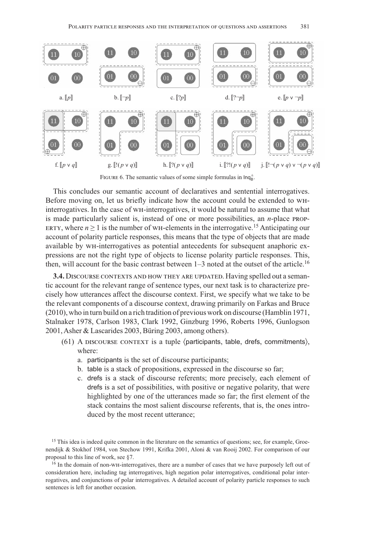

FIGURE 6. The semantic values of some simple formulas in  $Inq_B^{\pm}$ .

This concludes our semantic account of declaratives and sentential interrogatives. Before moving on, let us briefly indicate how the account could be extended to whinterrogatives. In the case of wh-interrogatives, it would be natural to assume that what is made particularly salient is, instead of one or more possibilities, an *n*-place prop-ERTY, where  $n \geq 1$  is the number of WH-elements in the interrogative.<sup>15</sup> Anticipating our account of polarity particle responses, this means that the type of objects that are made available by wh-interrogatives as potential antecedents for subsequent anaphoric expressions are not the right type of objects to license polarity particle responses. This, then, will account for the basic contrast between  $1-3$  noted at the outset of the article.<sup>16</sup>

**3.4.** DISCOURSE CONTEXTS AND HOW THEY ARE UPDATED. Having spelled out a semantic account for the relevant range of sentence types, our next task is to characterize precisely how utterances affect the discourse context. First, we specify what we take to be the relevant components of a discourse context, drawing primarily on Farkas and Bruce (2010), who in turn build on a rich tradition of previous work on discourse (Hamblin 1971, Stalnaker 1978, Carlson 1983, Clark 1992, Ginzburg 1996, Roberts 1996, Gunlogson 2001, Asher & Lascarides 2003, Büring 2003, among others).

- $(61)$  A discourse context is a tuple  $\langle$  participants, table, drefs, commitments $\rangle$ , where:
	- a. participants is the set of discourse participants;
	- b. table is a stack of propositions, expressed in the discourse so far;
	- c. drefs is a stack of discourse referents; more precisely, each element of drefs is a set of possibilities, with positive or negative polarity, that were highlighted by one of the utterances made so far; the first element of the stack contains the most salient discourse referents, that is, the ones introduced by the most recent utterance;

<sup>15</sup> This idea is indeed quite common in the literature on the semantics of questions; see, for example, Groenendijk & Stokhof 1984, von Stechow 1991, Krifka 2001, Aloni & van Rooij 2002. For comparison of our proposal to this line of work, see §7.

<sup>16</sup> In the domain of non-wh-interrogatives, there are a number of cases that we have purposely left out of consideration here, including tag interrogatives, high negation polar interrogatives, conditional polar interrogatives, and conjunctions of polar interrogatives. A detailed account of polarity particle responses to such sentences is left for another occasion.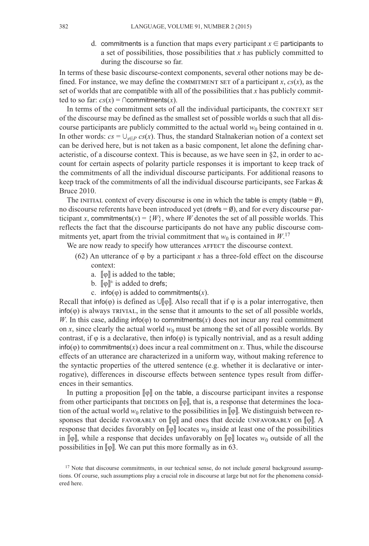d. commitments is a function that maps every participant  $x \in$  participants to a set of possibilities, those possibilities that *x* has publicly committed to during the discourse so far.

In terms of these basic discourse-context components, several other notions may be defined. For instance, we may define the COMMITMENT SET of a participant  $x$ ,  $cs(x)$ , as the set of worlds that are compatible with all of the possibilities that *x* has publicly committed to so far:  $cs(x) = \bigcap$  commitments(x).

In terms of the commitment sets of all the individual participants, the CONTEXT SET of the discourse may be defined as the smallest set of possible worlds  $\alpha$  such that all discourse participants are publicly committed to the actual world  $w_0$  being contained in  $\alpha$ . In other words:  $cs = \bigcup_{x \in P} cs(x)$ . Thus, the standard Stalnakerian notion of a context set can be derived here, but is not taken as a basic component, let alone the defining characteristic, of a discourse context. This is because, as we have seen in §2, in order to account for certain aspects of polarity particle responses it is important to keep track of the commitments of all the individual discourse participants. For additional reasons to keep track of the commitments of all the individual discourse participants, see Farkas & Bruce 2010.

The INITIAL context of every discourse is one in which the table is empty (table =  $\emptyset$ ), no discourse referents have been introduced yet (drefs =  $\emptyset$ ), and for every discourse participant *x*, commitments(*x*) = {*W*}, where *W* denotes the set of all possible worlds. This reflects the fact that the discourse participants do not have any public discourse commitments yet, apart from the trivial commitment that  $w_0$  is contained in  $W$ <sup>17</sup>

We are now ready to specify how utterances AFFECT the discourse context.

- (62) An utterance of φ by a participant *x* has a three-fold effect on the discourse context:
	- a.  $[\![\varphi]\!]$  is added to the table;
	- b.  $[\![\varphi]\!]^{\pm}$  is added to drefs;
	- c. info( $\varphi$ ) is added to commitments(x).

Recall that info( $\varphi$ ) is defined as  $\bigcup_{\varphi} [\varphi]$ . Also recall that if  $\varphi$  is a polar interrogative, then info(φ) is always  $TRIVIAL$ , in the sense that it amounts to the set of all possible worlds, *W*. In this case, adding  $info(\varphi)$  to commitments(*x*) does not incur any real commitment on  $x$ , since clearly the actual world  $w_0$  must be among the set of all possible worlds. By contrast, if  $\varphi$  is a declarative, then info( $\varphi$ ) is typically nontrivial, and as a result adding info(φ) to commitments(*x*) does incur a real commitment on *x*. Thus, while the discourse effects of an utterance are characterized in a uniform way, without making reference to the syntactic properties of the uttered sentence (e.g. whether it is declarative or interrogative), differences in discourse effects between sentence types result from differences in their semantics.

In putting a proposition  $[\![\varphi]\!]$  on the table, a discourse participant invites a response from other participants that DECIDES on  $[\![\varphi]\!]$ , that is, a response that determines the location of the actual world  $w_0$  relative to the possibilities in  $[\![\varphi]\!]$ . We distinguish between responses that decide FAVORABLY on  $[\![\varphi]\!]$  and ones that decide UNFAVORABLY on  $[\![\varphi]\!]$ . A response that decides favorably on  $[\![\varphi]\!]$  locates  $w_0$  inside at least one of the possibilities in  $\llbracket \varphi \rrbracket$ , while a response that decides unfavorably on  $\llbracket \varphi \rrbracket$  locates  $w_0$  outside of all the possibilities in  $[\![\varphi]\!]$ . We can put this more formally as in 63.

 $17$  Note that discourse commitments, in our technical sense, do not include general background assumptions. Of course, such assumptions play a crucial role in discourse at large but not for the phenomena considered here.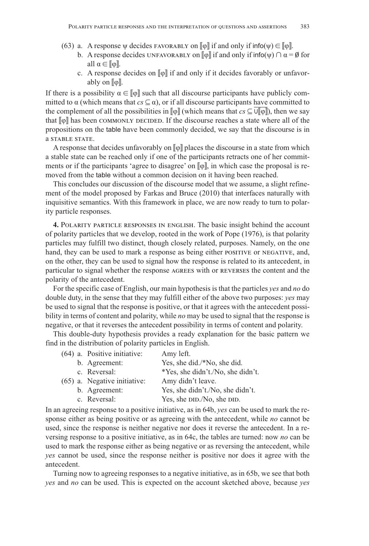- (63) a. A response  $\psi$  decides FAVORABLY on  $[\![\varphi]\!]$  if and only if info( $\psi$ )  $\in [\![\varphi]\!]$ .
	- b. A response decides UNFAVORABLY on  $[\![\varphi]\!]$  if and only if info( $\psi$ )  $\cap$   $\alpha = \emptyset$  for all α ∈ [[φ]].
		- c. A response decides on  $[\![\varphi]\!]$  if and only if it decides favorably or unfavorably on  $[\![\varphi]\!]$ .

If there is a possibility  $\alpha \in [\![\varphi]\!]$  such that all discourse participants have publicly committed to  $\alpha$  (which means that  $cs \subseteq \alpha$ ), or if all discourse participants have committed to the complement of all the possibilities in  $[\![\varphi]\!]$  (which means that  $cs \subseteq \text{U}[\![\varphi]\!]$ ), then we say that  $[\![\varphi]\!]$  has been commonly decided. If the discourse reaches a state where all of the propositions on the table have been commonly decided, we say that the discourse is in a STABLE STATE.

A response that decides unfavorably on  $\llbracket \phi \rrbracket$  places the discourse in a state from which a stable state can be reached only if one of the participants retracts one of her commitments or if the participants 'agree to disagree' on  $[\![\varphi]\!]$ , in which case the proposal is removed from the table without a common decision on it having been reached.

This concludes our discussion of the discourse model that we assume, a slight refinement of the model proposed by Farkas and Bruce (2010) that interfaces naturally with inquisitive semantics. With this framework in place, we are now ready to turn to polarity particle responses.

**4.** Polarity particle responses in english. The basic insight behind the account of polarity particles that we develop, rooted in the work of Pope (1976), is that polarity particles may fulfill two distinct, though closely related, purposes. Namely, on the one hand, they can be used to mark a response as being either positive or NEGATIVE, and, on the other, they can be used to signal how the response is related to its antecedent, in particular to signal whether the response agrees with or reverses the content and the polarity of the antecedent.

For the specific case of English, our main hypothesis is that the particles *yes* and *no* do double duty, in the sense that they may fulfill either of the above two purposes: *yes* may be used to signal that the response is positive, or that it agrees with the antecedent possibility in terms of content and polarity, while *no* may be used to signal that the response is negative, or that it reverses the antecedent possibility in terms of content and polarity.

This double-duty hypothesis provides a ready explanation for the basic pattern we find in the distribution of polarity particles in English.

|  | (64) a. Positive initiative: | Amy left.                         |
|--|------------------------------|-----------------------------------|
|  | b. Agreement:                | Yes, she did./*No, she did.       |
|  | c. Reversal:                 | *Yes, she didn't./No, she didn't. |
|  | (65) a. Negative initiative: | Amy didn't leave.                 |
|  | b. Agreement:                | Yes, she didn't./No, she didn't.  |
|  | c. Reversal:                 | Yes, she DID./No, she DID.        |
|  |                              |                                   |

In an agreeing response to a positive initiative, as in 64b, *yes* can be used to mark the response either as being positive or as agreeing with the antecedent, while *no* cannot be used, since the response is neither negative nor does it reverse the antecedent. In a reversing response to a positive initiative, as in 64c, the tables are turned: now *no* can be used to mark the response either as being negative or as reversing the antecedent, while *yes* cannot be used, since the response neither is positive nor does it agree with the antecedent.

Turning now to agreeing responses to a negative initiative, as in 65b, we see that both *yes* and *no* can be used. This is expected on the account sketched above, because *yes*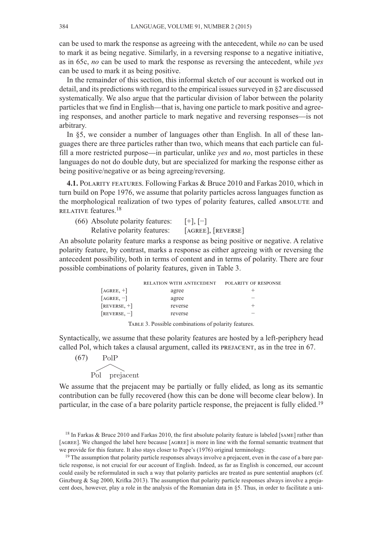can be used to mark the response as agreeing with the antecedent, while *no* can be used to mark it as being negative. Similarly, in a reversing response to a negative initiative, as in 65c, *no* can be used to mark the response as reversing the antecedent, while *yes* can be used to mark it as being positive.

In the remainder of this section, this informal sketch of our account is worked out in detail, and its predictions with regard to the empirical issues surveyed in §2 are discussed systematically. We also argue that the particular division of labor between the polarity particles that we find in English—that is, having one particle to mark positive and agreeing responses, and another particle to mark negative and reversing responses—is not arbitrary.

In §5, we consider a number of languages other than English. In all of these languages there are three particles rather than two, which means that each particle can fulfill a more restricted purpose—in particular, unlike *yes* and *no*, most particles in these languages do not do double duty, but are specialized for marking the response either as being positive/negative or as being agreeing/reversing.

**4.1.** Polarity features. Following Farkas & Bruce 2010 and Farkas 2010, which in turn build on Pope 1976, we assume that polarity particles across languages function as the morphological realization of two types of polarity features, called ABSOLUTE and RELATIVE features.<sup>18</sup>

| (66) Absolute polarity features: | $[+]$ , $[-]$      |
|----------------------------------|--------------------|
| Relative polarity features:      | [AGREE], [REVERSE] |

An absolute polarity feature marks a response as being positive or negative. A relative polarity feature, by contrast, marks a response as either agreeing with or reversing the antecedent possibility, both in terms of content and in terms of polarity. There are four possible combinations of polarity features, given in Table 3.

|                | RELATION WITH ANTECEDENT | <b>POLARITY OF RESPONSE</b> |
|----------------|--------------------------|-----------------------------|
| $[AGEE, +]$    | agree                    |                             |
| $[AGEE, -]$    | agree                    |                             |
| $[REVERSE, +]$ | reverse                  |                             |
| $[REVERSE, -]$ | reverse                  |                             |

TABLE 3. Possible combinations of polarity features.

Syntactically, we assume that these polarity features are hosted by a left-periphery head called Pol, which takes a clausal argument, called its PREJACENT, as in the tree in 67.



We assume that the prejacent may be partially or fully elided, as long as its semantic contribution can be fully recovered (how this can be done will become clear below). In particular, in the case of a bare polarity particle response, the prejacent is fully elided.<sup>19</sup>

<sup>&</sup>lt;sup>18</sup> In Farkas & Bruce 2010 and Farkas 2010, the first absolute polarity feature is labeled [SAME] rather than [agree]. We changed the label here because [agree] is more in line with the formal semantic treatment that we provide for this feature. It also stays closer to Pope's (1976) original terminology.

<sup>&</sup>lt;sup>19</sup> The assumption that polarity particle responses always involve a prejacent, even in the case of a bare particle response, is not crucial for our account of English. Indeed, as far as English is concerned, our account could easily be reformulated in such a way that polarity particles are treated as pure sentential anaphors (cf. Ginzburg & Sag 2000, Krifka 2013). The assumption that polarity particle responses always involve a prejacent does, however, play a role in the analysis of the Romanian data in §5. Thus, in order to facilitate a uni-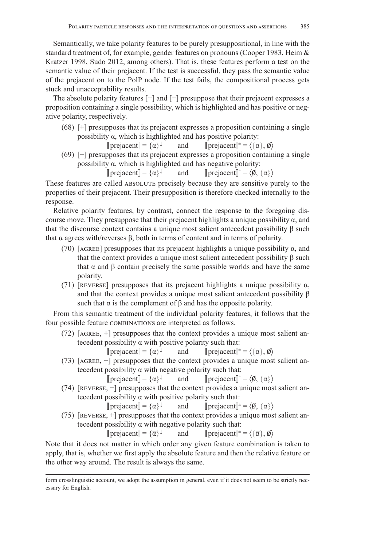Semantically, we take polarity features to be purely presuppositional, in line with the standard treatment of, for example, gender features on pronouns (Cooper 1983, Heim & Kratzer 1998, Sudo 2012, among others). That is, these features perform a test on the semantic value of their prejacent. If the test is successful, they pass the semantic value of the prejacent on to the PolP node. If the test fails, the compositional process gets stuck and unacceptability results.

The absolute polarity features [+] and [−] presuppose that their prejacent expresses a proposition containing a single possibility, which is highlighted and has positive or negative polarity, respectively.

(68) [+] presupposes that its prejacent expresses a proposition containing a single possibility α, which is highlighted and has positive polarity:

> $[prejacent] = {\alpha}^{\downarrow}$  and  $[$ [prejacent] $\pm = \langle {\alpha}{\rangle}, \emptyset {\rangle}$

(69) [−] presupposes that its prejacent expresses a proposition containing a single possibility α, which is highlighted and has negative polarity:

 $[prejacent] = {\alpha}^{\downarrow}$  and  $[$  $[|prejacent]|^{\pm} = \langle \emptyset, {\alpha} \rangle$ 

These features are called ABSOLUTE precisely because they are sensitive purely to the properties of their prejacent. Their presupposition is therefore checked internally to the response.

Relative polarity features, by contrast, connect the response to the foregoing discourse move. They presuppose that their prejacent highlights a unique possibility  $α$ , and that the discourse context contains a unique most salient antecedent possibility β such that α agrees with/reverses β, both in terms of content and in terms of polarity.

- (70) [AGREE] presupposes that its prejacent highlights a unique possibility  $\alpha$ , and that the context provides a unique most salient antecedent possibility β such that  $\alpha$  and  $\beta$  contain precisely the same possible worlds and have the same polarity.
- (71) [REVERSE] presupposes that its prejacent highlights a unique possibility  $\alpha$ , and that the context provides a unique most salient antecedent possibility  $\beta$ such that  $\alpha$  is the complement of  $\beta$  and has the opposite polarity.

From this semantic treatment of the individual polarity features, it follows that the four possible feature combinations are interpreted as follows.

 $(72)$  [AGREE,  $+$ ] presupposes that the context provides a unique most salient antecedent possibility α with positive polarity such that:

$$
[\![\text{prejacent}]\!] = \{\alpha\}^{\downarrow} \qquad \text{and} \qquad [\![\text{prejacent}]\!]^{\pm} = \langle \{\alpha\}, \emptyset \rangle
$$

(73) [AGREE,  $-$ ] presupposes that the context provides a unique most salient antecedent possibility α with negative polarity such that:

 $[prejacent] = {\alpha}^{\downarrow}$  and  $[$  $[|$ prejacent $]$ <sup> $\pm$ </sup> =  $\langle \emptyset, \{\alpha\} \rangle$ 

(74) [reverse, −] presupposes that the context provides a unique most salient antecedent possibility α with positive polarity such that:

 $[\text{prejacent}] = {\overline{\alpha}}^{\downarrow} \quad \text{and} \quad [\text{prejacent}]$  $[|$ prejacent $]$ <sup> $\pm$ </sup> =  $\langle \emptyset, \{\overline{\alpha}\}\rangle$ 

(75) [reverse, +] presupposes that the context provides a unique most salient antecedent possibility  $\alpha$  with negative polarity such that:

> $[\text{prejacent}] = {\overline{\alpha}}^{\downarrow} \quad \text{and} \quad [\text{prejacent}]$  $[|$ prejacent $]$ <sup> $\pm$ </sup> =  $\langle {\overline{\alpha}} \rangle$ , Ø $\rangle$

Note that it does not matter in which order any given feature combination is taken to apply, that is, whether we first apply the absolute feature and then the relative feature or the other way around. The result is always the same.

form crosslinguistic account, we adopt the assumption in general, even if it does not seem to be strictly necessary for English.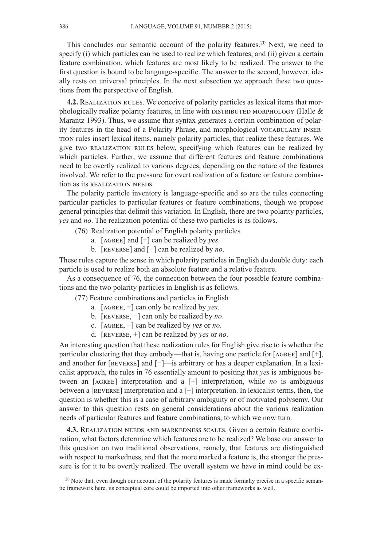This concludes our semantic account of the polarity features.<sup>20</sup> Next, we need to specify (i) which particles can be used to realize which features, and (ii) given a certain feature combination, which features are most likely to be realized. The answer to the first question is bound to be language-specific. The answer to the second, however, ideally rests on universal principles. In the next subsection we approach these two questions from the perspective of English.

**4.2.** REALIZATION RULES. We conceive of polarity particles as lexical items that morphologically realize polarity features, in line with DISTRIBUTED MORPHOLOGY (Halle  $&$ Marantz 1993). Thus, we assume that syntax generates a certain combination of polarity features in the head of a Polarity Phrase, and morphological vocabulary INSERtion rules insert lexical items, namely polarity particles, that realize these features. We give two realization rules below, specifying which features can be realized by which particles. Further, we assume that different features and feature combinations need to be overtly realized to various degrees, depending on the nature of the features involved. We refer to the pressure for overt realization of a feature or feature combination as its REALIZATION NEEDS.

The polarity particle inventory is language-specific and so are the rules connecting particular particles to particular features or feature combinations, though we propose general principles that delimit this variation. In English, there are two polarity particles, *yes* and *no*. The realization potential of these two particles is as follows.

- (76) Realization potential of English polarity particles
	- a. [agree] and [+] can be realized by *yes.*
	- b. [reverse] and [−] can be realized by *no*.

These rules capture the sense in which polarity particles in English do double duty: each particle is used to realize both an absolute feature and a relative feature.

As a consequence of 76, the connection between the four possible feature combinations and the two polarity particles in English is as follows.

(77) Feature combinations and particles in English

- a. [agree, +] can only be realized by *yes*.
- b. [reverse, −] can only be realized by *no*.
- c. [agree, −] can be realized by *yes* or *no*.
- d. [reverse, +] can be realized by *yes* or *no*.

An interesting question that these realization rules for English give rise to is whether the particular clustering that they embody—that is, having one particle for [AGREE] and [+], and another for [reverse] and [−]—is arbitrary or has a deeper explanation. In a lexicalist approach, the rules in 76 essentially amount to positing that *yes* is ambiguous between an [AGREE] interpretation and a [+] interpretation, while *no* is ambiguous between a [reverse] interpretation and a [−] interpretation. In lexicalist terms, then, the question is whether this is a case of arbitrary ambiguity or of motivated polysemy. Our answer to this question rests on general considerations about the various realization needs of particular features and feature combinations, to which we now turn.

**4.3.** Realization needs and markedness scales. Given a certain feature combination, what factors determine which features are to be realized? We base our answer to this question on two traditional observations, namely, that features are distinguished with respect to markedness, and that the more marked a feature is, the stronger the pressure is for it to be overtly realized. The overall system we have in mind could be ex-

<sup>&</sup>lt;sup>20</sup> Note that, even though our account of the polarity features is made formally precise in a specific semantic framework here, its conceptual core could be imported into other frameworks as well.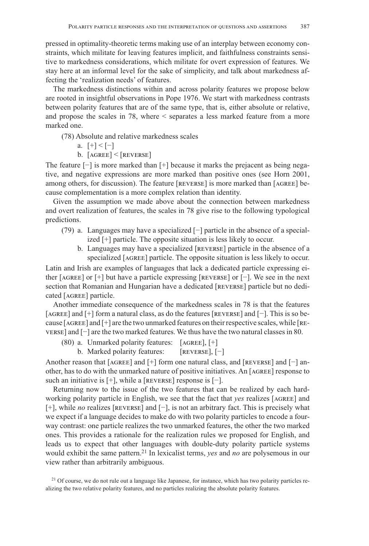pressed in optimality-theoretic terms making use of an interplay between economy constraints, which militate for leaving features implicit, and faithfulness constraints sensitive to markedness considerations, which militate for overt expression of features. We stay here at an informal level for the sake of simplicity, and talk about markedness affecting the 'realization needs' of features.

The markedness distinctions within and across polarity features we propose below are rooted in insightful observations in Pope 1976. We start with markedness contrasts between polarity features that are of the same type, that is, either absolute or relative, and propose the scales in 78, where < separates a less marked feature from a more marked one.

(78) Absolute and relative markedness scales

a.  $[+] < [-]$ 

 $b.$  [AGREE]  $<$  [REVERSE]

The feature [−] is more marked than [+] because it marks the prejacent as being negative, and negative expressions are more marked than positive ones (see Horn 2001, among others, for discussion). The feature [reverse] is more marked than [agree] because complementation is a more complex relation than identity.

Given the assumption we made above about the connection between markedness and overt realization of features, the scales in 78 give rise to the following typological predictions.

- (79) a. Languages may have a specialized [−] particle in the absence of a specialized [+] particle. The opposite situation is less likely to occur.
	- b. Languages may have a specialized [reverse] particle in the absence of a specialized [AGREE] particle. The opposite situation is less likely to occur.

Latin and Irish are examples of languages that lack a dedicated particle expressing either [AGREE] or  $[+]$  but have a particle expressing [REVERSE] or  $[-]$ . We see in the next section that Romanian and Hungarian have a dedicated [REVERSE] particle but no dedicated [agree] particle.

Another immediate consequence of the markedness scales in 78 is that the features [agree] and [+] form a natural class, as do the features [reverse] and [−]. This is so because [AGREE] and [+] are the two unmarked features on their respective scales, while [REverse] and [−] are the two marked features. We thus have the two natural classes in 80.

- (80) a. Unmarked polarity features:  $[AGREE]$ ,  $[+]$ 
	- b. Marked polarity features: [REVERSE], [-]

Another reason that [AGREE] and [+] form one natural class, and [REVERSE] and [-] another, has to do with the unmarked nature of positive initiatives. An [agree] response to such an initiative is  $[+]$ , while a  $[REVERSE]$  response is  $[]$ .

Returning now to the issue of the two features that can be realized by each hardworking polarity particle in English, we see that the fact that *yes* realizes [agree] and [+], while *no* realizes [reverse] and [−], is not an arbitrary fact. This is precisely what we expect if a language decides to make do with two polarity particles to encode a fourway contrast: one particle realizes the two unmarked features, the other the two marked ones. This provides a rationale for the realization rules we proposed for English, and leads us to expect that other languages with double-duty polarity particle systems would exhibit the same pattern.21 In lexicalist terms, *yes* and *no* are polysemous in our view rather than arbitrarily ambiguous.

<sup>21</sup> Of course, we do not rule out a language like Japanese, for instance, which has two polarity particles realizing the two relative polarity features, and no particles realizing the absolute polarity features.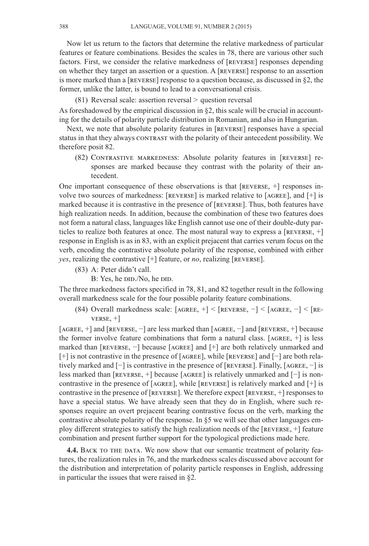Now let us return to the factors that determine the relative markedness of particular features or feature combinations. Besides the scales in 78, there are various other such factors. First, we consider the relative markedness of [reverse] responses depending on whether they target an assertion or a question. A [reverse] response to an assertion is more marked than a [reverse] response to a question because, as discussed in §2, the former, unlike the latter, is bound to lead to a conversational crisis.

(81) Reversal scale: assertion reversal *>* question reversal

As foreshadowed by the empirical discussion in  $\S2$ , this scale will be crucial in accounting for the details of polarity particle distribution in Romanian, and also in Hungarian.

Next, we note that absolute polarity features in [reverse] responses have a special status in that they always contrast with the polarity of their antecedent possibility. We therefore posit 82.

(82) Contrastive markedness: Absolute polarity features in [reverse] responses are marked because they contrast with the polarity of their antecedent.

One important consequence of these observations is that [reverse, +] responses involve two sources of markedness: [REVERSE] is marked relative to [AGREE], and [+] is marked because it is contrastive in the presence of [reverse]. Thus, both features have high realization needs. In addition, because the combination of these two features does not form a natural class, languages like English cannot use one of their double-duty particles to realize both features at once. The most natural way to express a [reverse, +] response in English is as in 83, with an explicit prejacent that carries verum focus on the verb, encoding the contrastive absolute polarity of the response, combined with either *yes*, realizing the contrastive  $[+]$  feature, or *no*, realizing [REVERSE].

(83) A: Peter didn't call.

B: Yes, he DID./No, he DID.

The three markedness factors specified in 78, 81, and 82 together result in the following overall markedness scale for the four possible polarity feature combinations.

(84) Overall markedness scale:  $[AGREE, +] < [REVERSE, -] < [AGREE, -] < [RE VERSE, +]$ 

[agree, +] and [reverse, −] are less marked than [agree, −] and [reverse, +] because the former involve feature combinations that form a natural class.  $[AGREE, +]$  is less marked than [REVERSE, -] because [AGREE] and [+] are both relatively unmarked and [+] is not contrastive in the presence of [agree], while [reverse] and [−] are both relatively marked and [−] is contrastive in the presence of [reverse]. Finally, [agree, −] is less marked than [reverse, +] because [agree] is relatively unmarked and [−] is noncontrastive in the presence of [agree], while [reverse] is relatively marked and [+] is contrastive in the presence of [reverse]. We therefore expect [reverse, +] responses to have a special status. We have already seen that they do in English, where such responses require an overt prejacent bearing contrastive focus on the verb, marking the contrastive absolute polarity of the response. In §5 we will see that other languages employ different strategies to satisfy the high realization needs of the [reverse, +] feature combination and present further support for the typological predictions made here.

**4.4.** BACK TO THE DATA. We now show that our semantic treatment of polarity features, the realization rules in 76, and the markedness scales discussed above account for the distribution and interpretation of polarity particle responses in English, addressing in particular the issues that were raised in §2.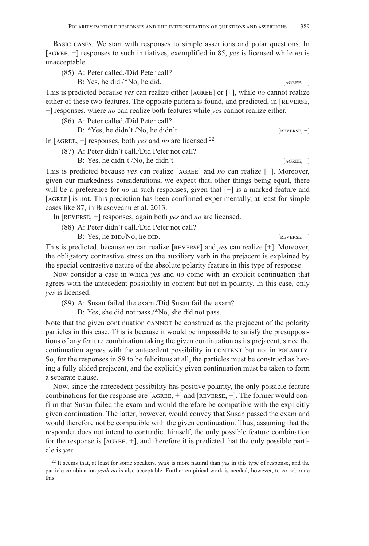Basic cases. We start with responses to simple assertions and polar questions. In [agree, +] responses to such initiatives, exemplified in 85, *yes* is licensed while *no* is unacceptable.

(85) A: Peter called./Did Peter call?

B: Yes, he did./\*No, he did.  $[AGREE, +]$ 

This is predicted because *yes* can realize either [agree] or [+], while *no* cannot realize either of these two features. The opposite pattern is found, and predicted, in [reverse, −] responses, where *no* can realize both features while *yes* cannot realize either.

- (86) A: Peter called./Did Peter call?
	- B: \*Yes, he didn't./No, he didn't. [REVERSE, −]

In [agree, −] responses, both *yes* and *no* are licensed.22

(87) A: Peter didn't call./Did Peter not call?

B: Yes, he didn't./No, he didn't. [AGREE, −]

This is predicted because *yes* can realize [AGREE] and *no* can realize [−]. Moreover, given our markedness considerations, we expect that, other things being equal, there will be a preference for *no* in such responses, given that [−] is a marked feature and [AGREE] is not. This prediction has been confirmed experimentally, at least for simple cases like 87, in Brasoveanu et al. 2013.

In [reverse, +] responses, again both *yes* and *no* are licensed.

(88) A: Peter didn't call./Did Peter not call?

B: Yes, he  $DID./NO$ , he  $DID.$  [reverse, +]

This is predicted, because *no* can realize [reverse] and *yes* can realize [+]. Moreover, the obligatory contrastive stress on the auxiliary verb in the prejacent is explained by the special contrastive nature of the absolute polarity feature in this type of response.

Now consider a case in which *yes* and *no* come with an explicit continuation that agrees with the antecedent possibility in content but not in polarity. In this case, only *yes* is licensed.

- (89) A: Susan failed the exam./Did Susan fail the exam?
	- B: Yes, she did not pass./\*No, she did not pass.

Note that the given continuation CANNOT be construed as the prejacent of the polarity particles in this case. This is because it would be impossible to satisfy the presuppositions of any feature combination taking the given continuation as its prejacent, since the continuation agrees with the antecedent possibility in CONTENT but not in POLARITY. So, for the responses in 89 to be felicitous at all, the particles must be construed as having a fully elided prejacent, and the explicitly given continuation must be taken to form a separate clause.

Now, since the antecedent possibility has positive polarity, the only possible feature combinations for the response are [AGREE, +] and [REVERSE, -]. The former would confirm that Susan failed the exam and would therefore be compatible with the explicitly given continuation. The latter, however, would convey that Susan passed the exam and would therefore not be compatible with the given continuation. Thus, assuming that the responder does not intend to contradict himself, the only possible feature combination for the response is [AGREE, +], and therefore it is predicted that the only possible particle is *yes*.

<sup>22</sup> It seems that, at least for some speakers, *yeah* is more natural than *yes* in this type of response, and the particle combination *yeah no* is also acceptable. Further empirical work is needed, however, to corroborate this.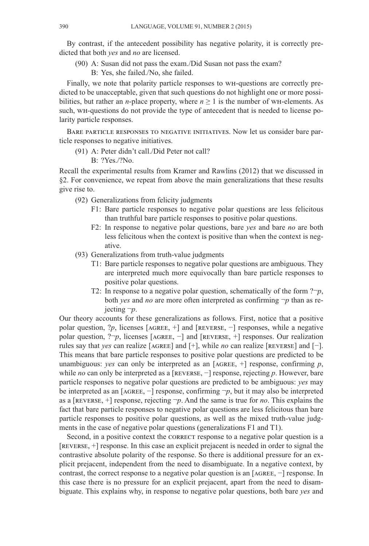By contrast, if the antecedent possibility has negative polarity, it is correctly predicted that both *yes* and *no* are licensed.

- (90) A: Susan did not pass the exam./Did Susan not pass the exam?
	- B: Yes, she failed./No, she failed.

Finally, we note that polarity particle responses to wh-questions are correctly predicted to be unacceptable, given that such questions do not highlight one or more possibilities, but rather an *n*-place property, where  $n \geq 1$  is the number of wh-elements. As such, wh-questions do not provide the type of antecedent that is needed to license polarity particle responses.

Bare particle responses to negative initiatives. Now let us consider bare particle responses to negative initiatives.

(91) A: Peter didn't call./Did Peter not call?

B: ?Yes./?No.

Recall the experimental results from Kramer and Rawlins (2012) that we discussed in §2. For convenience, we repeat from above the main generalizations that these results give rise to.

- (92) Generalizations from felicity judgments
	- F1: Bare particle responses to negative polar questions are less felicitous than truthful bare particle responses to positive polar questions.
	- F2: In response to negative polar questions, bare *yes* and bare *no* are both less felicitous when the context is positive than when the context is negative.
- (93) Generalizations from truth-value judgments
	- T1: Bare particle responses to negative polar questions are ambiguous. They are interpreted much more equivocally than bare particle responses to positive polar questions.
	- T2: In response to a negative polar question, schematically of the form  $?~p$ , both *yes* and *no* are more often interpreted as confirming  $\neg p$  than as rejecting ¬*p*.

Our theory accounts for these generalizations as follows. First, notice that a positive polar question, ?*p*, licenses [AGREE, +] and [REVERSE, −] responses, while a negative polar question,  $?~p$ , licenses [AGREE,  $-$ ] and [REVERSE,  $+$ ] responses. Our realization rules say that *yes* can realize [agree] and [+], while *no* can realize [reverse] and [−]. This means that bare particle responses to positive polar questions are predicted to be unambiguous: *yes* can only be interpreted as an  $[AGREE, +]$  response, confirming *p*, while *no* can only be interpreted as a [reverse, −] response, rejecting *p*. However, bare particle responses to negative polar questions are predicted to be ambiguous: *yes* may be interpreted as an [agree, −] response, confirming ¬*p*, but it may also be interpreted as a [reverse, +] response, rejecting ¬*p*. And the same is true for *no*. This explains the fact that bare particle responses to negative polar questions are less felicitous than bare particle responses to positive polar questions, as well as the mixed truth-value judgments in the case of negative polar questions (generalizations F1 and T1).

Second, in a positive context the CORRECT response to a negative polar question is a [reverse, +] response. In this case an explicit prejacent is needed in order to signal the contrastive absolute polarity of the response. So there is additional pressure for an explicit prejacent, independent from the need to disambiguate. In a negative context, by contrast, the correct response to a negative polar question is an [ $AGREE, -$ ] response. In this case there is no pressure for an explicit prejacent, apart from the need to disambiguate. This explains why, in response to negative polar questions, both bare *yes* and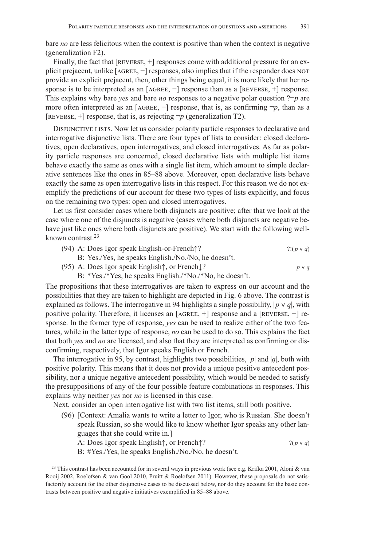bare *no* are less felicitous when the context is positive than when the context is negative (generalization F2).

Finally, the fact that [REVERSE, +] responses come with additional pressure for an explicit prejacent, unlike [AGREE, −] responses, also implies that if the responder does not provide an explicit prejacent, then, other things being equal, it is more likely that her response is to be interpreted as an [ $AGREE, -$ ] response than as a [ $REVERSE, +$ ] response. This explains why bare *yes* and bare *no* responses to a negative polar question ?¬*p* are more often interpreted as an [AGREE,  $\neg$ ] response, that is, as confirming  $\neg p$ , than as a [REVERSE,  $+$ ] response, that is, as rejecting  $\neg p$  (generalization T2).

Disjunctive lists. Now let us consider polarity particle responses to declarative and interrogative disjunctive lists. There are four types of lists to consider: closed declaratives, open declaratives, open interrogatives, and closed interrogatives. As far as polarity particle responses are concerned, closed declarative lists with multiple list items behave exactly the same as ones with a single list item, which amount to simple declarative sentences like the ones in 85–88 above. Moreover, open declarative lists behave exactly the same as open interrogative lists in this respect. For this reason we do not exemplify the predictions of our account for these two types of lists explicitly, and focus on the remaining two types: open and closed interrogatives.

Let us first consider cases where both disjuncts are positive; after that we look at the case where one of the disjuncts is negative (cases where both disjuncts are negative behave just like ones where both disjuncts are positive). We start with the following wellknown contrast.<sup>23</sup>

- (94) A: Does Igor speak English-or-French†?  $?!(p \vee q)$ 
	- B: Yes./Yes, he speaks English./No./No, he doesn't.
- (95) A: Does Igor speak English↑, or French↓? *p* ∨ *q*

B: \*Yes./\*Yes, he speaks English./\*No./\*No, he doesn't.

The propositions that these interrogatives are taken to express on our account and the possibilities that they are taken to highlight are depicted in Fig. 6 above. The contrast is explained as follows. The interrogative in 94 highlights a single possibility, |*p* ∨ *q*|, with positive polarity. Therefore, it licenses an [AGREE, +] response and a [REVERSE, -] response. In the former type of response, *yes* can be used to realize either of the two features, while in the latter type of response, *no* can be used to do so. This explains the fact that both *yes* and *no* are licensed, and also that they are interpreted as confirming or disconfirming, respectively, that Igor speaks English or French.

The interrogative in 95, by contrast, highlights two possibilities, |*p*| and |*q*|, both with positive polarity. This means that it does not provide a unique positive antecedent possibility, nor a unique negative antecedent possibility, which would be needed to satisfy the presuppositions of any of the four possible feature combinations in responses. This explains why neither *yes* nor *no* is licensed in this case.

Next, consider an open interrogative list with two list items, still both positive.

- (96) [Context: Amalia wants to write a letter to Igor, who is Russian. She doesn't speak Russian, so she would like to know whether Igor speaks any other languages that she could write in.]
	- A: Does Igor speak English↑, or French↑? ?(*p* ∨ *q*)
	- B: #Yes./Yes, he speaks English./No./No, he doesn't.

<sup>23</sup> This contrast has been accounted for in several ways in previous work (see e.g. Krifka 2001, Aloni & van Rooij 2002, Roelofsen & van Gool 2010, Pruitt & Roelofsen 2011). However, these proposals do not satisfactorily account for the other disjunctive cases to be discussed below, nor do they account for the basic contrasts between positive and negative initiatives exemplified in 85–88 above.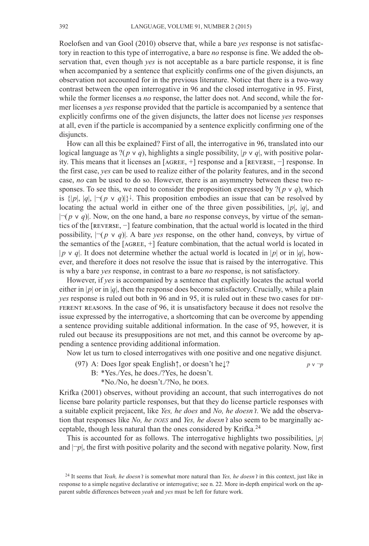Roelofsen and van Gool (2010) observe that, while a bare *yes* response is not satisfactory in reaction to this type of interrogative, a bare *no* response is fine. We added the observation that, even though *yes* is not acceptable as a bare particle response, it is fine when accompanied by a sentence that explicitly confirms one of the given disjuncts, an observation not accounted for in the previous literature. Notice that there is a two-way contrast between the open interrogative in 96 and the closed interrogative in 95. First, while the former licenses a *no* response, the latter does not. And second, while the former licenses a *yes* response provided that the particle is accompanied by a sentence that explicitly confirms one of the given disjuncts, the latter does not license *yes* responses at all, even if the particle is accompanied by a sentence explicitly confirming one of the disjuncts.

How can all this be explained? First of all, the interrogative in 96, translated into our logical language as ?( $p \vee q$ ), highlights a single possibility,  $|p \vee q|$ , with positive polarity. This means that it licenses an [agree, +] response and a [reverse, −] response. In the first case, *yes* can be used to realize either of the polarity features, and in the second case, *no* can be used to do so. However, there is an asymmetry between these two responses. To see this, we need to consider the proposition expressed by  $?((p \lor q))$ , which is  $\{|p|, |q|, |\neg(p \lor q)|\}$ . This proposition embodies an issue that can be resolved by locating the actual world in either one of the three given possibilities,  $|p|$ ,  $|q|$ , and |¬( *p* ∨ *q*)|. Now, on the one hand, a bare *no* response conveys, by virtue of the semantics of the [reverse, −] feature combination, that the actual world is located in the third possibility,  $|\neg(p \lor q)|$ . A bare *yes* response, on the other hand, conveys, by virtue of the semantics of the  $[AGREE, +]$  feature combination, that the actual world is located in | *p* ∨ *q*|. It does not determine whether the actual world is located in |*p*| or in |*q*|, however, and therefore it does not resolve the issue that is raised by the interrogative. This is why a bare *yes* response, in contrast to a bare *no* response, is not satisfactory.

However, if *yes* is accompanied by a sentence that explicitly locates the actual world either in  $|p|$  or in  $|q|$ , then the response does become satisfactory. Crucially, while a plain *yes* response is ruled out both in 96 and in 95, it is ruled out in these two cases for DIFferent reasons. In the case of 96, it is unsatisfactory because it does not resolve the issue expressed by the interrogative, a shortcoming that can be overcome by appending a sentence providing suitable additional information. In the case of 95, however, it is ruled out because its presuppositions are not met, and this cannot be overcome by appending a sentence providing additional information.

Now let us turn to closed interrogatives with one positive and one negative disjunct.

(97) A: Does Igor speak English↑, or doesn't he↓? *p* ∨ ¬*p*

B: \*Yes./Yes, he does./?Yes, he doesn't. \*No./No, he doesn't./?No, he poes.

Krifka (2001) observes, without providing an account, that such interrogatives do not license bare polarity particle responses, but that they do license particle responses with a suitable explicit prejacent, like *Yes, he does* and *No, he doesn't*. We add the observation that responses like *No, he DOES* and *Yes, he doesn't* also seem to be marginally acceptable, though less natural than the ones considered by Krifka.<sup>24</sup>

This is accounted for as follows. The interrogative highlights two possibilities, |*p*| and  $|\neg p|$ , the first with positive polarity and the second with negative polarity. Now, first

<sup>24</sup> It seems that *Yeah, he doesn't* is somewhat more natural than *Yes, he doesn't* in this context, just like in response to a simple negative declarative or interrogative; see n. 22. More in-depth empirical work on the apparent subtle differences between *yeah* and *yes* must be left for future work.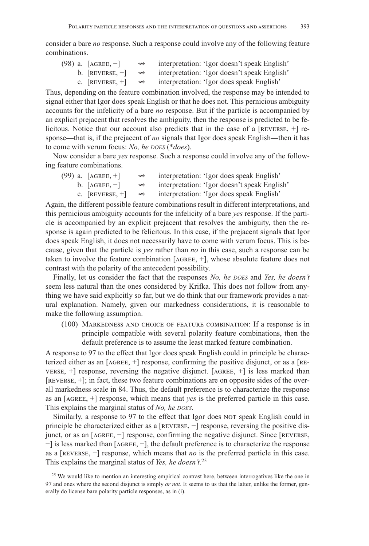consider a bare *no* response. Such a response could involve any of the following feature combinations.

| (98) a. [AGREE, -]    | ₩  | interpretation: 'Igor doesn't speak English' |
|-----------------------|----|----------------------------------------------|
| $b.$ [REVERSE, $-1$ ] | ₩  | interpretation: 'Igor doesn't speak English' |
| $C.  REVERSE, +]$     | ≁w | interpretation: 'Igor does speak English'    |

Thus, depending on the feature combination involved, the response may be intended to signal either that Igor does speak English or that he does not. This pernicious ambiguity accounts for the infelicity of a bare *no* response. But if the particle is accompanied by an explicit prejacent that resolves the ambiguity, then the response is predicted to be felicitous. Notice that our account also predicts that in the case of a [REVERSE, +] response—that is, if the prejacent of *no* signals that Igor does speak English—then it has to come with verum focus: *No, he DOES* (\**does*).

Now consider a bare *yes* response. Such a response could involve any of the following feature combinations.

| (99) a. [AGREE, +]   | ₩  | interpretation: 'Igor does speak English'    |
|----------------------|----|----------------------------------------------|
| $b.  AGREE, - $      | ₩  | interpretation: 'Igor doesn't speak English' |
| $C.$ [REVERSE, $+$ ] | ≁w | interpretation: 'Igor does speak English'    |

Again, the different possible feature combinations result in different interpretations, and this pernicious ambiguity accounts for the infelicity of a bare *yes* response. If the particle is accompanied by an explicit prejacent that resolves the ambiguity, then the response is again predicted to be felicitous. In this case, if the prejacent signals that Igor does speak English, it does not necessarily have to come with verum focus. This is because, given that the particle is *yes* rather than *no* in this case, such a response can be taken to involve the feature combination  $[AGREE, +]$ , whose absolute feature does not contrast with the polarity of the antecedent possibility.

Finally, let us consider the fact that the responses *No, he DOES* and *Yes, he doesn't* seem less natural than the ones considered by Krifka. This does not follow from anything we have said explicitly so far, but we do think that our framework provides a natural explanation. Namely, given our markedness considerations, it is reasonable to make the following assumption.

(100) Markedness and choice of feature combination: If a response is in principle compatible with several polarity feature combinations, then the default preference is to assume the least marked feature combination.

A response to 97 to the effect that Igor does speak English could in principle be characterized either as an  $[AGREE, +]$  response, confirming the positive disjunct, or as a  $[RE$ verse,  $+$ ] response, reversing the negative disjunct. [AGREE,  $+$ ] is less marked than [reverse, +]; in fact, these two feature combinations are on opposite sides of the overall markedness scale in 84. Thus, the default preference is to characterize the response as an [agree, +] response, which means that *yes* is the preferred particle in this case. This explains the marginal status of *No, he DOES*.

Similarly, a response to 97 to the effect that Igor does not speak English could in principle be characterized either as a [REVERSE, −] response, reversing the positive disjunct, or as an [agree, −] response, confirming the negative disjunct. Since [reverse, −] is less marked than [agree, −], the default preference is to characterize the response as a [reverse, −] response, which means that *no* is the preferred particle in this case. This explains the marginal status of *Yes, he doesn't*. 25

<sup>&</sup>lt;sup>25</sup> We would like to mention an interesting empirical contrast here, between interrogatives like the one in 97 and ones where the second disjunct is simply *or not*. It seems to us that the latter, unlike the former, generally do license bare polarity particle responses, as in (i).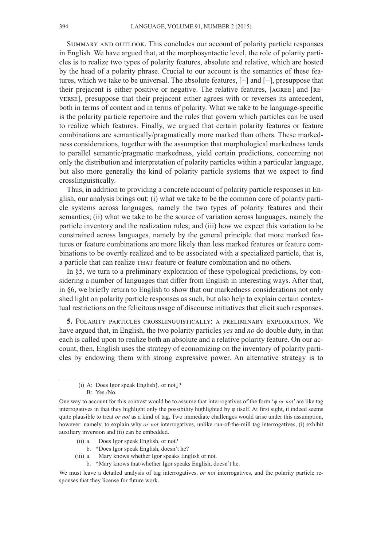Summary and outlook. This concludes our account of polarity particle responses in English. We have argued that, at the morphosyntactic level, the role of polarity particles is to realize two types of polarity features, absolute and relative, which are hosted by the head of a polarity phrase. Crucial to our account is the semantics of these features, which we take to be universal. The absolute features, [+] and [−], presuppose that their prejacent is either positive or negative. The relative features, [agree] and [reverse], presuppose that their prejacent either agrees with or reverses its antecedent, both in terms of content and in terms of polarity. What we take to be language-specific is the polarity particle repertoire and the rules that govern which particles can be used to realize which features. Finally, we argued that certain polarity features or feature combinations are semantically/pragmatically more marked than others. These markedness considerations, together with the assumption that morphological markedness tends to parallel semantic/pragmatic markedness, yield certain predictions, concerning not only the distribution and interpretation of polarity particles within a particular language, but also more generally the kind of polarity particle systems that we expect to find crosslinguistically.

Thus, in addition to providing a concrete account of polarity particle responses in English, our analysis brings out: (i) what we take to be the common core of polarity particle systems across languages, namely the two types of polarity features and their semantics; (ii) what we take to be the source of variation across languages, namely the particle inventory and the realization rules; and (iii) how we expect this variation to be constrained across languages, namely by the general principle that more marked features or feature combinations are more likely than less marked features or feature combinations to be overtly realized and to be associated with a specialized particle, that is, a particle that can realize that feature or feature combination and no others.

In §5, we turn to a preliminary exploration of these typological predictions, by considering a number of languages that differ from English in interesting ways. After that, in §6, we briefly return to English to show that our markedness considerations not only shed light on polarity particle responses as such, but also help to explain certain contextual restrictions on the felicitous usage of discourse initiatives that elicit such responses.

**5.** Polarity particles crosslinguistically: a preliminary exploration. We have argued that, in English, the two polarity particles *yes* and *no* do double duty, in that each is called upon to realize both an absolute and a relative polarity feature. On our account, then, English uses the strategy of economizing on the inventory of polarity particles by endowing them with strong expressive power. An alternative strategy is to

- (ii) a. Does Igor speak English, or not?
	- b. \*Does Igor speak English, doesn't he?
- (iii) a. Mary knows whether Igor speaks English or not.
	- b. \*Mary knows that/whether Igor speaks English, doesn't he.

ii(i) A: Does Igor speak English*↑*, or not↓? B: Yes./No.

One way to account for this contrast would be to assume that interrogatives of the form 'φ *or not*' are like tag interrogatives in that they highlight only the possibility highlighted by φ itself. At first sight, it indeed seems quite plausible to treat *or not* as a kind of tag. Two immediate challenges would arise under this assumption, however: namely, to explain why *or not* interrogatives, unlike run-of-the-mill tag interrogatives, (i) exhibit auxiliary inversion and (ii) can be embedded.

We must leave a detailed analysis of tag interrogatives, *or not* interrogatives, and the polarity particle responses that they license for future work.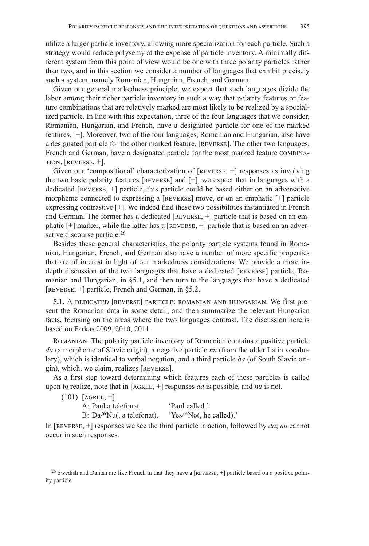utilize a larger particle inventory, allowing more specialization for each particle. Such a strategy would reduce polysemy at the expense of particle inventory. A minimally different system from this point of view would be one with three polarity particles rather than two, and in this section we consider a number of languages that exhibit precisely such a system, namely Romanian, Hungarian, French, and German.

Given our general markedness principle, we expect that such languages divide the labor among their richer particle inventory in such a way that polarity features or feature combinations that are relatively marked are most likely to be realized by a specialized particle. In line with this expectation, three of the four languages that we consider, Romanian, Hungarian, and French, have a designated particle for one of the marked features, [−]. Moreover, two of the four languages, Romanian and Hungarian, also have a designated particle for the other marked feature, [reverse]. The other two languages, French and German, have a designated particle for the most marked feature combina-TION,  $[REVERSE, +].$ 

Given our 'compositional' characterization of [reverse, +] responses as involving the two basic polarity features [reverse] and [+], we expect that in languages with a dedicated [reverse, +] particle, this particle could be based either on an adversative morpheme connected to expressing a [reverse] move, or on an emphatic [+] particle expressing contrastive [+]. We indeed find these two possibilities instantiated in French and German. The former has a dedicated  $[REVERSE, +]$  particle that is based on an emphatic  $[+]$  marker, while the latter has a  $[REVERSE,+]$  particle that is based on an adversative discourse particle.<sup>26</sup>

Besides these general characteristics, the polarity particle systems found in Romanian, Hungarian, French, and German also have a number of more specific properties that are of interest in light of our markedness considerations. We provide a more indepth discussion of the two languages that have a dedicated [reverse] particle, Romanian and Hungarian, in §5.1, and then turn to the languages that have a dedicated [REVERSE, +] particle, French and German, in §5.2.

**5.1.** A dedicated [reverse] particle: romanian and hungarian. We first present the Romanian data in some detail, and then summarize the relevant Hungarian facts, focusing on the areas where the two languages contrast. The discussion here is based on Farkas 2009, 2010, 2011.

Romanian. The polarity particle inventory of Romanian contains a positive particle *da* (a morpheme of Slavic origin), a negative particle *nu* (from the older Latin vocabulary), which is identical to verbal negation, and a third particle *ba* (of South Slavic origin), which, we claim, realizes [reverse].

As a first step toward determining which features each of these particles is called upon to realize, note that in [AGREE,  $+$ ] responses *da* is possible, and *nu* is not.

 $(101)$  [AGREE, +]

A: Paul a telefonat. 'Paul called.' B: Da/\*Nu(, a telefonat). 'Yes/\*No(, he called).'

In [reverse, +] responses we see the third particle in action, followed by *da*; *nu* cannot occur in such responses.

<sup>&</sup>lt;sup>26</sup> Swedish and Danish are like French in that they have a [REVERSE, +] particle based on a positive polarity particle.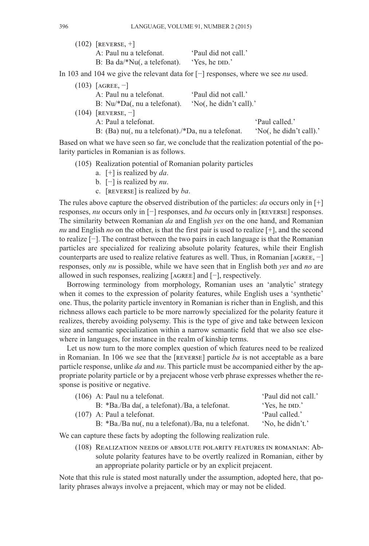| $(102)$ [REVERSE, $+$ ]             |                                                                                            |
|-------------------------------------|--------------------------------------------------------------------------------------------|
| A: Paul nu a telefonat.             | 'Paul did not call.'                                                                       |
| B: Ba $da$ /*Nu $($ , a telefonat). | 'Yes, he DID.'                                                                             |
|                                     | In 103 and 104 we give the relevant data for $[-]$ responses, where we see <i>nu</i> used. |

| $(103)$ [AGREE, $-$ ]                              |                         |                         |
|----------------------------------------------------|-------------------------|-------------------------|
| A: Paul nu a telefonat.                            | 'Paul did not call.'    |                         |
| B: $Nu$ /*Da(, nu a telefonat).                    | 'No(, he didn't call).' |                         |
| $(104)$ [REVERSE, $-$ ]                            |                         |                         |
| A: Paul a telefonat.                               |                         | 'Paul called.'          |
| B: (Ba) nu(, nu a telefonat)./*Da, nu a telefonat. |                         | 'No(, he didn't call).' |

Based on what we have seen so far, we conclude that the realization potential of the polarity particles in Romanian is as follows.

#### (105) Realization potential of Romanian polarity particles

- a. [+] is realized by *da*.
- b. [−] is realized by *nu*.
- c. [reverse] is realized by *ba*.

The rules above capture the observed distribution of the particles: *da* occurs only in [+] responses, *nu* occurs only in [−] responses, and *ba* occurs only in [reverse] responses. The similarity between Romanian *da* and English *yes* on the one hand, and Romanian *nu* and English *no* on the other, is that the first pair is used to realize [+], and the second to realize [−]. The contrast between the two pairs in each language is that the Romanian particles are specialized for realizing absolute polarity features, while their English counterparts are used to realize relative features as well. Thus, in Romanian [agree, −] responses, only *nu* is possible, while we have seen that in English both *yes* and *no* are allowed in such responses, realizing [agree] and [−], respectively.

Borrowing terminology from morphology, Romanian uses an 'analytic' strategy when it comes to the expression of polarity features, while English uses a 'synthetic' one. Thus, the polarity particle inventory in Romanian is richer than in English, and this richness allows each particle to be more narrowly specialized for the polarity feature it realizes, thereby avoiding polysemy. This is the type of give and take between lexicon size and semantic specialization within a narrow semantic field that we also see elsewhere in languages, for instance in the realm of kinship terms.

Let us now turn to the more complex question of which features need to be realized in Romanian. In 106 we see that the [reverse] particle *ba* is not acceptable as a bare particle response, unlike *da* and *nu*. This particle must be accompanied either by the appropriate polarity particle or by a prejacent whose verb phrase expresses whether the response is positive or negative.

| $(106)$ A: Paul nu a telefonat.                      | 'Paul did not call.' |
|------------------------------------------------------|----------------------|
| B: *Ba./Ba da(, a telefonat)./Ba, a telefonat.       | 'Yes, he pip.'       |
| $(107)$ A: Paul a telefonat.                         | 'Paul called.'       |
| B: *Ba./Ba nu(, nu a telefonat)./Ba, nu a telefonat. | 'No, he didn't.'     |
|                                                      |                      |

We can capture these facts by adopting the following realization rule.

(108) Realization needs of absolute polarity features in romanian: Absolute polarity features have to be overtly realized in Romanian, either by an appropriate polarity particle or by an explicit prejacent.

Note that this rule is stated most naturally under the assumption, adopted here, that polarity phrases always involve a prejacent, which may or may not be elided.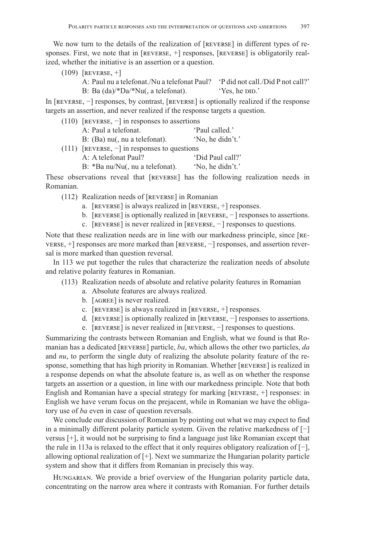We now turn to the details of the realization of [REVERSE] in different types of responses. First, we note that in  $[REVERSE, +]$  responses,  $[REVERSE]$  is obligatorily realized, whether the initiative is an assertion or a question.

 $(109)$  [REVERSE,  $+$ ]

A: Paul nu a telefonat./Nu a telefonat Paul? 'P did not call./Did P not call?' B: Ba  $(da)$  \*Da<sup> $\star$ </sup>Nu(, a telefonat). 'Yes, he DID.'

In [reverse, −] responses, by contrast, [reverse] is optionally realized if the response targets an assertion, and never realized if the response targets a question.

| $(110)$ [REVERSE, $-$ ] in responses to assertions |                  |
|----------------------------------------------------|------------------|
| A: Paul a telefonat.                               | 'Paul called.'   |
| $B: (Ba) \text{nu}$ , nu a telefonat).             | 'No, he didn't.' |
| $(111)$ [REVERSE, $-$ ] in responses to questions  |                  |
| $A: A$ telefonat Paul?                             | 'Did Paul call?' |

B: \*Ba nu/Nu(, nu a telefonat). 'No, he didn't.'

These observations reveal that [reverse] has the following realization needs in Romanian.

(112) Realization needs of [reverse] in Romanian

- a. [reverse] is always realized in [reverse, +] responses.
- b. [reverse] is optionally realized in [reverse, *−*] responses to assertions.
- c. [reverse] is never realized in [reverse, *−*] responses to questions.

Note that these realization needs are in line with our markedness principle, since [REverse, +] responses are more marked than [reverse, −] responses, and assertion reversal is more marked than question reversal.

In 113 we put together the rules that characterize the realization needs of absolute and relative polarity features in Romanian.

(113) Realization needs of absolute and relative polarity features in Romanian

a. Absolute features are always realized.

- b. [AGREE] is never realized.
- c. [reverse] is always realized in [reverse, +] responses.
- d. [reverse] is optionally realized in [reverse, −] responses to assertions.
- e. [REVERSE] is never realized in [REVERSE, −] responses to questions.

Summarizing the contrasts between Romanian and English, what we found is that Romanian has a dedicated [reverse] particle, *ba*, which allows the other two particles, *da* and *nu*, to perform the single duty of realizing the absolute polarity feature of the response, something that has high priority in Romanian. Whether [reverse] is realized in a response depends on what the absolute feature is, as well as on whether the response targets an assertion or a question, in line with our markedness principle. Note that both English and Romanian have a special strategy for marking [reverse, +] responses: in English we have verum focus on the prejacent, while in Romanian we have the obligatory use of *ba* even in case of question reversals.

We conclude our discussion of Romanian by pointing out what we may expect to find in a minimally different polarity particle system. Given the relative markedness of [−] versus [+], it would not be surprising to find a language just like Romanian except that the rule in 113a is relaxed to the effect that it only requires obligatory realization of [−], allowing optional realization of [+]. Next we summarize the Hungarian polarity particle system and show that it differs from Romanian in precisely this way.

Hungarian. We provide a brief overview of the Hungarian polarity particle data, concentrating on the narrow area where it contrasts with Romanian. For further details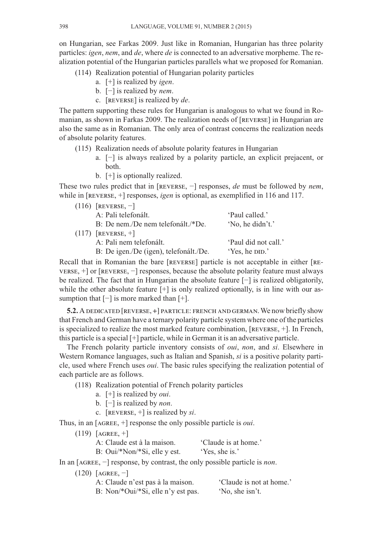on Hungarian, see Farkas 2009. Just like in Romanian, Hungarian has three polarity particles: *igen*, *nem*, and *de*, where *de* is connected to an adversative morpheme. The realization potential of the Hungarian particles parallels what we proposed for Romanian.

- (114) Realization potential of Hungarian polarity particles
	- a. [+] is realized by *igen*.
	- b. [−] is realized by *nem*.
	- c. [reverse] is realized by *de*.

The pattern supporting these rules for Hungarian is analogous to what we found in Romanian, as shown in Farkas 2009. The realization needs of [reverse] in Hungarian are also the same as in Romanian. The only area of contrast concerns the realization needs of absolute polarity features.

- (115) Realization needs of absolute polarity features in Hungarian
	- a. [−] is always realized by a polarity particle, an explicit prejacent, or both.
	- b. [+] is optionally realized.

These two rules predict that in [reverse, −] responses, *de* must be followed by *nem*, while in [REVERSE, +] responses, *igen* is optional, as exemplified in 116 and 117.

 $(116)$  [REVERSE,  $-$ ]

| A: Pali telefonált.                    | 'Paul called.'       |
|----------------------------------------|----------------------|
| B: De nem./De nem telefonált./*De.     | 'No, he didn't.'     |
| $(117)$ [REVERSE, $+$ ]                |                      |
| A: Pali nem telefonált.                | 'Paul did not call.' |
| B: De igen./De (igen), telefonált./De. | 'Yes, he DID.'       |
|                                        |                      |

Recall that in Romanian the bare [reverse] particle is not acceptable in either [reverse, +] or [reverse, −] responses, because the absolute polarity feature must always be realized. The fact that in Hungarian the absolute feature [−] is realized obligatorily, while the other absolute feature  $[+]$  is only realized optionally, is in line with our assumption that  $[-]$  is more marked than  $[+]$ .

**5.2.** A dedicated [reverse, +] particle: french and german.We now briefly show that French and German have a ternary polarity particle system where one of the particles is specialized to realize the most marked feature combination, [reverse, +]. In French, this particle is a special [+] particle, while in German it is an adversative particle.

The French polarity particle inventory consists of *oui*, *non*, and *si*. Elsewhere in Western Romance languages, such as Italian and Spanish, *si* is a positive polarity particle, used where French uses *oui*. The basic rules specifying the realization potential of each particle are as follows.

(118) Realization potential of French polarity particles

- a. [+] is realized by *oui*.
- b. [−] is realized by *non*.
- c. [reverse, +] is realized by *si*.

Thus, in an [agree, +] response the only possible particle is *oui*.

 $(119)$  [AGREE, +]

A: Claude est à la maison. 'Claude is at home.'

B: Oui/\*Non/\*Si, elle y est. 'Yes, she is.'

In an [agree, −] response, by contrast, the only possible particle is *non*.

- $(120)$  [AGREE,  $-$ ]
	- A: Claude n'est pas à la maison. 'Claude is not at home.' B: Non/\*Oui/\*Si, elle n'y est pas. 'No, she isn't.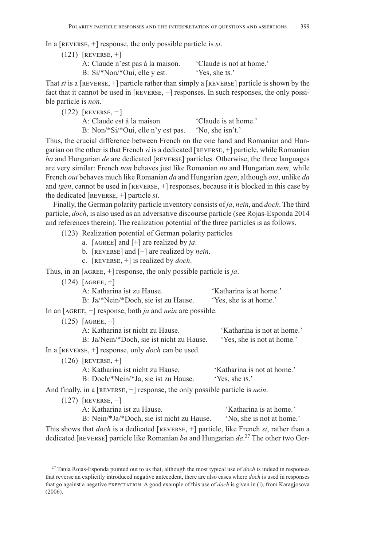In a [reverse, +] response, the only possible particle is *si*.

| $(121)$ [REVERSE, $+$ ]          |                          |
|----------------------------------|--------------------------|
| A: Claude n'est pas à la maison. | 'Claude is not at home.' |
| B: Si/*Non/*Oui, elle y est.     | 'Yes, she is.'           |

That *si* is a [reverse, +] particle rather than simply a [reverse] particle is shown by the fact that it cannot be used in [reverse, −] responses. In such responses, the only possible particle is *non*.

(122) [reverse, *−*]

| A: Claude est à la maison.         | 'Claude is at home.' |
|------------------------------------|----------------------|
| B: Non/*Si/*Oui, elle n'y est pas. | 'No, she isn't.'     |

Thus, the crucial difference between French on the one hand and Romanian and Hungarian on the other is that French *si* is a dedicated [reverse, +] particle, while Romanian *ba* and Hungarian *de* are dedicated [reverse] particles. Otherwise, the three languages are very similar: French *non* behaves just like Romanian *nu* and Hungarian *nem*, while French *oui* behaves much like Romanian *da* and Hungarian *igen*, although *oui*, unlike *da* and *igen*, cannot be used in [reverse, +] responses, because it is blocked in this case by the dedicated [reverse, +] particle *si*.

Finally, the German polarity particle inventory consists of *ja*, *nein*, and *doch*. The third particle, *doch*, is also used as an adversative discourse particle (see Rojas-Esponda 2014 and references therein). The realization potential of the three particles is as follows.

(123) Realization potential of German polarity particles

a. [AGREE] and  $[+]$  are realized by *ja*.

b. [reverse] and [−] are realized by *nein*.

c. [reverse, +] is realized by *doch*.

Thus, in an [agree, +] response, the only possible particle is *ja*.

| $(124)$ [AGREE, +]                                                                                                                                                                                                                                                                                                                                                                                                                                                                    |                         |
|---------------------------------------------------------------------------------------------------------------------------------------------------------------------------------------------------------------------------------------------------------------------------------------------------------------------------------------------------------------------------------------------------------------------------------------------------------------------------------------|-------------------------|
| A: Katharina ist zu Hause.                                                                                                                                                                                                                                                                                                                                                                                                                                                            | 'Katharina is at home.' |
| B: Ja/*Nein/*Doch, sie ist zu Hause.                                                                                                                                                                                                                                                                                                                                                                                                                                                  | 'Yes, she is at home.'  |
| $\mathsf{F} \circ \ldots \circ \mathsf{F} \circ \mathsf{F} \circ \mathsf{F} \circ \mathsf{F} \circ \mathsf{F} \circ \mathsf{F} \circ \mathsf{F} \circ \mathsf{F} \circ \mathsf{F} \circ \mathsf{F} \circ \mathsf{F} \circ \mathsf{F} \circ \mathsf{F} \circ \mathsf{F} \circ \mathsf{F} \circ \mathsf{F} \circ \mathsf{F} \circ \mathsf{F} \circ \mathsf{F} \circ \mathsf{F} \circ \mathsf{F} \circ \mathsf{F} \circ \mathsf{F} \circ \mathsf{F} \circ \mathsf{F} \circ \mathsf{F} \$ |                         |

In an [agree, −] response, both *ja* and *nein* are possible.

| LAGREE. |  |
|---------|--|
|         |  |

| A: Katharina ist nicht zu Hause.          | 'Katharina is not at home.' |
|-------------------------------------------|-----------------------------|
| B: Ja/Nein/*Doch, sie ist nicht zu Hause. | 'Yes, she is not at home.'  |

In a [reverse, +] response, only *doch* can be used.

- $(126)$  [REVERSE,  $+$ ]
	- A: Katharina ist nicht zu Hause. 'Katharina is not at home.'

B: Doch/\*Nein/\*Ja, sie ist zu Hause. 'Yes, she is.'

And finally, in a [reverse, −] response, the only possible particle is *nein*.

 $(127)$  [REVERSE,  $-1$ ]

| A: Katharina ist zu Hause.                 | 'Katharina is at home.'   |
|--------------------------------------------|---------------------------|
| B: Nein/*Ja/*Doch, sie ist nicht zu Hause. | 'No, she is not at home.' |

This shows that *doch* is a dedicated [reverse, +] particle, like French *si*, rather than a dedicated [reverse] particle like Romanian *ba* and Hungarian *de*. <sup>27</sup> The other two Ger-

<sup>27</sup> Tania Rojas-Esponda pointed out to us that, although the most typical use of *doch* is indeed in responses that reverse an explicitly introduced negative antecedent, there are also cases where *doch* is used in responses that go against a negative expectation. A good example of this use of *doch* is given in (i), from Karagjosova (2006).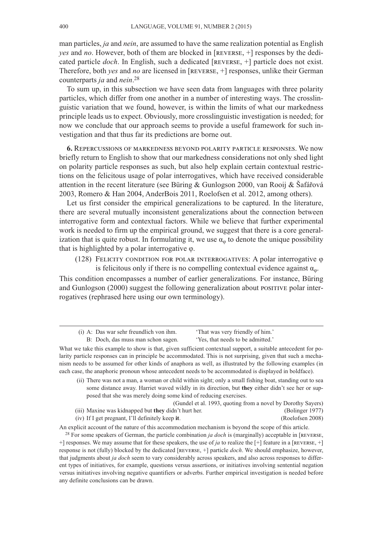man particles, *ja* and *nein*, are assumed to have the same realization potential as English *yes* and *no*. However, both of them are blocked in [reverse, +] responses by the dedicated particle *doch*. In English, such a dedicated [reverse, +] particle does not exist. Therefore, both *yes* and *no* are licensed in [reverse, +] responses, unlike their German counterparts *ja* and *nein*. 28

To sum up, in this subsection we have seen data from languages with three polarity particles, which differ from one another in a number of interesting ways. The crosslinguistic variation that we found, however, is within the limits of what our markedness principle leads us to expect. Obviously, more crosslinguistic investigation is needed; for now we conclude that our approach seems to provide a useful framework for such investigation and that thus far its predictions are borne out.

**6.** Repercussions of markedness beyond polarity particle responses. We now briefly return to English to show that our markedness considerations not only shed light on polarity particle responses as such, but also help explain certain contextual restrictions on the felicitous usage of polar interrogatives, which have received considerable attention in the recent literature (see Büring & Gunlogson 2000, van Rooij & Šafářová 2003, Romero & Han 2004, AnderBois 2011, Roelofsen et al. 2012, among others).

Let us first consider the empirical generalizations to be captured. In the literature, there are several mutually inconsistent generalizations about the connection between interrogative form and contextual factors. While we believe that further experimental work is needed to firm up the empirical ground, we suggest that there is a core generalization that is quite robust. In formulating it, we use  $\alpha_{\varphi}$  to denote the unique possibility that is highlighted by a polar interrogative φ.

(128) Felicity condition for polar interrogatives: A polar interrogative φ is felicitous only if there is no compelling contextual evidence against  $\alpha_{\omega}$ .

This condition encompasses a number of earlier generalizations. For instance, Büring and Gunlogson (2000) suggest the following generalization about positive polar interrogatives (rephrased here using our own terminology).

| (i) A: Das war sehr freundlich von ihm. | 'That was very friendly of him.'  |
|-----------------------------------------|-----------------------------------|
| B: Doch, das muss man schon sagen.      | 'Yes, that needs to be admitted.' |

What we take this example to show is that, given sufficient contextual support, a suitable antecedent for polarity particle responses can in principle be accommodated. This is not surprising, given that such a mechanism needs to be assumed for other kinds of anaphora as well, as illustrated by the following examples (in each case, the anaphoric pronoun whose antecedent needs to be accommodated is displayed in boldface).

i(ii) There was not a man, a woman or child within sight; only a small fishing boat, standing out to sea some distance away. Harriet waved wildly in its direction, but **they** either didn't see her or supposed that she was merely doing some kind of reducing exercises.

(Gundel et al. 1993, quoting from a novel by Dorothy Sayers)

- (iii) Maxine was kidnapped but **they** didn't hurt her. (Bolinger 1977)
- (iv) If I get pregnant, I'll definitely keep **it**. (Roelofsen 2008)

An explicit account of the nature of this accommodation mechanism is beyond the scope of this article.

<sup>28</sup> For some speakers of German, the particle combination *ja doch* is (marginally) acceptable in [reverse, +] responses. We may assume that for these speakers, the use of *ja* to realize the [+] feature in a [reverse, +] response is not (fully) blocked by the dedicated [reverse, +] particle *doch*. We should emphasize, however, that judgments about *ja doch* seem to vary considerably across speakers, and also across responses to different types of initiatives, for example, questions versus assertions, or initiatives involving sentential negation versus initiatives involving negative quantifiers or adverbs. Further empirical investigation is needed before any definite conclusions can be drawn.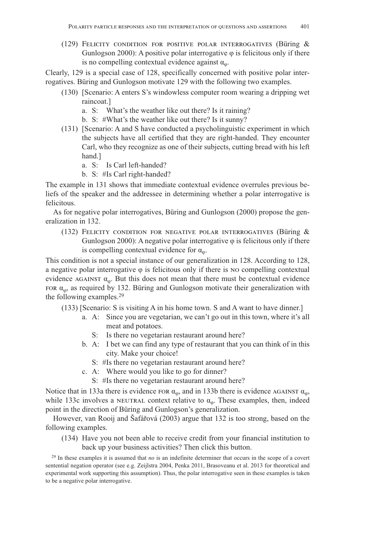(129) FELICITY CONDITION FOR POSITIVE POLAR INTERROGATIVES (Büring  $&$ Gunlogson 2000): A positive polar interrogative  $\varphi$  is felicitous only if there is no compelling contextual evidence against  $\alpha_{\varphi}$ .

Clearly, 129 is a special case of 128, specifically concerned with positive polar interrogatives. Büring and Gunlogson motivate 129 with the following two examples.

- (130) [Scenario: A enters S's windowless computer room wearing a dripping wet raincoat.]
	- a. S: What's the weather like out there? Is it raining?
	- b. S: #What's the weather like out there? Is it sunny?
- (131) [Scenario: A and S have conducted a psycholinguistic experiment in which the subjects have all certified that they are right-handed. They encounter Carl, who they recognize as one of their subjects, cutting bread with his left hand.]
	- a. S: Is Carl left-handed?
	- b. S: #Is Carl right-handed?

The example in 131 shows that immediate contextual evidence overrules previous beliefs of the speaker and the addressee in determining whether a polar interrogative is felicitous.

As for negative polar interrogatives, Büring and Gunlogson (2000) propose the generalization in 132.

(132) Felicity condition for negative polar interrogatives (Büring & Gunlogson 2000): A negative polar interrogative  $\varphi$  is felicitous only if there is compelling contextual evidence for  $\alpha_{\omega}$ .

This condition is not a special instance of our generalization in 128. According to 128, a negative polar interrogative φ is felicitous only if there is no compelling contextual evidence AGAINST  $\alpha_{\omega}$ . But this does not mean that there must be contextual evidence FOR  $\alpha_{\omega}$ , as required by 132. Büring and Gunlogson motivate their generalization with the following examples.29

(133) [Scenario: S is visiting A in his home town. S and A want to have dinner.]

- a. A: Since you are vegetarian, we can't go out in this town, where it's all meat and potatoes.
	- S: Is there no vegetarian restaurant around here?
- b. A: I bet we can find any type of restaurant that you can think of in this city. Make your choice!
	- S: #Is there no vegetarian restaurant around here?
- c. A: Where would you like to go for dinner?
	- S: #Is there no vegetarian restaurant around here?

Notice that in 133a there is evidence  $\pi \alpha_{\omega}$ , and in 133b there is evidence  $\alpha_{\text{GANIST}} \alpha_{\omega}$ , while 133c involves a NEUTRAL context relative to  $\alpha_{\omega}$ . These examples, then, indeed point in the direction of Büring and Gunlogson's generalization.

However, van Rooij and Šafářová (2003) argue that 132 is too strong, based on the following examples.

(134) Have you not been able to receive credit from your financial institution to back up your business activities? Then click this button.

<sup>29</sup> In these examples it is assumed that *no* is an indefinite determiner that occurs in the scope of a covert sentential negation operator (see e.g. Zeijlstra 2004, Penka 2011, Brasoveanu et al. 2013 for theoretical and experimental work supporting this assumption). Thus, the polar interrogative seen in these examples is taken to be a negative polar interrogative.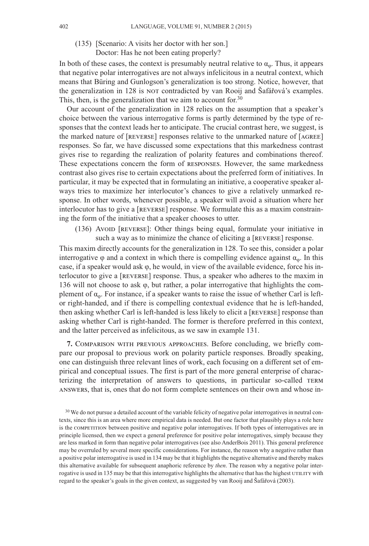(135) [Scenario: A visits her doctor with her son.] Doctor: Has he not been eating properly?

In both of these cases, the context is presumably neutral relative to  $\alpha_{\varphi}$ . Thus, it appears that negative polar interrogatives are not always infelicitous in a neutral context, which means that Büring and Gunlogson's generalization is too strong. Notice, however, that the generalization in 128 is not contradicted by van Rooij and Šafářová's examples. This, then, is the generalization that we aim to account for.<sup>30</sup>

Our account of the generalization in 128 relies on the assumption that a speaker's choice between the various interrogative forms is partly determined by the type of responses that the context leads her to anticipate. The crucial contrast here, we suggest, is the marked nature of [REVERSE] responses relative to the unmarked nature of [AGREE] responses. So far, we have discussed some expectations that this markedness contrast gives rise to regarding the realization of polarity features and combinations thereof. These expectations concern the form of responses. However, the same markedness contrast also gives rise to certain expectations about the preferred form of initiatives. In particular, it may be expected that in formulating an initiative, a cooperative speaker always tries to maximize her interlocutor's chances to give a relatively unmarked response. In other words, whenever possible, a speaker will avoid a situation where her interlocutor has to give a [reverse] response. We formulate this as a maxim constraining the form of the initiative that a speaker chooses to utter.

(136) Avoid [REVERSE]: Other things being equal, formulate your initiative in such a way as to minimize the chance of eliciting a [REVERSE] response.

This maxim directly accounts for the generalization in 128. To see this, consider a polar interrogative  $\varphi$  and a context in which there is compelling evidence against  $\alpha_{\varphi}$ . In this case, if a speaker would ask  $\varphi$ , he would, in view of the available evidence, force his interlocutor to give a [reverse] response. Thus, a speaker who adheres to the maxim in 136 will not choose to ask φ, but rather, a polar interrogative that highlights the complement of  $\alpha_{\omega}$ . For instance, if a speaker wants to raise the issue of whether Carl is leftor right-handed, and if there is compelling contextual evidence that he is left-handed, then asking whether Carl is left-handed is less likely to elicit a [reverse] response than asking whether Carl is right-handed. The former is therefore preferred in this context, and the latter perceived as infelicitous, as we saw in example 131.

**7.** Comparison with previous approaches. Before concluding, we briefly compare our proposal to previous work on polarity particle responses. Broadly speaking, one can distinguish three relevant lines of work, each focusing on a different set of empirical and conceptual issues. The first is part of the more general enterprise of characterizing the interpretation of answers to questions, in particular so-called TERM answers, that is, ones that do not form complete sentences on their own and whose in-

<sup>&</sup>lt;sup>30</sup> We do not pursue a detailed account of the variable felicity of negative polar interrogatives in neutral contexts, since this is an area where more empirical data is needed. But one factor that plausibly plays a role here is the competition between positive and negative polar interrogatives. If both types of interrogatives are in principle licensed, then we expect a general preference for positive polar interrogatives, simply because they are less marked in form than negative polar interrogatives (see also AnderBois 2011). This general preference may be overruled by several more specific considerations. For instance, the reason why a negative rather than a positive polar interrogative is used in 134 may be that it highlights the negative alternative and thereby makes this alternative available for subsequent anaphoric reference by *then*. The reason why a negative polar interrogative is used in 135 may be that this interrogative highlights the alternative that has the highest UTILITY with regard to the speaker's goals in the given context, as suggested by van Rooij and Šafářová (2003).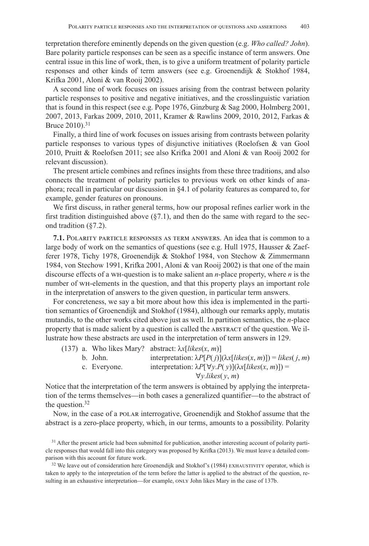terpretation therefore eminently depends on the given question (e.g. *Who called? John*). Bare polarity particle responses can be seen as a specific instance of term answers. One central issue in this line of work, then, is to give a uniform treatment of polarity particle responses and other kinds of term answers (see e.g. Groenendijk & Stokhof 1984, Krifka 2001, Aloni & van Rooij 2002).

A second line of work focuses on issues arising from the contrast between polarity particle responses to positive and negative initiatives, and the crosslinguistic variation that is found in this respect (see e.g. Pope 1976, Ginzburg & Sag 2000, Holmberg 2001, 2007, 2013, Farkas 2009, 2010, 2011, Kramer & Rawlins 2009, 2010, 2012, Farkas & Bruce 2010).31

Finally, a third line of work focuses on issues arising from contrasts between polarity particle responses to various types of disjunctive initiatives (Roelofsen & van Gool 2010, Pruitt & Roelofsen 2011; see also Krifka 2001 and Aloni & van Rooij 2002 for relevant discussion).

The present article combines and refines insights from these three traditions, and also connects the treatment of polarity particles to previous work on other kinds of anaphora; recall in particular our discussion in §4.1 of polarity features as compared to, for example, gender features on pronouns.

We first discuss, in rather general terms, how our proposal refines earlier work in the first tradition distinguished above  $(\S7.1)$ , and then do the same with regard to the second tradition (§7.2).

**7.1.** Polarity particle responses as term answers. An idea that is common to a large body of work on the semantics of questions (see e.g. Hull 1975, Hausser & Zaefferer 1978, Tichy 1978, Groenendijk & Stokhof 1984, von Stechow & Zimmermann 1984, von Stechow 1991, Krifka 2001, Aloni & van Rooij 2002) is that one of the main discourse effects of a wh-question is to make salient an *n*-place property, where *n* is the number of wh-elements in the question, and that this property plays an important role in the interpretation of answers to the given question, in particular term answers.

For concreteness, we say a bit more about how this idea is implemented in the partition semantics of Groenendijk and Stokhof (1984), although our remarks apply, mutatis mutandis, to the other works cited above just as well. In partition semantics, the *n*-place property that is made salient by a question is called the ABSTRACT of the question. We illustrate how these abstracts are used in the interpretation of term answers in 129.

|  |              | (137) a. Who likes Mary? abstract: $\lambda x[i\text{kes}(x, m)]$       |
|--|--------------|-------------------------------------------------------------------------|
|  | b. John.     | interpretation: $\lambda P[P(j)](\lambda x[likes(x, m)]) = likes(j, m)$ |
|  | c. Everyone. | interpretation: $\lambda P[\forall y.P(y)](\lambda x[likes(x, m)])$ =   |
|  |              | $\forall v.$ likes $(v, m)$                                             |

Notice that the interpretation of the term answers is obtained by applying the interpretation of the terms themselves—in both cases a generalized quantifier—to the abstract of the question.<sup>32</sup>

Now, in the case of a polar interrogative, Groenendijk and Stokhof assume that the abstract is a zero-place property, which, in our terms, amounts to a possibility. Polarity

<sup>&</sup>lt;sup>31</sup> After the present article had been submitted for publication, another interesting account of polarity particle responses that would fall into this category was proposed by Krifka (2013). We must leave a detailed comparison with this account for future work.

 $32$  We leave out of consideration here Groenendijk and Stokhof's (1984) EXHAUSTIVITY operator, which is taken to apply to the interpretation of the term before the latter is applied to the abstract of the question, resulting in an exhaustive interpretation—for example, ONLY John likes Mary in the case of 137b.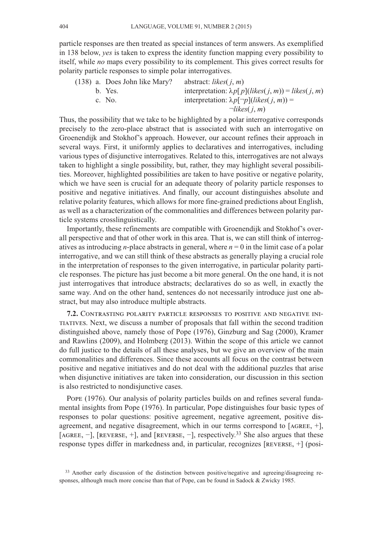particle responses are then treated as special instances of term answers. As exemplified in 138 below, *yes* is taken to express the identity function mapping every possibility to itself, while *no* maps every possibility to its complement. This gives correct results for polarity particle responses to simple polar interrogatives.

| (138) a. Does John like Mary? | abstract: <i>likes</i> $(i, m)$                                         |
|-------------------------------|-------------------------------------------------------------------------|
| b. Yes.                       | interpretation: $\lambda p[p](\text{likes}(j, m)) = \text{likes}(j, m)$ |
| c. No.                        | interpretation: $\lambda p[\neg p](\text{likes}(i, m)) =$               |
|                               | $\neg$ <i>likes</i> $(i, m)$                                            |
|                               |                                                                         |

Thus, the possibility that we take to be highlighted by a polar interrogative corresponds precisely to the zero-place abstract that is associated with such an interrogative on Groenendijk and Stokhof's approach. However, our account refines their approach in several ways. First, it uniformly applies to declaratives and interrogatives, including various types of disjunctive interrogatives. Related to this, interrogatives are not always taken to highlight a single possibility, but, rather, they may highlight several possibilities. Moreover, highlighted possibilities are taken to have positive or negative polarity, which we have seen is crucial for an adequate theory of polarity particle responses to positive and negative initiatives. And finally, our account distinguishes absolute and relative polarity features, which allows for more fine-grained predictions about English, as well as a characterization of the commonalities and differences between polarity particle systems crosslinguistically.

Importantly, these refinements are compatible with Groenendijk and Stokhof's overall perspective and that of other work in this area. That is, we can still think of interrogatives as introducing *n*-place abstracts in general, where *n* = 0 in the limit case of a polar interrogative, and we can still think of these abstracts as generally playing a crucial role in the interpretation of responses to the given interrogative, in particular polarity particle responses. The picture has just become a bit more general. On the one hand, it is not just interrogatives that introduce abstracts; declaratives do so as well, in exactly the same way. And on the other hand, sentences do not necessarily introduce just one abstract, but may also introduce multiple abstracts.

**7.2.** Contrasting polarity particle responses to positive and negative initiatives. Next, we discuss a number of proposals that fall within the second tradition distinguished above, namely those of Pope (1976), Ginzburg and Sag (2000), Kramer and Rawlins (2009), and Holmberg (2013). Within the scope of this article we cannot do full justice to the details of all these analyses, but we give an overview of the main commonalities and differences. Since these accounts all focus on the contrast between positive and negative initiatives and do not deal with the additional puzzles that arise when disjunctive initiatives are taken into consideration, our discussion in this section is also restricted to nondisjunctive cases.

Pope (1976). Our analysis of polarity particles builds on and refines several fundamental insights from Pope (1976). In particular, Pope distinguishes four basic types of responses to polar questions: positive agreement, negative agreement, positive disagreement, and negative disagreement, which in our terms correspond to  $[AGREE, +]$ , [AGREE,  $-$ ], [REVERSE,  $+$ ], and [REVERSE,  $-$ ], respectively.<sup>33</sup> She also argues that these response types differ in markedness and, in particular, recognizes [reverse, +] (posi-

<sup>&</sup>lt;sup>33</sup> Another early discussion of the distinction between positive/negative and agreeing/disagreeing responses, although much more concise than that of Pope, can be found in Sadock & Zwicky 1985.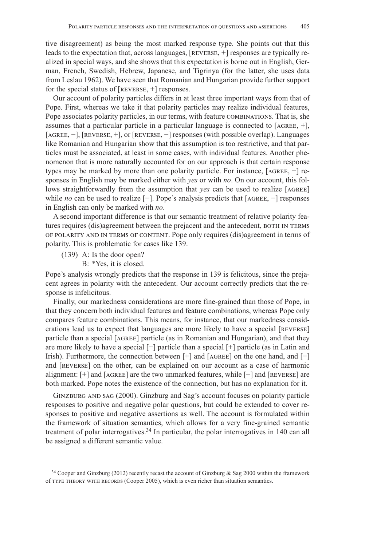tive disagreement) as being the most marked response type. She points out that this leads to the expectation that, across languages, [reverse, +] responses are typically realized in special ways, and she shows that this expectation is borne out in English, German, French, Swedish, Hebrew, Japanese, and Tigrinya (for the latter, she uses data from Leslau 1962). We have seen that Romanian and Hungarian provide further support for the special status of  $[REVERSE, +]$  responses.

Our account of polarity particles differs in at least three important ways from that of Pope. First, whereas we take it that polarity particles may realize individual features, Pope associates polarity particles, in our terms, with feature combinations. That is, she assumes that a particular particle in a particular language is connected to  $[AGREE, +]$ , [agree, −], [reverse, +], or [reverse, −] responses (with possible overlap). Languages like Romanian and Hungarian show that this assumption is too restrictive, and that particles must be associated, at least in some cases, with individual features. Another phenomenon that is more naturally accounted for on our approach is that certain response types may be marked by more than one polarity particle. For instance, [AGREE, −] responses in English may be marked either with *yes* or with *no*. On our account, this follows straightforwardly from the assumption that *yes* can be used to realize [AGREE] while *no* can be used to realize [−]. Pope's analysis predicts that [AGREE, −] responses in English can only be marked with *no*.

A second important difference is that our semantic treatment of relative polarity features requires (dis)agreement between the prejacent and the antecedent, BOTH IN TERMS of polarity and in terms of content. Pope only requires (dis)agreement in terms of polarity. This is problematic for cases like 139.

- (139) A: Is the door open?
	- B: \*Yes, it is closed.

Pope's analysis wrongly predicts that the response in 139 is felicitous, since the prejacent agrees in polarity with the antecedent. Our account correctly predicts that the response is infelicitous.

Finally, our markedness considerations are more fine-grained than those of Pope, in that they concern both individual features and feature combinations, whereas Pope only compares feature combinations. This means, for instance, that our markedness considerations lead us to expect that languages are more likely to have a special [reverse] particle than a special [agree] particle (as in Romanian and Hungarian), and that they are more likely to have a special [−] particle than a special [+] particle (as in Latin and Irish). Furthermore, the connection between  $[+]$  and  $[AGREE]$  on the one hand, and  $[$  $]$ and [reverse] on the other, can be explained on our account as a case of harmonic alignment: [+] and [agree] are the two unmarked features, while [−] and [reverse] are both marked. Pope notes the existence of the connection, but has no explanation for it.

Ginzburg and sag (2000). Ginzburg and Sag's account focuses on polarity particle responses to positive and negative polar questions, but could be extended to cover responses to positive and negative assertions as well. The account is formulated within the framework of situation semantics, which allows for a very fine-grained semantic treatment of polar interrogatives.<sup>34</sup> In particular, the polar interrogatives in 140 can all be assigned a different semantic value.

<sup>&</sup>lt;sup>34</sup> Cooper and Ginzburg (2012) recently recast the account of Ginzburg & Sag 2000 within the framework of TYPE THEORY WITH RECORDS (Cooper 2005), which is even richer than situation semantics.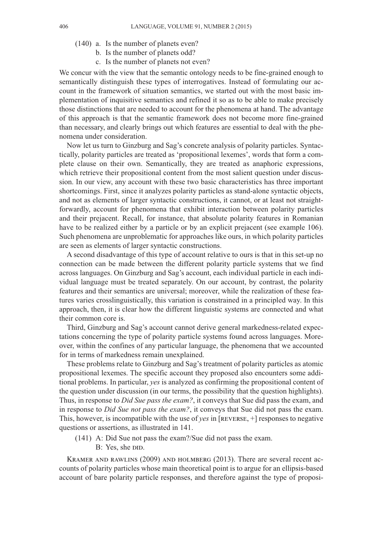(140) a. Is the number of planets even?

- b. Is the number of planets odd?
- c. Is the number of planets not even?

We concur with the view that the semantic ontology needs to be fine-grained enough to semantically distinguish these types of interrogatives. Instead of formulating our account in the framework of situation semantics, we started out with the most basic implementation of inquisitive semantics and refined it so as to be able to make precisely those distinctions that are needed to account for the phenomena at hand. The advantage of this approach is that the semantic framework does not become more fine-grained than necessary, and clearly brings out which features are essential to deal with the phenomena under consideration.

Now let us turn to Ginzburg and Sag's concrete analysis of polarity particles. Syntactically, polarity particles are treated as 'propositional lexemes', words that form a complete clause on their own. Semantically, they are treated as anaphoric expressions, which retrieve their propositional content from the most salient question under discussion. In our view, any account with these two basic characteristics has three important shortcomings. First, since it analyzes polarity particles as stand-alone syntactic objects, and not as elements of larger syntactic constructions, it cannot, or at least not straightforwardly, account for phenomena that exhibit interaction between polarity particles and their prejacent. Recall, for instance, that absolute polarity features in Romanian have to be realized either by a particle or by an explicit prejacent (see example 106). Such phenomena are unproblematic for approaches like ours, in which polarity particles are seen as elements of larger syntactic constructions.

A second disadvantage of this type of account relative to ours is that in this set-up no connection can be made between the different polarity particle systems that we find across languages. On Ginzburg and Sag's account, each individual particle in each individual language must be treated separately. On our account, by contrast, the polarity features and their semantics are universal; moreover, while the realization of these features varies crosslinguistically, this variation is constrained in a principled way. In this approach, then, it is clear how the different linguistic systems are connected and what their common core is.

Third, Ginzburg and Sag's account cannot derive general markedness-related expectations concerning the type of polarity particle systems found across languages. Moreover, within the confines of any particular language, the phenomena that we accounted for in terms of markedness remain unexplained.

These problems relate to Ginzburg and Sag's treatment of polarity particles as atomic propositional lexemes. The specific account they proposed also encounters some additional problems. In particular, *yes* is analyzed as confirming the propositional content of the question under discussion (in our terms, the possibility that the question highlights). Thus, in response to *Did Sue pass the exam?*, it conveys that Sue did pass the exam, and in response to *Did Sue not pass the exam?*, it conveys that Sue did not pass the exam. This, however, is incompatible with the use of *yes* in [reverse, +] responses to negative questions or assertions, as illustrated in 141.

- (141) A: Did Sue not pass the exam?/Sue did not pass the exam.
	- B: Yes, she DID.

Kramer and rawlins (2009) and holmberg (2013). There are several recent accounts of polarity particles whose main theoretical point is to argue for an ellipsis-based account of bare polarity particle responses, and therefore against the type of proposi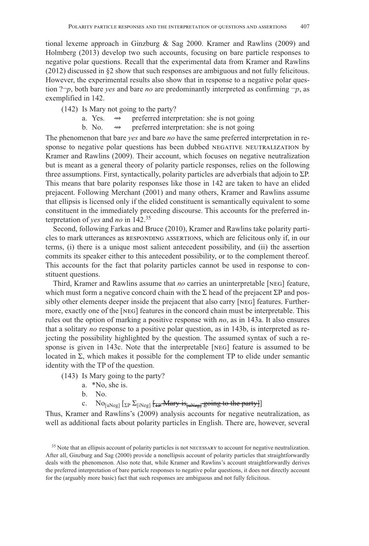tional lexeme approach in Ginzburg & Sag 2000. Kramer and Rawlins (2009) and Holmberg (2013) develop two such accounts, focusing on bare particle responses to negative polar questions. Recall that the experimental data from Kramer and Rawlins (2012) discussed in §2 show that such responses are ambiguous and not fully felicitous. However, the experimental results also show that in response to a negative polar question  $?~p$ , both bare *yes* and bare *no* are predominantly interpreted as confirming  $-p$ , as exemplified in 142.

- (142) Is Mary not going to the party?
	- a. Yes.  $\rightarrow$  preferred interpretation: she is not going
	- b. No.  $\rightarrow$  preferred interpretation: she is not going

The phenomenon that bare *yes* and bare *no* have the same preferred interpretation in response to negative polar questions has been dubbed NEGATIVE NEUTRALIZATION by Kramer and Rawlins (2009). Their account, which focuses on negative neutralization but is meant as a general theory of polarity particle responses, relies on the following three assumptions. First, syntactically, polarity particles are adverbials that adjoin to ΣP. This means that bare polarity responses like those in 142 are taken to have an elided prejacent. Following Merchant (2001) and many others, Kramer and Rawlins assume that ellipsis is licensed only if the elided constituent is semantically equivalent to some constituent in the immediately preceding discourse. This accounts for the preferred interpretation of *yes* and *no* in 142.35

Second, following Farkas and Bruce (2010), Kramer and Rawlins take polarity particles to mark utterances as responding assertions, which are felicitous only if, in our terms, (i) there is a unique most salient antecedent possibility, and (ii) the assertion commits its speaker either to this antecedent possibility, or to the complement thereof. This accounts for the fact that polarity particles cannot be used in response to constituent questions.

Third, Kramer and Rawlins assume that *no* carries an uninterpretable [neg] feature, which must form a negative concord chain with the  $\Sigma$  head of the prejacent  $\Sigma P$  and possibly other elements deeper inside the prejacent that also carry [neg] features. Furthermore, exactly one of the [neg] features in the concord chain must be interpretable. This rules out the option of marking a positive response with *no*, as in 143a. It also ensures that a solitary *no* response to a positive polar question, as in 143b, is interpreted as rejecting the possibility highlighted by the question. The assumed syntax of such a response is given in 143c. Note that the interpretable [neg] feature is assumed to be located in Σ, which makes it possible for the complement TP to elide under semantic identity with the TP of the question.

(143) Is Mary going to the party?

- a. \*No, she is.
- b. No.

c.  $No_{[uNeg]}$  [<sub> $\Sigma P$ </sub>  $\Sigma_{[iNeg]}$  [<sub>TP</sub> Mary is<sub>[uNeg]</sub> going to the party]]

Thus, Kramer and Rawlins's (2009) analysis accounts for negative neutralization, as well as additional facts about polarity particles in English. There are, however, several

<sup>&</sup>lt;sup>35</sup> Note that an ellipsis account of polarity particles is not NECESSARY to account for negative neutralization. After all, Ginzburg and Sag (2000) provide a nonellipsis account of polarity particles that straightforwardly deals with the phenomenon. Also note that, while Kramer and Rawlins's account straightforwardly derives the preferred interpretation of bare particle responses to negative polar questions, it does not directly account for the (arguably more basic) fact that such responses are ambiguous and not fully felicitous.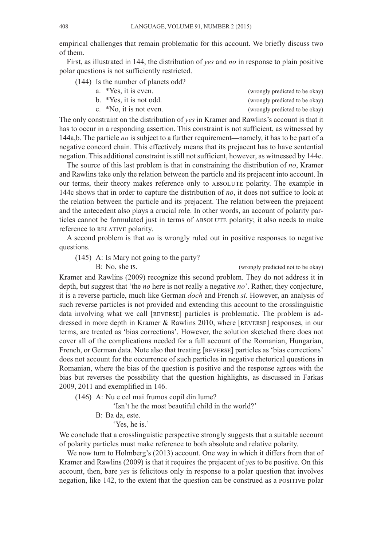empirical challenges that remain problematic for this account. We briefly discuss two of them.

First, as illustrated in 144, the distribution of *yes* and *no* in response to plain positive polar questions is not sufficiently restricted.

(144) Is the number of planets odd?

- 
- a. \*Yes, it is even. (wrongly predicted to be okay)
- c. \*No, it is not even. (wrongly predicted to be okay)
- b. \*Yes, it is not odd. (wrongly predicted to be okay)

The only constraint on the distribution of *yes* in Kramer and Rawlins's account is that it has to occur in a responding assertion. This constraint is not sufficient, as witnessed by 144a,b. The particle *no* is subject to a further requirement—namely, it has to be part of a negative concord chain. This effectively means that its prejacent has to have sentential negation. This additional constraint is still not sufficient, however, as witnessed by 144c.

The source of this last problem is that in constraining the distribution of *no*, Kramer and Rawlins take only the relation between the particle and its prejacent into account. In our terms, their theory makes reference only to absolute polarity. The example in 144c shows that in order to capture the distribution of *no*, it does not suffice to look at the relation between the particle and its prejacent. The relation between the prejacent and the antecedent also plays a crucial role. In other words, an account of polarity particles cannot be formulated just in terms of ABSOLUTE polarity; it also needs to make reference to RELATIVE polarity.

A second problem is that *no* is wrongly ruled out in positive responses to negative questions.

(145) A: Is Mary not going to the party?

B: No, she is. (wrongly predicted not to be okay)

Kramer and Rawlins (2009) recognize this second problem. They do not address it in depth, but suggest that 'the *no* here is not really a negative *no*'. Rather, they conjecture, it is a reverse particle, much like German *doch* and French *si*. However, an analysis of such reverse particles is not provided and extending this account to the crosslinguistic data involving what we call [reverse] particles is problematic. The problem is addressed in more depth in Kramer & Rawlins 2010, where [reverse] responses, in our terms, are treated as 'bias corrections'. However, the solution sketched there does not cover all of the complications needed for a full account of the Romanian, Hungarian, French, or German data. Note also that treating [REVERSE] particles as 'bias corrections' does not account for the occurrence of such particles in negative rhetorical questions in Romanian, where the bias of the question is positive and the response agrees with the bias but reverses the possibility that the question highlights, as discussed in Farkas 2009, 2011 and exemplified in 146.

(146) A: Nu e cel mai frumos copil din lume?

'Isn't he the most beautiful child in the world?'

B: Ba da, este.

'Yes, he is.'

We conclude that a crosslinguistic perspective strongly suggests that a suitable account of polarity particles must make reference to both absolute and relative polarity.

We now turn to Holmberg's (2013) account. One way in which it differs from that of Kramer and Rawlins (2009) is that it requires the prejacent of *yes* to be positive. On this account, then, bare *yes* is felicitous only in response to a polar question that involves negation, like 142, to the extent that the question can be construed as a positive polar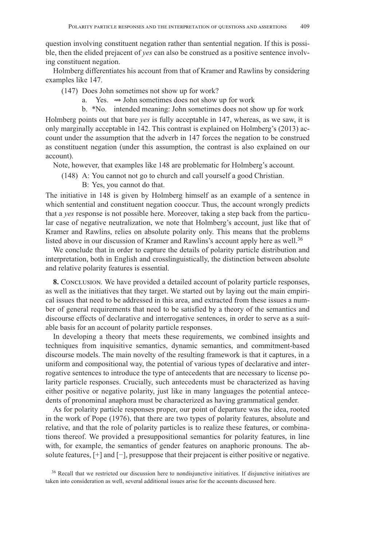question involving constituent negation rather than sentential negation. If this is possible, then the elided prejacent of *yes* can also be construed as a positive sentence involving constituent negation.

Holmberg differentiates his account from that of Kramer and Rawlins by considering examples like 147.

(147) Does John sometimes not show up for work?

- Yes.  $\gg$  John sometimes does not show up for work
- b. \*No. intended meaning: John sometimes does not show up for work

Holmberg points out that bare *yes* is fully acceptable in 147, whereas, as we saw, it is only marginally acceptable in 142. This contrast is explained on Holmberg's (2013) account under the assumption that the adverb in 147 forces the negation to be construed as constituent negation (under this assumption, the contrast is also explained on our account).

Note, however, that examples like 148 are problematic for Holmberg's account.

- (148) A: You cannot not go to church and call yourself a good Christian.
	- B: Yes, you cannot do that.

The initiative in 148 is given by Holmberg himself as an example of a sentence in which sentential and constituent negation cooccur. Thus, the account wrongly predicts that a *yes* response is not possible here. Moreover, taking a step back from the particular case of negative neutralization, we note that Holmberg's account, just like that of Kramer and Rawlins, relies on absolute polarity only. This means that the problems listed above in our discussion of Kramer and Rawlins's account apply here as well.<sup>36</sup>

We conclude that in order to capture the details of polarity particle distribution and interpretation, both in English and crosslinguistically, the distinction between absolute and relative polarity features is essential.

**8.** Conclusion. We have provided a detailed account of polarity particle responses, as well as the initiatives that they target. We started out by laying out the main empirical issues that need to be addressed in this area, and extracted from these issues a number of general requirements that need to be satisfied by a theory of the semantics and discourse effects of declarative and interrogative sentences, in order to serve as a suitable basis for an account of polarity particle responses.

In developing a theory that meets these requirements, we combined insights and techniques from inquisitive semantics, dynamic semantics, and commitment-based discourse models. The main novelty of the resulting framework is that it captures, in a uniform and compositional way, the potential of various types of declarative and interrogative sentences to introduce the type of antecedents that are necessary to license polarity particle responses. Crucially, such antecedents must be characterized as having either positive or negative polarity, just like in many languages the potential antecedents of pronominal anaphora must be characterized as having grammatical gender.

As for polarity particle responses proper, our point of departure was the idea, rooted in the work of Pope (1976), that there are two types of polarity features, absolute and relative, and that the role of polarity particles is to realize these features, or combinations thereof. We provided a presuppositional semantics for polarity features, in line with, for example, the semantics of gender features on anaphoric pronouns. The absolute features,  $[+]$  and  $[-]$ , presuppose that their prejacent is either positive or negative.

<sup>36</sup> Recall that we restricted our discussion here to nondisjunctive initiatives. If disjunctive initiatives are taken into consideration as well, several additional issues arise for the accounts discussed here.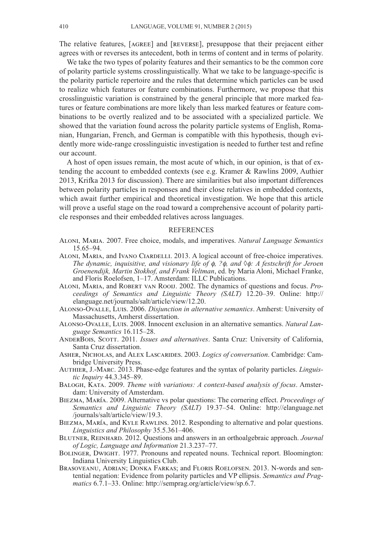The relative features, [agree] and [reverse], presuppose that their prejacent either agrees with or reverses its antecedent, both in terms of content and in terms of polarity.

We take the two types of polarity features and their semantics to be the common core of polarity particle systems crosslinguistically. What we take to be language-specific is the polarity particle repertoire and the rules that determine which particles can be used to realize which features or feature combinations. Furthermore, we propose that this crosslinguistic variation is constrained by the general principle that more marked features or feature combinations are more likely than less marked features or feature combinations to be overtly realized and to be associated with a specialized particle. We showed that the variation found across the polarity particle systems of English, Romanian, Hungarian, French, and German is compatible with this hypothesis, though evidently more wide-range crosslinguistic investigation is needed to further test and refine our account.

A host of open issues remain, the most acute of which, in our opinion, is that of extending the account to embedded contexts (see e.g. Kramer & Rawlins 2009, Authier 2013, Krifka 2013 for discussion). There are similarities but also important differences between polarity particles in responses and their close relatives in embedded contexts, which await further empirical and theoretical investigation. We hope that this article will prove a useful stage on the road toward a comprehensive account of polarity particle responses and their embedded relatives across languages.

#### REFERENCES

- Aloni, Maria. 2007. Free choice, modals, and imperatives. *Natural Language Semantics* 15.65–94.
- ALONI, MARIA, and IVANO CIARDELLI. 2013. A logical account of free-choice imperatives. *The dynamic, inquisitive, and visionary life of* φ*, ?*φ*, and ◊*φ*: A festschrift for Jeroen Groenendijk, Martin Stokhof, and Frank Veltman*, ed. by Maria Aloni, Michael Franke, and Floris Roelofsen, 1–17. Amsterdam: ILLC Publications.
- Aloni, Maria, and Robert van Rooij. 2002. The dynamics of questions and focus. *Proceedings of Semantics and Linguistic Theory (SALT)* 12.20–39. Online: [http://](http://elanguage.net/journals/salt/article/view/12.20) [elanguage.net/journals/salt/article/view/12.20.](http://elanguage.net/journals/salt/article/view/12.20)
- Alonso-Ovalle, Luis. 2006. *Disjunction in alternative semantics*. Amherst: University of Massachusetts, Amherst dissertation.
- Alonso-Ovalle, Luis. 2008. Innocent exclusion in an alternative semantics. *Natural Language Semantics* 16.115–28.
- AnderBois, Scott. 2011. *Issues and alternatives*. Santa Cruz: University of California, Santa Cruz dissertation.
- Asher, Nicholas, and Alex Lascarides. 2003. *Logics of conversation*. Cambridge: Cambridge University Press.
- Authier, J.-Marc. 2013. Phase-edge features and the syntax of polarity particles. *Linguistic Inquiry* 44.3.345–89.
- Balogh, Kata. 2009. *Theme with variations: A context-based analysis of focus*. Amsterdam: University of Amsterdam.
- Biezma, María. 2009. Alternative vs polar questions: The cornering effect. *Proceedings of Semantics and Linguistic Theory (SALT)* 19.37–54. Online: [http://elanguage.net](http://elanguage.net/journals/salt/article/view/19.3) [/journals/salt/article/view/19.3.](http://elanguage.net/journals/salt/article/view/19.3)
- Biezma, María, and Kyle Rawlins. 2012. Responding to alternative and polar questions. *Linguistics and Philosophy* 35.5.361–406.
- Blutner, Reinhard. 2012. Questions and answers in an orthoalgebraic approach. *Journal of Logic, Language and Information* 21.3.237–77.
- Bolinger, Dwight. 1977. Pronouns and repeated nouns. Technical report. Bloomington: Indiana University Linguistics Club.
- Brasoveanu, Adrian; Donka Farkas; and Floris Roelofsen. 2013. N-words and sentential negation: Evidence from polarity particles and VP ellipsis. *Semantics and Pragmatics* 6.7.1–33. Online: http://semprag.org/article/view/sp.6.7.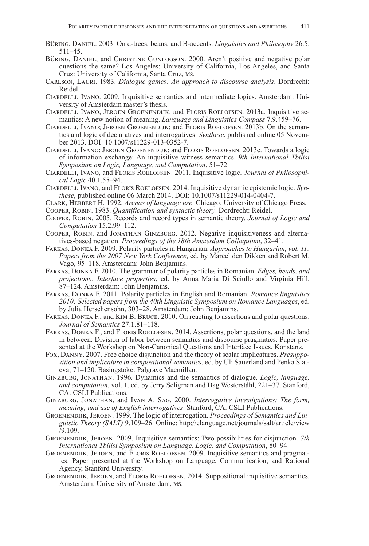- Büring, Daniel. 2003. On d-trees, beans, and B-accents. *Linguistics and Philosophy* 26.5. 511–45.
- Büring, Daniel, and Christine Gunlogson. 2000. Aren't positive and negative polar questions the same? Los Angeles: University of California, Los Angeles, and Santa Cruz: University of California, Santa Cruz, ms.
- Carlson, Lauri. 1983. *Dialogue games: An approach to discourse analysis*. Dordrecht: Reidel.
- CIARDELLI, IVANO. 2009. Inquisitive semantics and intermediate logics. Amsterdam: University of Amsterdam master's thesis.
- Ciardelli, Ivano; Jeroen Groenendijk; and Floris Roelofsen. 2013a. Inquisitive semantics: A new notion of meaning. *Language and Linguistics Compass* 7.9.459–76.
- Ciardelli, Ivano; Jeroen Groenendijk; and Floris Roelofsen. 2013b. On the semantics and logic of declaratives and interrogatives. *Synthese*, published online 05 November 2013. DOI: 10.1007/s11229-013-0352-7.
- CIARDELLI, IVANO; JEROEN GROENENDIJK; and FLORIS ROELOFSEN. 2013c. Towards a logic of information exchange: An inquisitive witness semantics. *9th International Tbilisi Symposium on Logic, Language, and Computation*, 51–72.
- Ciardelli, Ivano, and Floris Roelofsen. 2011. Inquisitive logic. *Journal of Philosophical Logic* 40.1.55–94.
- Ciardelli, Ivano, and Floris Roelofsen. 2014. Inquisitive dynamic epistemic logic. *Synthese*, published online 06 March 2014. DOI: 10.1007/s11229-014-0404-7.
- Clark, Herbert H. 1992. *Arenas of language use*. Chicago: University of Chicago Press.
- Cooper, Robin. 1983. *Quantification and syntactic theory*. Dordrecht: Reidel.
- Cooper, Robin. 2005. Records and record types in semantic theory. *Journal of Logic and Computation* 15.2.99–112.
- Cooper, Robin, and Jonathan Ginzburg. 2012. Negative inquisitiveness and alternatives-based negation. *Proceedings of the 18th Amsterdam Colloquium*, 32–41.
- Farkas, Donka F. 2009. Polarity particles in Hungarian. *Approaches to Hungarian, vol. 11: Papers from the 2007 New York Conference*, ed. by Marcel den Dikken and Robert M. Vago, 95–118. Amsterdam: John Benjamins.
- Farkas, Donka F. 2010. The grammar of polarity particles in Romanian. *Edges, heads, and projections: Interface properties*, ed. by Anna Maria Di Sciullo and Virginia Hill, 87–124. Amsterdam: John Benjamins.
- Farkas, Donka F. 2011. Polarity particles in English and Romanian. *Romance linguistics 2010: Selected papers from the 40th Linguistic Symposium on Romance Languages*, ed. by Julia Herschensohn, 303–28. Amsterdam: John Benjamins.
- Farkas, Donka F., and Kim B. Bruce. 2010. On reacting to assertions and polar questions. *Journal of Semantics* 27.1.81–118.
- Farkas, Donka F., and Floris Roelofsen. 2014. Assertions, polar questions, and the land in between: Division of labor between semantics and discourse pragmatics. Paper presented at the Workshop on Non-Canonical Questions and Interface Issues, Konstanz.
- Fox, Danny. 2007. Free choice disjunction and the theory of scalar implicatures. *Presupposition and implicature in compositional semantics*, ed. by Uli Sauerland and Penka Stateva, 71–120. Basingstoke: Palgrave Macmillan.
- Ginzburg, Jonathan. 1996. Dynamics and the semantics of dialogue. *Logic, language, and computation*, vol. 1, ed. by Jerry Seligman and Dag Westerståhl, 221–37. Stanford, CA: CSLI Publications.
- Ginzburg, Jonathan, and Ivan A. Sag. 2000. *Interrogative investigations: The form, meaning, and use of English interrogatives*. Stanford, CA: CSLI Publications.
- GROENENDIJK, JEROEN. 1999. The logic of interrogation. *Proceedings of Semantics and Linguistic Theory (SALT)* 9.109–26. Online: [http://elanguage.net/journals/salt/article/view](http://elanguage.net/journals/salt/article/view/9.109) [/9.109.](http://elanguage.net/journals/salt/article/view/9.109)
- Groenendijk, Jeroen. 2009. Inquisitive semantics: Two possibilities for disjunction. *7th International Tbilisi Symposium on Language, Logic, and Computation*, 80–94.
- Groenendijk, Jeroen, and Floris Roelofsen. 2009. Inquisitive semantics and pragmatics. Paper presented at the Workshop on Language, Communication, and Rational Agency, Stanford University.
- GROENENDIJK, JEROEN, and FLORIS ROELOFSEN. 2014. Suppositional inquisitive semantics. Amsterdam: University of Amsterdam, ms.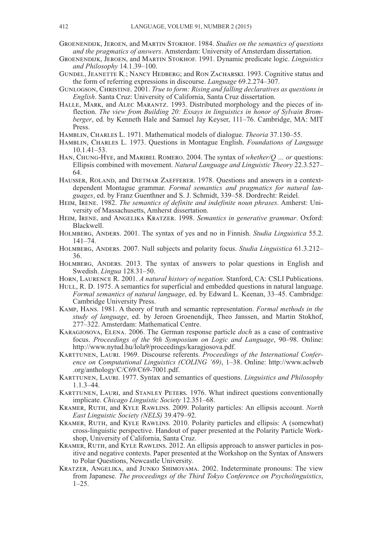- Groenendijk, Jeroen, and Martin Stokhof. 1984. *Studies on the semantics of questions and the pragmatics of answers*. Amsterdam: University of Amsterdam dissertation.
- Groenendijk, Jeroen, and Martin Stokhof. 1991. Dynamic predicate logic. *Linguistics and Philosophy* 14.1.39–100.
- GUNDEL, JEANETTE K.; NANCY HEDBERG; and RON ZACHARSKI. 1993. Cognitive status and the form of referring expressions in discourse. *Language* 69.2.274–307.
- Gunlogson, Christine. 2001. *True to form: Rising and falling declaratives as questions in English*. Santa Cruz: University of California, Santa Cruz dissertation.
- Halle, Mark, and Alec Marantz. 1993. Distributed morphology and the pieces of inflection. *The view from Building 20: Essays in linguistics in honor of Sylvain Bromberger*, ed. by Kenneth Hale and Samuel Jay Keyser, 111–76. Cambridge, MA: MIT Press.
- Hamblin, Charles L. 1971. Mathematical models of dialogue. *Theoria* 37.130–55.
- Hamblin, Charles L. 1973. Questions in Montague English. *Foundations of Language* 10.1.41–53.
- Han, Chung-Hye, and Maribel Romero. 2004. The syntax of *whether/Q … or* questions: Ellipsis combined with movement. *Natural Language and Linguistic Theory* 22.3.527– 64.
- Hausser, Roland, and Dietmar Zaefferer. 1978. Questions and answers in a contextdependent Montague grammar. *Formal semantics and pragmatics for natural languages*, ed. by Franz Guenthner and S. J. Schmidt, 339–58. Dordrecht: Reidel.
- HEIM, IRENE. 1982. *The semantics of definite and indefinite noun phrases*. Amherst: University of Massachusetts, Amherst dissertation.
- Heim, Irene, and Angelika Kratzer. 1998. *Semantics in generative grammar*. Oxford: Blackwell.
- Holmberg, Anders. 2001. The syntax of yes and no in Finnish. *Studia Linguistica* 55.2. 141–74.
- Holmberg, Anders. 2007. Null subjects and polarity focus. *Studia Linguistica* 61.3.212– 36.
- Holmberg, Anders. 2013. The syntax of answers to polar questions in English and Swedish. *Lingua* 128.31–50.
- Horn, Laurence R. 2001. *A natural history of negation*. Stanford, CA: CSLI Publications.
- HULL, R. D. 1975. A semantics for superficial and embedded questions in natural language. *Formal semantics of natural language*, ed. by Edward L. Keenan, 33–45. Cambridge: Cambridge University Press.
- Kamp, Hans. 1981. A theory of truth and semantic representation. *Formal methods in the study of language*, ed. by Jeroen Groenendijk, Theo Janssen, and Martin Stokhof, 277–322. Amsterdam: Mathematical Centre.
- Karagjosova, Elena. 2006. The German response particle *doch* as a case of contrastive focus. *Proceedings of the 9th Symposium on Logic and Language*, 90–98. Online: http://www.nytud.hu/lola9/proceedings/karagjosova.pdf.
- Karttunen, Lauri. 1969. Discourse referents. *Proceedings of the International Conference on Computational Linguistics (COLING '69)*, 1–38. Online: [http://www.aclweb](http://www.aclweb.org/anthology/C/C69/C69-7001.pdf) [.org/anthology/C/C69/C69-7001.pdf.](http://www.aclweb.org/anthology/C/C69/C69-7001.pdf)
- Karttunen, Lauri. 1977. Syntax and semantics of questions. *Linguistics and Philosophy* 1.1.3–44.
- Karttunen, Lauri, and Stanley Peters. 1976. What indirect questions conventionally implicate. *Chicago Linguistic Society* 12.351–68.
- Kramer, Ruth, and Kyle Rawlins. 2009. Polarity particles: An ellipsis account. *North East Linguistic Society (NELS)* 39.479–92.
- Kramer, Ruth, and Kyle Rawlins. 2010. Polarity particles and ellipsis: A (somewhat) cross-linguistic perspective. Handout of paper presented at the Polarity Particle Workshop, University of California, Santa Cruz.
- KRAMER, RUTH, and KYLE RAWLINS. 2012. An ellipsis approach to answer particles in positive and negative contexts. Paper presented at the Workshop on the Syntax of Answers to Polar Questions, Newcastle University.
- Kratzer, Angelika, and Junko Shimoyama. 2002. Indeterminate pronouns: The view from Japanese. *The proceedings of the Third Tokyo Conference on Psycholinguistics*, 1–25.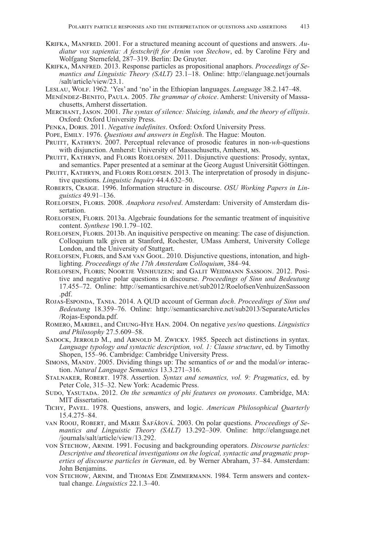- KRIFKA, MANFRED. 2001. For a structured meaning account of questions and answers. Au*diatur vox sapientia: A festschrift for Arnim von Stechow*, ed. by Caroline Féry and Wolfgang Sternefeld, 287–319. Berlin: De Gruyter.
- KRIFKA, MANFRED. 2013. Response particles as propositional anaphors. *Proceedings of Semantics and Linguistic Theory (SALT)* 23.1–18. Online: [http://elanguage.net/journals](http://elanguage.net/journals/salt/article/view/23.1) [/salt/article/view/23.1.](http://elanguage.net/journals/salt/article/view/23.1)
- Leslau, Wolf. 1962. 'Yes' and 'no' in the Ethiopian languages. *Language* 38.2.147–48.
- Menéndez-Benito, Paula. 2005. *The grammar of choice*. Amherst: University of Massachusetts, Amherst dissertation.
- Merchant, Jason. 2001. *The syntax of silence: Sluicing, islands, and the theory of ellipsis*. Oxford: Oxford University Press.
- Penka, Doris. 2011. *Negative indefinites*. Oxford: Oxford University Press.
- Pope, Emily. 1976. *Questions and answers in English*. The Hague: Mouton.
- PRUITT, KATHRYN. 2007. Perceptual relevance of prosodic features in non-*wh*-questions with disjunction. Amherst: University of Massachusetts, Amherst, ms.
- PRUITT, KATHRYN, and FLORIS ROELOFSEN. 2011. Disjunctive questions: Prosody, syntax, and semantics. Paper presented at a seminar at the Georg August Universität Göttingen.
- PRUITT, KATHRYN, and FLORIS ROELOFSEN. 2013. The interpretation of prosody in disjunctive questions. *Linguistic Inquiry* 44.4.632–50.
- Roberts, Craige. 1996. Information structure in discourse. *OSU Working Papers in Linguistics* 49.91–136.
- Roelofsen, Floris. 2008. *Anaphora resolved*. Amsterdam: University of Amsterdam dissertation.
- ROELOFSEN, FLORIS. 2013a. Algebraic foundations for the semantic treatment of inquisitive content. *Synthese* 190.1.79–102.
- ROELOFSEN, FLORIS. 2013b. An inquisitive perspective on meaning: The case of disjunction. Colloquium talk given at Stanford, Rochester, UMass Amherst, University College London, and the University of Stuttgart.
- ROELOFSEN, FLORIS, and SAM VAN GOOL. 2010. Disjunctive questions, intonation, and highlighting. *Proceedings of the 17th Amsterdam Colloquium*, 384–94.
- Roelofsen, Floris; Noortje Venhuizen; and Galit Weidmann Sassoon. 2012. Positive and negative polar questions in discourse. *Proceedings of Sinn und Bedeutung* 17.455–72. Online: [http://semanticsarchive.net/sub2012/RoelofsenVenhuizenSassoon](http://semanticsarchive.net/sub2012/RoelofsenVenhuizenSassoon.pdf) [.pdf.](http://semanticsarchive.net/sub2012/RoelofsenVenhuizenSassoon.pdf)
- Rojas-Esponda, Tania. 2014. A QUD account of German *doch*. *Proceedings of Sinn und Bedeutung* 18.359–76. Online: [http://semanticsarchive.net/sub2013/SeparateArticles](http://semanticsarchive.net/sub2013/SeparateArticles/Rojas-Esponda.pdf) [/Rojas-Esponda.pdf.](http://semanticsarchive.net/sub2013/SeparateArticles/Rojas-Esponda.pdf)
- Romero, Maribel, and Chung-Hye Han. 2004. On negative *yes*/*no* questions. *Linguistics and Philosophy* 27.5.609–58.
- SADOCK, JERROLD M., and ARNOLD M. ZWICKY. 1985. Speech act distinctions in syntax. *Language typology and syntactic description, vol. 1: Clause structure*, ed. by Timothy Shopen, 155–96. Cambridge: Cambridge University Press.
- Simons, Mandy. 2005. Dividing things up: The semantics of *or* and the modal/*or* interaction. *Natural Language Semantics* 13.3.271–316.
- Stalnaker, Robert. 1978. Assertion. *Syntax and semantics, vol. 9: Pragmatics*, ed. by Peter Cole, 315–32. New York: Academic Press.
- Sudo, Yasutada. 2012. *On the semantics of phi features on pronouns*. Cambridge, MA: MIT dissertation.
- Tichy, Pavel. 1978. Questions, answers, and logic. *American Philosophical Quarterly* 15.4.275–84.
- van Rooij, Robert, and Marie ŠafáŘová. 2003. On polar questions. *Proceedings of Semantics and Linguistic Theory (SALT)* 13.292–309. Online: [http://elanguage.net](http://elanguage.net/journals/salt/article/view/13.292) [/journals/salt/article/view/13.292.](http://elanguage.net/journals/salt/article/view/13.292)
- von Stechow, Arnim. 1991. Focusing and backgrounding operators. *Discourse particles: Descriptive and theoretical investigations on the logical, syntactic and pragmatic properties of discourse particles in German*, ed. by Werner Abraham, 37–84. Amsterdam: John Benjamins.
- von Stechow, Arnim, and Thomas Ede Zimmermann. 1984. Term answers and contextual change. *Linguistics* 22.1.3–40.